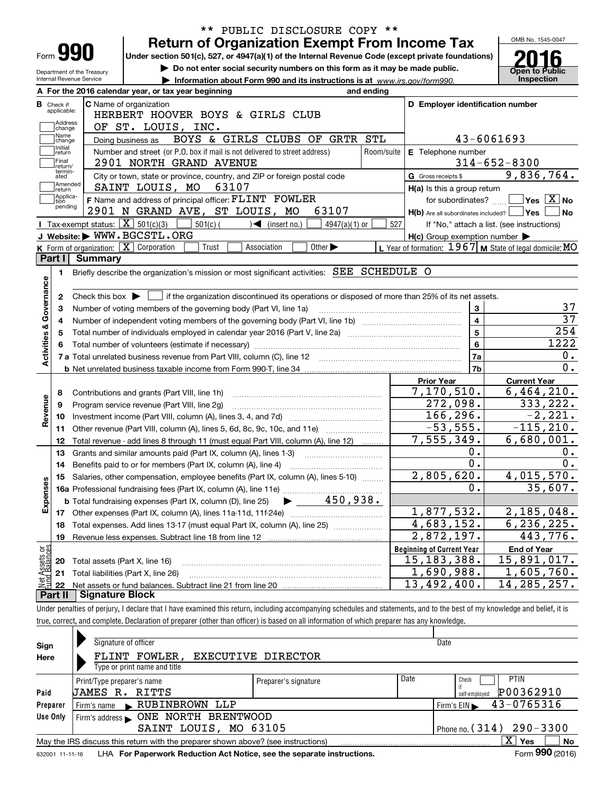|                         |                                             |                            | ** PUBLIC DISCLOSURE COPY **                                                                                                                                               |                                                           |                                                    |
|-------------------------|---------------------------------------------|----------------------------|----------------------------------------------------------------------------------------------------------------------------------------------------------------------------|-----------------------------------------------------------|----------------------------------------------------|
|                         |                                             |                            | <b>Return of Organization Exempt From Income Tax</b>                                                                                                                       |                                                           | OMB No. 1545-0047                                  |
|                         | Form 990                                    |                            | Under section 501(c), 527, or 4947(a)(1) of the Internal Revenue Code (except private foundations)                                                                         |                                                           |                                                    |
|                         |                                             | Department of the Treasury | Do not enter social security numbers on this form as it may be made public.                                                                                                |                                                           | <b>Open to Public</b>                              |
|                         | Internal Revenue Service                    |                            | Information about Form 990 and its instructions is at www.irs.gov/form990.                                                                                                 |                                                           | Inspection                                         |
|                         |                                             |                            | A For the 2016 calendar year, or tax year beginning<br>and ending                                                                                                          |                                                           |                                                    |
|                         | <b>B</b> Check if<br>applicable:            |                            | C Name of organization                                                                                                                                                     | D Employer identification number                          |                                                    |
|                         | Address                                     |                            | HERBERT HOOVER BOYS & GIRLS CLUB                                                                                                                                           |                                                           |                                                    |
|                         | change<br>Name                              |                            | OF ST. LOUIS, INC.                                                                                                                                                         |                                                           |                                                    |
|                         | change<br>Initial                           |                            | BOYS & GIRLS CLUBS OF GRTR STL<br>Doing business as                                                                                                                        |                                                           | 43-6061693                                         |
|                         | return<br>Final                             |                            | Number and street (or P.O. box if mail is not delivered to street address)<br>Room/suite                                                                                   | E Telephone number                                        |                                                    |
|                         | return/<br>termin-                          |                            | 2901 NORTH GRAND AVENUE                                                                                                                                                    |                                                           | $314 - 652 - 8300$                                 |
|                         | ated<br>Amended                             |                            | City or town, state or province, country, and ZIP or foreign postal code                                                                                                   | G Gross receipts \$                                       | 9,836,764.                                         |
|                         | return<br> Applica-                         |                            | SAINT LOUIS, MO 63107                                                                                                                                                      | H(a) Is this a group return                               |                                                    |
|                         | tion<br>pending                             |                            | F Name and address of principal officer: FLINT FOWLER<br>63107                                                                                                             | for subordinates?                                         | $\boxed{\phantom{1}}$ Yes $\boxed{\text{X}}$ No    |
|                         |                                             |                            | 2901 N GRAND AVE, ST LOUIS, MO                                                                                                                                             | H(b) Are all subordinates included?   Yes                 | ∣No                                                |
|                         |                                             |                            | Tax-exempt status: $\boxed{\mathbf{X}}$ 501(c)(3)<br>$501(c)$ (<br>$\blacktriangleright$ (insert no.)<br>$4947(a)(1)$ or<br>J Website: WWW.BGCSTL.ORG                      | 527                                                       | If "No," attach a list. (see instructions)         |
|                         |                                             |                            | K Form of organization: X Corporation<br>Trust<br>Other $\blacktriangleright$                                                                                              | $H(c)$ Group exemption number $\blacktriangleright$       |                                                    |
|                         | Part I                                      | <b>Summary</b>             | Association                                                                                                                                                                | L Year of formation: $1967$ M State of legal domicile: MO |                                                    |
|                         |                                             |                            |                                                                                                                                                                            |                                                           |                                                    |
|                         | 1.                                          |                            | Briefly describe the organization's mission or most significant activities: SEE SCHEDULE O                                                                                 |                                                           |                                                    |
|                         |                                             |                            |                                                                                                                                                                            |                                                           |                                                    |
|                         | 2                                           |                            | Check this box $\triangleright$ $\blacksquare$ if the organization discontinued its operations or disposed of more than 25% of its net assets.                             |                                                           | 37                                                 |
|                         | з                                           |                            | Number of voting members of the governing body (Part VI, line 1a)                                                                                                          | 3<br>$\overline{\mathbf{4}}$                              | $\overline{37}$                                    |
|                         | 4                                           | $\overline{254}$           |                                                                                                                                                                            |                                                           |                                                    |
|                         | 5                                           |                            |                                                                                                                                                                            | 5<br>$\bf{6}$                                             | 1222                                               |
| Activities & Governance |                                             |                            |                                                                                                                                                                            |                                                           | 0.                                                 |
|                         |                                             |                            | 7 a Total unrelated business revenue from Part VIII, column (C), line 12 [11] [12] [11] [12] [11] [11] [12] [1                                                             | 7a<br>7b                                                  | $\overline{0}$ .                                   |
|                         |                                             |                            |                                                                                                                                                                            |                                                           |                                                    |
|                         |                                             |                            |                                                                                                                                                                            | <b>Prior Year</b><br>7, 170, 510.                         | <b>Current Year</b><br>6,464,210.                  |
|                         | 8                                           |                            | Contributions and grants (Part VIII, line 1h)                                                                                                                              | 272,098.                                                  | 333,222.                                           |
|                         | 9                                           |                            | Program service revenue (Part VIII, line 2g)                                                                                                                               | 166, 296.                                                 | $-2, 221.$                                         |
| Revenue                 | 10                                          |                            |                                                                                                                                                                            | $-53, 555.$                                               | $-115, 210.$                                       |
|                         | 11                                          |                            | Other revenue (Part VIII, column (A), lines 5, 6d, 8c, 9c, 10c, and 11e)                                                                                                   | 7,555,349.                                                | 6,680,001.                                         |
|                         | 12                                          |                            | Total revenue - add lines 8 through 11 (must equal Part VIII, column (A), line 12)                                                                                         | 0.                                                        | 0.                                                 |
|                         | 13                                          |                            | Grants and similar amounts paid (Part IX, column (A), lines 1-3)                                                                                                           | 0.                                                        | 0.                                                 |
|                         | 14                                          |                            | Benefits paid to or for members (Part IX, column (A), line 4)                                                                                                              | 2,805,620.                                                | 4,015,570.                                         |
| Expenses                |                                             |                            | 15 Salaries, other compensation, employee benefits (Part IX, column (A), lines 5-10)                                                                                       | 0.                                                        | 35,607.                                            |
|                         |                                             |                            | 16a Professional fundraising fees (Part IX, column (A), line 11e)<br>450,938.                                                                                              |                                                           |                                                    |
|                         |                                             |                            | <b>b</b> Total fundraising expenses (Part IX, column (D), line 25)                                                                                                         | 1,877,532.                                                | 2,185,048.                                         |
|                         |                                             |                            | 17 Other expenses (Part IX, column (A), lines 11a-11d, 11f-24e)                                                                                                            |                                                           |                                                    |
|                         | 18                                          |                            | Total expenses. Add lines 13-17 (must equal Part IX, column (A), line 25)                                                                                                  | 4,683,152.                                                | $\overline{6,236,225}$ .<br>$\overline{4}$ 43,776. |
|                         | 19                                          |                            | Revenue less expenses. Subtract line 18 from line 12                                                                                                                       | 2,872,197.                                                |                                                    |
|                         | Met Assets or<br>Fund Balances<br>N 2 2 2 3 |                            |                                                                                                                                                                            | <b>Beginning of Current Year</b>                          | <b>End of Year</b>                                 |
|                         |                                             |                            | Total assets (Part X, line 16)                                                                                                                                             | 15,183,388.                                               | 15,891,017.                                        |
|                         |                                             |                            | Total liabilities (Part X, line 26)                                                                                                                                        | $1,690,988$ .                                             | 1,605,760.                                         |
|                         | Part II                                     | <b>Signature Block</b>     |                                                                                                                                                                            | 13,492,400.                                               | $\overline{14}$ , 285, 257.                        |
|                         |                                             |                            |                                                                                                                                                                            |                                                           |                                                    |
|                         |                                             |                            | Under penalties of perjury, I declare that I have examined this return, including accompanying schedules and statements, and to the best of my knowledge and belief, it is |                                                           |                                                    |
|                         |                                             |                            | true, correct, and complete. Declaration of preparer (other than officer) is based on all information of which preparer has any knowledge.                                 |                                                           |                                                    |
|                         |                                             |                            | Signature of officer                                                                                                                                                       |                                                           |                                                    |
| Sign                    |                                             |                            |                                                                                                                                                                            | Date                                                      |                                                    |

| əıyıı    |                                                                                        |                              |                             |
|----------|----------------------------------------------------------------------------------------|------------------------------|-----------------------------|
| Here     | FLINT FOWLER,                                                                          | <b>EXECUTIVE DIRECTOR</b>    |                             |
|          | Type or print name and title                                                           |                              |                             |
|          | Print/Type preparer's name                                                             | Date<br>Preparer's signature | <b>PTIN</b><br>Check        |
| Paid     | <b>JAMES R. RITTS</b>                                                                  |                              | P00362910<br>self-emploved  |
| Preparer | Firm's name RUBINBROWN LLP                                                             |                              | 43-0765316<br>Firm's EIN    |
| Use Only |                                                                                        |                              |                             |
|          | SAINT LOUIS, MO 63105                                                                  |                              | Phone no. $(314)$ 290-3300  |
|          | May the IRS discuss this return with the preparer shown above? (see instructions)      |                              | X l<br>Yes<br>No            |
|          | copper use to the Lating Department Deduction Act Notice and the concrete instructions |                              | $F_{\text{arm}}$ 990 (2016) |

632001 11-11-16 **For Paperwork Reduction Act Notice, see the separate instructions.** LHA Form (2016)

**990**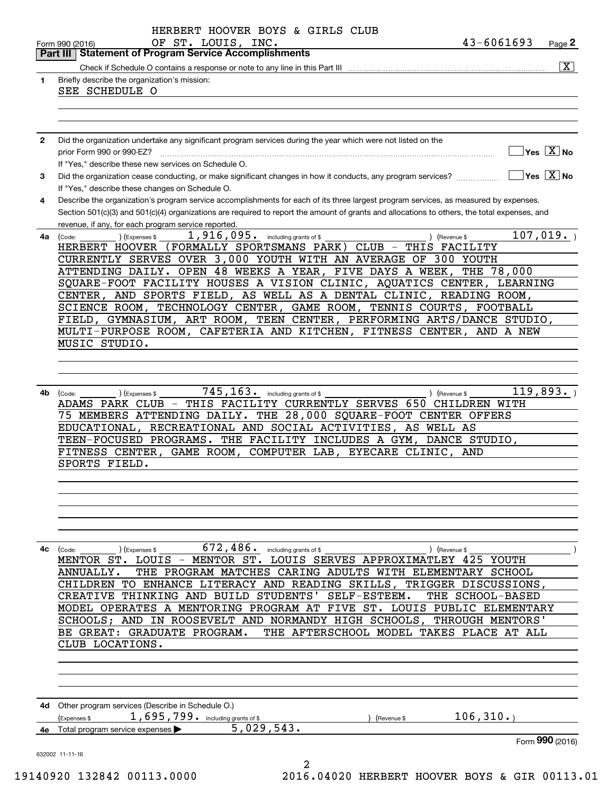|              | <b>Part III   Statement of Program Service Accomplishments</b>                                                                                                                                                                                                                                                |
|--------------|---------------------------------------------------------------------------------------------------------------------------------------------------------------------------------------------------------------------------------------------------------------------------------------------------------------|
|              | $\overline{\mathbf{x}}$                                                                                                                                                                                                                                                                                       |
| 1            | Briefly describe the organization's mission:                                                                                                                                                                                                                                                                  |
|              | SEE SCHEDULE O                                                                                                                                                                                                                                                                                                |
|              |                                                                                                                                                                                                                                                                                                               |
|              |                                                                                                                                                                                                                                                                                                               |
|              |                                                                                                                                                                                                                                                                                                               |
| $\mathbf{2}$ | Did the organization undertake any significant program services during the year which were not listed on the                                                                                                                                                                                                  |
|              | $\sqrt{}$ Yes $\sqrt{X}$ No                                                                                                                                                                                                                                                                                   |
|              | If "Yes," describe these new services on Schedule O.                                                                                                                                                                                                                                                          |
|              | $\overline{\mathsf{Yes} \mathrel{\hspace{0.5pt}\mathsf{X}}}$ No                                                                                                                                                                                                                                               |
| 3            | Did the organization cease conducting, or make significant changes in how it conducts, any program services?                                                                                                                                                                                                  |
|              | If "Yes," describe these changes on Schedule O.                                                                                                                                                                                                                                                               |
| 4            | Describe the organization's program service accomplishments for each of its three largest program services, as measured by expenses.                                                                                                                                                                          |
|              | Section 501(c)(3) and 501(c)(4) organizations are required to report the amount of grants and allocations to others, the total expenses, and                                                                                                                                                                  |
|              | revenue, if any, for each program service reported.                                                                                                                                                                                                                                                           |
| 4a           | 1,916,095. including grants of \$<br>107,019.<br>) (Revenue \$<br>) (Expenses \$<br>(Code:                                                                                                                                                                                                                    |
|              | (FORMALLY SPORTSMANS PARK) CLUB - THIS FACILITY<br>HERBERT HOOVER                                                                                                                                                                                                                                             |
|              | CURRENTLY SERVES OVER 3,000 YOUTH WITH AN AVERAGE OF 300 YOUTH                                                                                                                                                                                                                                                |
|              | ATTENDING DAILY. OPEN 48 WEEKS A YEAR,<br>FIVE DAYS A WEEK,<br>THE 78,000                                                                                                                                                                                                                                     |
|              | SQUARE-FOOT FACILITY HOUSES A VISION CLINIC, AQUATICS CENTER, LEARNING                                                                                                                                                                                                                                        |
|              | CENTER, AND SPORTS FIELD, AS WELL AS A DENTAL CLINIC, READING ROOM,                                                                                                                                                                                                                                           |
|              | SCIENCE ROOM, TECHNOLOGY CENTER, GAME ROOM, TENNIS COURTS, FOOTBALL                                                                                                                                                                                                                                           |
|              | FIELD, GYMNASIUM, ART ROOM, TEEN CENTER, PERFORMING ARTS/DANCE STUDIO,                                                                                                                                                                                                                                        |
|              | MULTI-PURPOSE ROOM, CAFETERIA AND KITCHEN, FITNESS CENTER, AND A NEW                                                                                                                                                                                                                                          |
|              |                                                                                                                                                                                                                                                                                                               |
|              | MUSIC STUDIO.                                                                                                                                                                                                                                                                                                 |
|              |                                                                                                                                                                                                                                                                                                               |
|              |                                                                                                                                                                                                                                                                                                               |
|              | 119,893.<br>745,163.<br>) (Expenses \$<br>including grants of \$<br>) (Revenue \$<br>(Code:<br>THIS FACILITY CURRENTLY SERVES 650 CHILDREN WITH<br>ADAMS PARK CLUB -<br>75 MEMBERS ATTENDING DAILY. THE 28,000 SQUARE-FOOT CENTER OFFERS<br>RECREATIONAL AND SOCIAL ACTIVITIES,<br>EDUCATIONAL,<br>AS WELL AS |
|              | TEEN-FOCUSED PROGRAMS. THE FACILITY INCLUDES A GYM, DANCE STUDIO,<br>FITNESS CENTER, GAME ROOM, COMPUTER LAB, EYECARE CLINIC, AND<br>SPORTS FIELD.                                                                                                                                                            |
|              |                                                                                                                                                                                                                                                                                                               |
|              | $672,486.$ including grants of \$<br>) (Expenses \$<br>) (Revenue \$<br>(Code:                                                                                                                                                                                                                                |
|              | MENTOR ST. LOUIS - MENTOR ST. LOUIS SERVES APPROXIMATLEY 425 YOUTH                                                                                                                                                                                                                                            |
|              | THE PROGRAM MATCHES CARING ADULTS WITH ELEMENTARY SCHOOL<br>ANNUALLY.                                                                                                                                                                                                                                         |
| 4b<br>4c     | CHILDREN TO ENHANCE LITERACY AND READING SKILLS,<br>TRIGGER DISCUSSIONS,                                                                                                                                                                                                                                      |
|              | SELF-ESTEEM.<br>THINKING AND BUILD STUDENTS'<br>THE SCHOOL-BASED<br>CREATIVE                                                                                                                                                                                                                                  |
|              | MODEL OPERATES A MENTORING PROGRAM AT FIVE ST. LOUIS PUBLIC ELEMENTARY                                                                                                                                                                                                                                        |
|              | SCHOOLS; AND IN ROOSEVELT AND NORMANDY HIGH SCHOOLS,<br>THROUGH MENTORS'                                                                                                                                                                                                                                      |
|              | BE GREAT: GRADUATE PROGRAM.<br>THE AFTERSCHOOL MODEL TAKES PLACE AT ALL                                                                                                                                                                                                                                       |
|              | CLUB LOCATIONS.                                                                                                                                                                                                                                                                                               |
|              |                                                                                                                                                                                                                                                                                                               |
|              |                                                                                                                                                                                                                                                                                                               |
|              |                                                                                                                                                                                                                                                                                                               |
|              |                                                                                                                                                                                                                                                                                                               |
|              |                                                                                                                                                                                                                                                                                                               |
|              | 4d Other program services (Describe in Schedule O.)                                                                                                                                                                                                                                                           |
|              | 1,695,799. including grants of \$<br>106, 310.<br>(Expenses \$<br>(Revenue \$                                                                                                                                                                                                                                 |
|              | 5,029,543.<br>4e Total program service expenses<br>Form 990 (2016)                                                                                                                                                                                                                                            |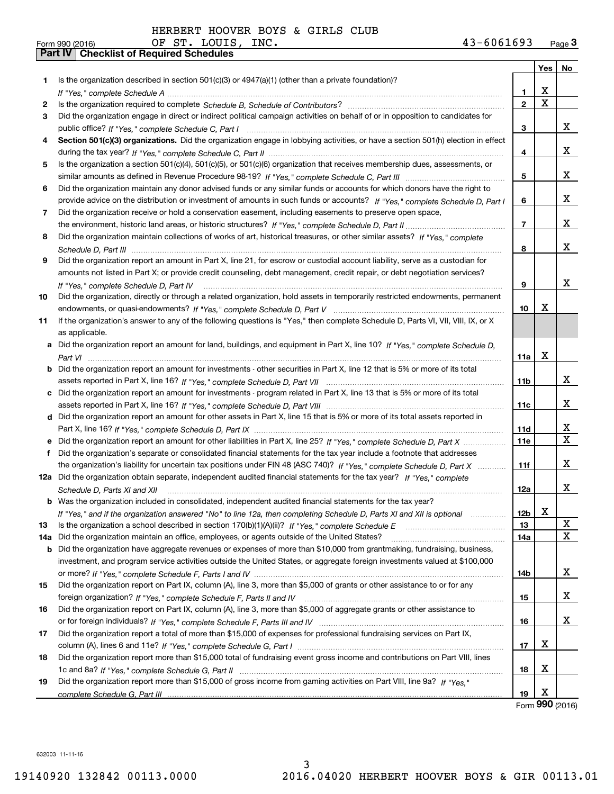|     |                                                                                                                                                    |                   | Yes                     | No                      |
|-----|----------------------------------------------------------------------------------------------------------------------------------------------------|-------------------|-------------------------|-------------------------|
| 1.  | Is the organization described in section 501(c)(3) or 4947(a)(1) (other than a private foundation)?                                                |                   |                         |                         |
|     |                                                                                                                                                    | 1                 | X                       |                         |
| 2   |                                                                                                                                                    | $\overline{2}$    | $\overline{\textbf{x}}$ |                         |
| 3   | Did the organization engage in direct or indirect political campaign activities on behalf of or in opposition to candidates for                    |                   |                         |                         |
|     |                                                                                                                                                    | 3                 |                         | x                       |
| 4   | Section 501(c)(3) organizations. Did the organization engage in lobbying activities, or have a section 501(h) election in effect                   |                   |                         |                         |
|     |                                                                                                                                                    | 4                 |                         | X                       |
| 5   | Is the organization a section 501(c)(4), 501(c)(5), or 501(c)(6) organization that receives membership dues, assessments, or                       |                   |                         |                         |
|     |                                                                                                                                                    | 5                 |                         | x                       |
| 6   | Did the organization maintain any donor advised funds or any similar funds or accounts for which donors have the right to                          |                   |                         |                         |
|     | provide advice on the distribution or investment of amounts in such funds or accounts? If "Yes," complete Schedule D, Part I                       | 6                 |                         | x                       |
| 7   | Did the organization receive or hold a conservation easement, including easements to preserve open space,                                          |                   |                         |                         |
|     |                                                                                                                                                    | $\overline{7}$    |                         | x                       |
| 8   | Did the organization maintain collections of works of art, historical treasures, or other similar assets? If "Yes," complete                       |                   |                         |                         |
|     |                                                                                                                                                    | 8                 |                         | x                       |
| 9   | Did the organization report an amount in Part X, line 21, for escrow or custodial account liability, serve as a custodian for                      |                   |                         |                         |
|     | amounts not listed in Part X; or provide credit counseling, debt management, credit repair, or debt negotiation services?                          |                   |                         |                         |
|     | If "Yes," complete Schedule D, Part IV                                                                                                             | 9                 |                         | x                       |
| 10  | Did the organization, directly or through a related organization, hold assets in temporarily restricted endowments, permanent                      |                   |                         |                         |
|     |                                                                                                                                                    | 10                | X                       |                         |
| 11  | If the organization's answer to any of the following questions is "Yes," then complete Schedule D, Parts VI, VIII, VIII, IX, or X                  |                   |                         |                         |
|     | as applicable.                                                                                                                                     |                   |                         |                         |
|     | a Did the organization report an amount for land, buildings, and equipment in Part X, line 10? If "Yes," complete Schedule D,                      |                   |                         |                         |
|     |                                                                                                                                                    | 11a               | X                       |                         |
|     | <b>b</b> Did the organization report an amount for investments - other securities in Part X, line 12 that is 5% or more of its total               |                   |                         |                         |
|     |                                                                                                                                                    | 11b               |                         | x                       |
|     | c Did the organization report an amount for investments - program related in Part X, line 13 that is 5% or more of its total                       |                   |                         |                         |
|     |                                                                                                                                                    | 11c               |                         | x                       |
|     | d Did the organization report an amount for other assets in Part X, line 15 that is 5% or more of its total assets reported in                     |                   |                         | x                       |
|     |                                                                                                                                                    | 11d<br><b>11e</b> |                         | $\overline{\mathbf{x}}$ |
| f   | Did the organization's separate or consolidated financial statements for the tax year include a footnote that addresses                            |                   |                         |                         |
|     | the organization's liability for uncertain tax positions under FIN 48 (ASC 740)? If "Yes," complete Schedule D, Part X                             | 11f               |                         | x                       |
|     | 12a Did the organization obtain separate, independent audited financial statements for the tax year? If "Yes," complete                            |                   |                         |                         |
|     |                                                                                                                                                    | 12a               |                         | x                       |
|     | Schedule D, Parts XI and XII<br><b>b</b> Was the organization included in consolidated, independent audited financial statements for the tax year? |                   |                         |                         |
|     | If "Yes," and if the organization answered "No" to line 12a, then completing Schedule D, Parts XI and XII is optional manuman                      | 12b               | х                       |                         |
| 13  |                                                                                                                                                    | 13                |                         | х                       |
| 14a | Did the organization maintain an office, employees, or agents outside of the United States?                                                        | 14a               |                         | $\overline{\textbf{X}}$ |
| b   | Did the organization have aggregate revenues or expenses of more than \$10,000 from grantmaking, fundraising, business,                            |                   |                         |                         |
|     | investment, and program service activities outside the United States, or aggregate foreign investments valued at \$100,000                         |                   |                         |                         |
|     |                                                                                                                                                    | 14b               |                         | х                       |
| 15  | Did the organization report on Part IX, column (A), line 3, more than \$5,000 of grants or other assistance to or for any                          |                   |                         |                         |
|     |                                                                                                                                                    | 15                |                         | х                       |
| 16  | Did the organization report on Part IX, column (A), line 3, more than \$5,000 of aggregate grants or other assistance to                           |                   |                         |                         |
|     |                                                                                                                                                    | 16                |                         | X                       |
| 17  | Did the organization report a total of more than \$15,000 of expenses for professional fundraising services on Part IX,                            |                   |                         |                         |
|     |                                                                                                                                                    | 17                | X                       |                         |
| 18  | Did the organization report more than \$15,000 total of fundraising event gross income and contributions on Part VIII, lines                       |                   |                         |                         |
|     |                                                                                                                                                    | 18                | X                       |                         |
| 19  | Did the organization report more than \$15,000 of gross income from gaming activities on Part VIII, line 9a? If "Yes."                             |                   |                         |                         |
|     |                                                                                                                                                    | 19                | X                       |                         |

Form (2016) **990**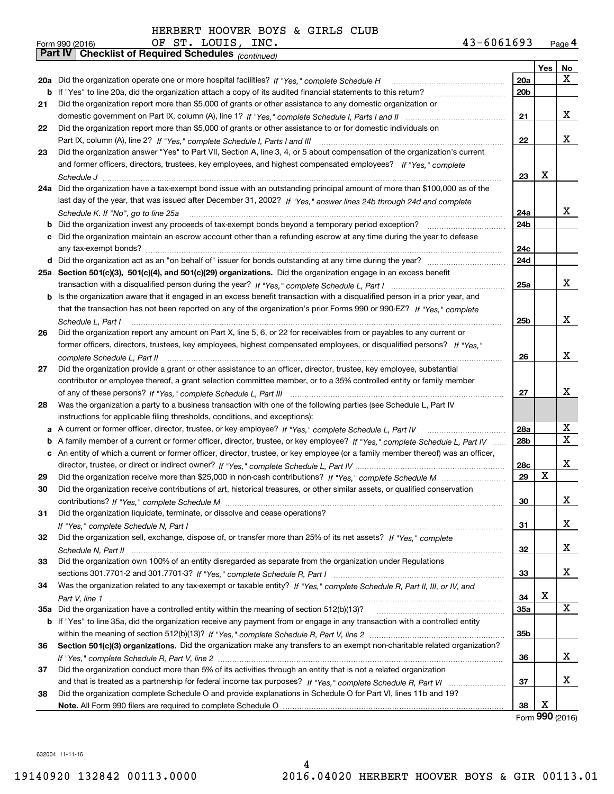| Form 990 (2016) | LOUIS,<br>OF ST.<br>INC.                                              | $43 - 6061693$ | Page $4$ |
|-----------------|-----------------------------------------------------------------------|----------------|----------|
|                 | <b>Part IV</b> Checklist of Required Schedules <sub>(continued)</sub> |                |          |

|    | Pall IV  <br>Crieckist of Required Scriedules (continued)                                                                         |                 |            |                   |
|----|-----------------------------------------------------------------------------------------------------------------------------------|-----------------|------------|-------------------|
|    |                                                                                                                                   |                 | <b>Yes</b> | No                |
|    | 20a Did the organization operate one or more hospital facilities? If "Yes," complete Schedule H                                   | 20a             |            | X.                |
| b  | If "Yes" to line 20a, did the organization attach a copy of its audited financial statements to this return?                      | 20 <sub>b</sub> |            |                   |
| 21 | Did the organization report more than \$5,000 of grants or other assistance to any domestic organization or                       |                 |            |                   |
|    |                                                                                                                                   | 21              |            | x                 |
| 22 | Did the organization report more than \$5,000 of grants or other assistance to or for domestic individuals on                     |                 |            |                   |
|    |                                                                                                                                   | 22              |            | x                 |
| 23 | Did the organization answer "Yes" to Part VII, Section A, line 3, 4, or 5 about compensation of the organization's current        |                 |            |                   |
|    | and former officers, directors, trustees, key employees, and highest compensated employees? If "Yes," complete                    |                 |            |                   |
|    |                                                                                                                                   | 23              | X          |                   |
|    | 24a Did the organization have a tax-exempt bond issue with an outstanding principal amount of more than \$100,000 as of the       |                 |            |                   |
|    | last day of the year, that was issued after December 31, 2002? If "Yes," answer lines 24b through 24d and complete                |                 |            |                   |
|    | Schedule K. If "No", go to line 25a                                                                                               | 24a             |            | x                 |
|    | <b>b</b> Did the organization invest any proceeds of tax-exempt bonds beyond a temporary period exception?                        | 24b             |            |                   |
|    | c Did the organization maintain an escrow account other than a refunding escrow at any time during the year to defease            |                 |            |                   |
|    |                                                                                                                                   | 24c             |            |                   |
|    |                                                                                                                                   | 24d             |            |                   |
|    | 25a Section 501(c)(3), 501(c)(4), and 501(c)(29) organizations. Did the organization engage in an excess benefit                  |                 |            |                   |
|    |                                                                                                                                   | 25a             |            | x                 |
|    | b Is the organization aware that it engaged in an excess benefit transaction with a disqualified person in a prior year, and      |                 |            |                   |
|    | that the transaction has not been reported on any of the organization's prior Forms 990 or 990-EZ? If "Yes," complete             |                 |            |                   |
|    | Schedule L. Part I                                                                                                                | 25b             |            | x                 |
| 26 | Did the organization report any amount on Part X, line 5, 6, or 22 for receivables from or payables to any current or             |                 |            |                   |
|    | former officers, directors, trustees, key employees, highest compensated employees, or disqualified persons? If "Yes "            |                 |            |                   |
|    |                                                                                                                                   | 26              |            | x                 |
| 27 | Did the organization provide a grant or other assistance to an officer, director, trustee, key employee, substantial              |                 |            |                   |
|    | contributor or employee thereof, a grant selection committee member, or to a 35% controlled entity or family member               |                 |            |                   |
|    |                                                                                                                                   | 27              |            | x                 |
| 28 | Was the organization a party to a business transaction with one of the following parties (see Schedule L, Part IV                 |                 |            |                   |
|    | instructions for applicable filing thresholds, conditions, and exceptions):                                                       |                 |            |                   |
|    | a A current or former officer, director, trustee, or key employee? If "Yes," complete Schedule L, Part IV                         | 28a             |            | х                 |
|    | b A family member of a current or former officer, director, trustee, or key employee? If "Yes," complete Schedule L, Part IV      | 28 <sub>b</sub> |            | X                 |
|    | c An entity of which a current or former officer, director, trustee, or key employee (or a family member thereof) was an officer, |                 |            |                   |
|    |                                                                                                                                   | 28c             |            | x                 |
| 29 |                                                                                                                                   | 29              | X          |                   |
| 30 | Did the organization receive contributions of art, historical treasures, or other similar assets, or qualified conservation       |                 |            |                   |
|    |                                                                                                                                   | 30              |            | X                 |
| 31 | Did the organization liquidate, terminate, or dissolve and cease operations?                                                      |                 |            |                   |
|    |                                                                                                                                   | 31              |            | x                 |
| 32 | Did the organization sell, exchange, dispose of, or transfer more than 25% of its net assets? If "Yes," complete                  |                 |            |                   |
|    |                                                                                                                                   | 32              |            | X                 |
| 33 | Did the organization own 100% of an entity disregarded as separate from the organization under Regulations                        |                 |            |                   |
|    |                                                                                                                                   | 33              |            | X                 |
| 34 | Was the organization related to any tax-exempt or taxable entity? If "Yes," complete Schedule R, Part II, III, or IV, and         |                 |            |                   |
|    |                                                                                                                                   | 34              | X          |                   |
|    | 35a Did the organization have a controlled entity within the meaning of section 512(b)(13)?                                       | <b>35a</b>      |            | X                 |
|    | b If "Yes" to line 35a, did the organization receive any payment from or engage in any transaction with a controlled entity       |                 |            |                   |
|    |                                                                                                                                   | 35b             |            |                   |
| 36 | Section 501(c)(3) organizations. Did the organization make any transfers to an exempt non-charitable related organization?        |                 |            |                   |
|    |                                                                                                                                   | 36              |            | x                 |
| 37 | Did the organization conduct more than 5% of its activities through an entity that is not a related organization                  |                 |            |                   |
|    |                                                                                                                                   | 37              |            | x                 |
| 38 | Did the organization complete Schedule O and provide explanations in Schedule O for Part VI, lines 11b and 19?                    |                 |            |                   |
|    |                                                                                                                                   | 38              | X          |                   |
|    |                                                                                                                                   |                 |            | Form $990$ (2016) |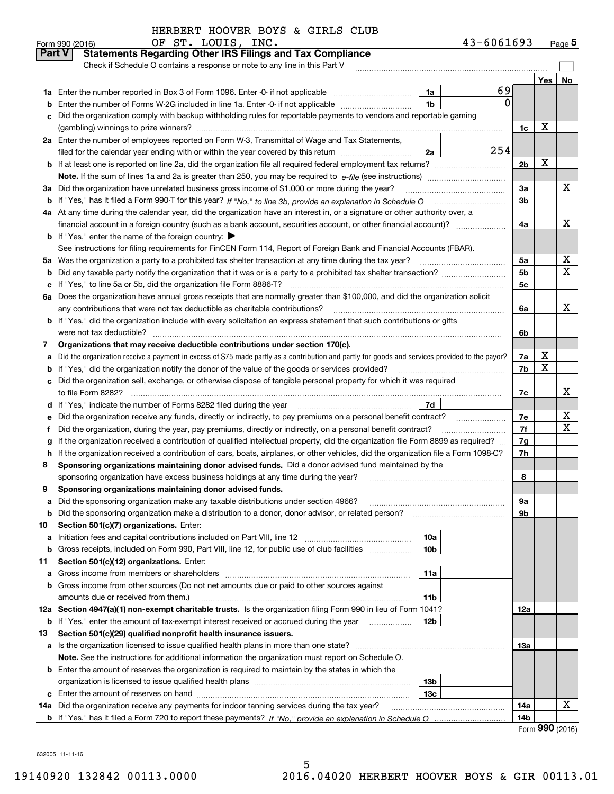| HERBERT HOOVER BOYS & GIRLS CLUB |  |  |
|----------------------------------|--|--|
|                                  |  |  |

|               | OF ST. LOUIS, INC.<br>Form 990 (2016)                                                                                                           |                 | 43-6061693 |                |     | <u>Page</u> 5 |
|---------------|-------------------------------------------------------------------------------------------------------------------------------------------------|-----------------|------------|----------------|-----|---------------|
| <b>Part V</b> | <b>Statements Regarding Other IRS Filings and Tax Compliance</b>                                                                                |                 |            |                |     |               |
|               | Check if Schedule O contains a response or note to any line in this Part V                                                                      |                 |            |                |     |               |
|               |                                                                                                                                                 |                 |            |                | Yes | No            |
|               |                                                                                                                                                 | 1a              | 69         |                |     |               |
| b             | Enter the number of Forms W-2G included in line 1a. Enter -0- if not applicable                                                                 | 1 <sub>b</sub>  | 0          |                |     |               |
|               | Did the organization comply with backup withholding rules for reportable payments to vendors and reportable gaming                              |                 |            |                |     |               |
|               |                                                                                                                                                 |                 |            | 1c             | х   |               |
|               | 2a Enter the number of employees reported on Form W-3, Transmittal of Wage and Tax Statements,                                                  |                 |            |                |     |               |
|               | filed for the calendar year ending with or within the year covered by this return                                                               | 2a              | 254        |                |     |               |
|               |                                                                                                                                                 |                 |            | 2 <sub>b</sub> | х   |               |
|               |                                                                                                                                                 |                 |            |                |     |               |
| За            | Did the organization have unrelated business gross income of \$1,000 or more during the year?                                                   |                 |            | 3a             |     | х             |
|               |                                                                                                                                                 |                 |            | 3 <sub>b</sub> |     |               |
|               | 4a At any time during the calendar year, did the organization have an interest in, or a signature or other authority over, a                    |                 |            |                |     |               |
|               | financial account in a foreign country (such as a bank account, securities account, or other financial account)?                                |                 |            | 4a             |     | x             |
|               | <b>b</b> If "Yes," enter the name of the foreign country: $\blacktriangleright$                                                                 |                 |            |                |     |               |
|               | See instructions for filing requirements for FinCEN Form 114, Report of Foreign Bank and Financial Accounts (FBAR).                             |                 |            |                |     |               |
| 5a            | Was the organization a party to a prohibited tax shelter transaction at any time during the tax year?                                           |                 |            | 5a             |     | х             |
| b             |                                                                                                                                                 |                 |            | 5 <sub>b</sub> |     | X             |
| c             | If "Yes," to line 5a or 5b, did the organization file Form 8886-T?                                                                              |                 |            | 5c             |     |               |
| 6а            | Does the organization have annual gross receipts that are normally greater than \$100,000, and did the organization solicit                     |                 |            |                |     |               |
|               | any contributions that were not tax deductible as charitable contributions?                                                                     |                 |            | 6a             |     | X             |
|               | <b>b</b> If "Yes," did the organization include with every solicitation an express statement that such contributions or gifts                   |                 |            |                |     |               |
|               | were not tax deductible?                                                                                                                        |                 |            | 6b             |     |               |
| 7             | Organizations that may receive deductible contributions under section 170(c).                                                                   |                 |            |                | х   |               |
| a             | Did the organization receive a payment in excess of \$75 made partly as a contribution and partly for goods and services provided to the payor? |                 |            | 7a             | X   |               |
| b             | If "Yes," did the organization notify the donor of the value of the goods or services provided?                                                 |                 |            | 7b             |     |               |
|               | Did the organization sell, exchange, or otherwise dispose of tangible personal property for which it was required                               |                 |            | 7c             |     | х             |
| d             |                                                                                                                                                 | 7d              |            |                |     |               |
| е             | Did the organization receive any funds, directly or indirectly, to pay premiums on a personal benefit contract?                                 |                 |            | 7e             |     | х             |
| f             | Did the organization, during the year, pay premiums, directly or indirectly, on a personal benefit contract?                                    |                 |            | 7f             |     | X             |
| g             | If the organization received a contribution of qualified intellectual property, did the organization file Form 8899 as required?                |                 |            | 7g             |     |               |
| h.            | If the organization received a contribution of cars, boats, airplanes, or other vehicles, did the organization file a Form 1098-C?              |                 |            | 7h             |     |               |
| 8             | Sponsoring organizations maintaining donor advised funds. Did a donor advised fund maintained by the                                            |                 |            |                |     |               |
|               | sponsoring organization have excess business holdings at any time during the year?                                                              |                 |            | 8              |     |               |
|               | Sponsoring organizations maintaining donor advised funds.                                                                                       |                 |            |                |     |               |
| a             | Did the sponsoring organization make any taxable distributions under section 4966?                                                              |                 |            | 9а             |     |               |
| b             | Did the sponsoring organization make a distribution to a donor, donor advisor, or related person?                                               |                 |            | 9b             |     |               |
| 10            | Section 501(c)(7) organizations. Enter:                                                                                                         |                 |            |                |     |               |
| a             | Initiation fees and capital contributions included on Part VIII, line 12 <i>manuarrouus</i> manuations of the lates                             | 10a             |            |                |     |               |
| b             | Gross receipts, included on Form 990, Part VIII, line 12, for public use of club facilities                                                     | 10 <sub>b</sub> |            |                |     |               |
| 11            | Section 501(c)(12) organizations. Enter:                                                                                                        |                 |            |                |     |               |
| а             | Gross income from members or shareholders                                                                                                       | 11a             |            |                |     |               |
| b             | Gross income from other sources (Do not net amounts due or paid to other sources against                                                        |                 |            |                |     |               |
|               | amounts due or received from them.)                                                                                                             | 11b             |            |                |     |               |
| 12a           | Section 4947(a)(1) non-exempt charitable trusts. Is the organization filing Form 990 in lieu of Form 1041?                                      |                 |            | 12a            |     |               |
|               | <b>b</b> If "Yes," enter the amount of tax-exempt interest received or accrued during the year                                                  | 12b             |            |                |     |               |
| 13            | Section 501(c)(29) qualified nonprofit health insurance issuers.                                                                                |                 |            |                |     |               |
| a             | Is the organization licensed to issue qualified health plans in more than one state?                                                            |                 |            | 13а            |     |               |
|               | Note. See the instructions for additional information the organization must report on Schedule O.                                               |                 |            |                |     |               |
|               | <b>b</b> Enter the amount of reserves the organization is required to maintain by the states in which the                                       |                 |            |                |     |               |
|               |                                                                                                                                                 | 13b             |            |                |     |               |
|               |                                                                                                                                                 | 13с             |            |                |     |               |
|               | 14a Did the organization receive any payments for indoor tanning services during the tax year?                                                  |                 |            | 14a            |     | x             |
|               |                                                                                                                                                 |                 |            | 14b            |     |               |

Form (2016) **990**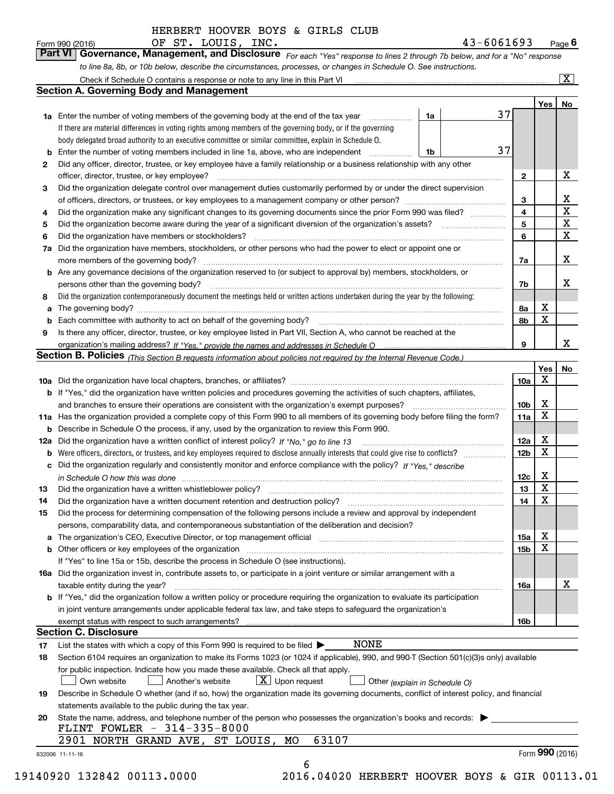*For each "Yes" response to lines 2 through 7b below, and for a "No" response to line 8a, 8b, or 10b below, describe the circumstances, processes, or changes in Schedule O. See instructions.* Form 990 (2016) **CDE ST. LOUIS, INC.** Page 6<br>**Part VI Governance, Management, and Disclosure** For each "Yes" response to lines 2 through 7b below, and for a "No" response

|     |                                                                                                                                                                            |                               |    |                         | Yes              | No          |
|-----|----------------------------------------------------------------------------------------------------------------------------------------------------------------------------|-------------------------------|----|-------------------------|------------------|-------------|
|     | <b>1a</b> Enter the number of voting members of the governing body at the end of the tax year <i>manumum</i>                                                               | 1a                            | 37 |                         |                  |             |
|     | If there are material differences in voting rights among members of the governing body, or if the governing                                                                |                               |    |                         |                  |             |
|     | body delegated broad authority to an executive committee or similar committee, explain in Schedule O.                                                                      |                               |    |                         |                  |             |
|     | Enter the number of voting members included in line 1a, above, who are independent                                                                                         | 1b                            | 37 |                         |                  |             |
| 2   | Did any officer, director, trustee, or key employee have a family relationship or a business relationship with any other                                                   |                               |    |                         |                  |             |
|     |                                                                                                                                                                            |                               |    | $\mathbf{2}$            |                  | х           |
| 3   | Did the organization delegate control over management duties customarily performed by or under the direct supervision                                                      |                               |    |                         |                  |             |
|     |                                                                                                                                                                            |                               |    | 3                       |                  | х           |
| 4   | Did the organization make any significant changes to its governing documents since the prior Form 990 was filed?                                                           |                               |    | $\overline{\mathbf{4}}$ |                  | $\mathbf X$ |
| 5   |                                                                                                                                                                            |                               |    | 5                       |                  | X           |
| 6   | Did the organization have members or stockholders?                                                                                                                         |                               |    | 6                       |                  | $\mathbf x$ |
| 7a  | Did the organization have members, stockholders, or other persons who had the power to elect or appoint one or                                                             |                               |    |                         |                  |             |
|     |                                                                                                                                                                            |                               |    | 7a                      |                  | х           |
|     | <b>b</b> Are any governance decisions of the organization reserved to (or subject to approval by) members, stockholders, or                                                |                               |    |                         |                  |             |
|     | persons other than the governing body?                                                                                                                                     |                               |    | 7b                      |                  | x           |
| 8   | Did the organization contemporaneously document the meetings held or written actions undertaken during the year by the following:                                          |                               |    |                         |                  |             |
| а   |                                                                                                                                                                            |                               |    | 8a                      | х                |             |
|     |                                                                                                                                                                            |                               |    | 8b                      | X                |             |
| 9   | Is there any officer, director, trustee, or key employee listed in Part VII, Section A, who cannot be reached at the                                                       |                               |    |                         |                  |             |
|     |                                                                                                                                                                            |                               |    | 9                       |                  | x           |
|     | Section B. Policies (This Section B requests information about policies not required by the Internal Revenue Code.)                                                        |                               |    |                         |                  |             |
|     |                                                                                                                                                                            |                               |    |                         | Yes              | No          |
|     |                                                                                                                                                                            |                               |    | 10a                     | х                |             |
|     | b If "Yes," did the organization have written policies and procedures governing the activities of such chapters, affiliates,                                               |                               |    |                         |                  |             |
|     |                                                                                                                                                                            |                               |    | 10b                     | х                |             |
|     | 11a Has the organization provided a complete copy of this Form 990 to all members of its governing body before filing the form?                                            |                               |    | 11a                     | X                |             |
| b   | Describe in Schedule O the process, if any, used by the organization to review this Form 990.                                                                              |                               |    |                         |                  |             |
|     |                                                                                                                                                                            |                               |    | 12a                     | х                |             |
| 12a |                                                                                                                                                                            |                               |    | 12b                     | X                |             |
| b   | Did the organization regularly and consistently monitor and enforce compliance with the policy? If "Yes," describe                                                         |                               |    |                         |                  |             |
| c   |                                                                                                                                                                            |                               |    |                         | х                |             |
|     | in Schedule O how this was done www.communication.com/www.communications.com/www.communications.com/                                                                       |                               |    | 12c                     | X                |             |
| 13  |                                                                                                                                                                            |                               |    | 13                      | X                |             |
| 14  | Did the organization have a written document retention and destruction policy? manufactured and the organization have a written document retention and destruction policy? |                               |    | 14                      |                  |             |
| 15  | Did the process for determining compensation of the following persons include a review and approval by independent                                                         |                               |    |                         |                  |             |
|     | persons, comparability data, and contemporaneous substantiation of the deliberation and decision?                                                                          |                               |    |                         |                  |             |
| а   |                                                                                                                                                                            |                               |    | 15a                     | х<br>$\mathbf X$ |             |
| b   | Other officers or key employees of the organization                                                                                                                        |                               |    | 15 <sub>b</sub>         |                  |             |
|     | If "Yes" to line 15a or 15b, describe the process in Schedule O (see instructions).                                                                                        |                               |    |                         |                  |             |
|     | 16a Did the organization invest in, contribute assets to, or participate in a joint venture or similar arrangement with a                                                  |                               |    |                         |                  |             |
|     | taxable entity during the year?                                                                                                                                            |                               |    | 16a                     |                  | х           |
|     | <b>b</b> If "Yes," did the organization follow a written policy or procedure requiring the organization to evaluate its participation                                      |                               |    |                         |                  |             |
|     | in joint venture arrangements under applicable federal tax law, and take steps to safeguard the organization's                                                             |                               |    |                         |                  |             |
|     |                                                                                                                                                                            |                               |    | 16b                     |                  |             |
|     | <b>Section C. Disclosure</b>                                                                                                                                               |                               |    |                         |                  |             |
| 17  | <b>NONE</b><br>List the states with which a copy of this Form 990 is required to be filed $\blacktriangleright$                                                            |                               |    |                         |                  |             |
| 18  | Section 6104 requires an organization to make its Forms 1023 (or 1024 if applicable), 990, and 990-T (Section 501(c)(3)s only) available                                   |                               |    |                         |                  |             |
|     | for public inspection. Indicate how you made these available. Check all that apply.                                                                                        |                               |    |                         |                  |             |
|     | $X$ Upon request<br>Own website<br>Another's website                                                                                                                       | Other (explain in Schedule O) |    |                         |                  |             |
| 19  | Describe in Schedule O whether (and if so, how) the organization made its governing documents, conflict of interest policy, and financial                                  |                               |    |                         |                  |             |
|     | statements available to the public during the tax year.                                                                                                                    |                               |    |                         |                  |             |
| 20  | State the name, address, and telephone number of the person who possesses the organization's books and records:                                                            |                               |    |                         |                  |             |
|     | FLINT FOWLER - 314-335-8000                                                                                                                                                |                               |    |                         |                  |             |
|     |                                                                                                                                                                            |                               |    |                         |                  |             |
|     | 63107<br>2901 NORTH GRAND AVE, ST LOUIS, MO                                                                                                                                |                               |    |                         | Form 990 (2016)  |             |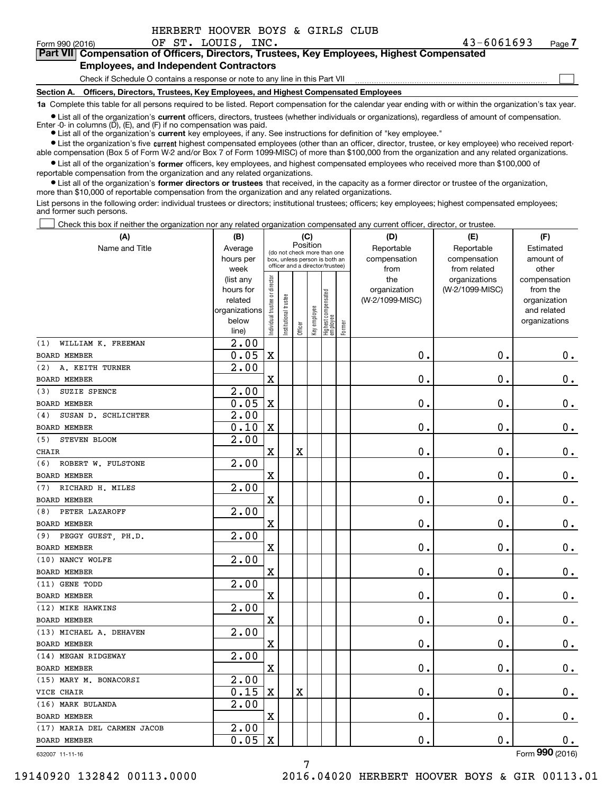| HERBERT HOOVER BOYS & GIRLS CLUB |  |
|----------------------------------|--|
|----------------------------------|--|

 $\mathcal{L}^{\text{max}}$ 

 $\frac{1}{2}$  Form 990 (2016)  $\qquad \qquad \text{OF ST. LOUIS, INC.}$   $\qquad \qquad \text{Page 7}$ **7Part VII Compensation of Officers, Directors, Trustees, Key Employees, Highest Compensated**

#### **Employees, and Independent Contractors**

Check if Schedule O contains a response or note to any line in this Part VII

**Section A. Officers, Directors, Trustees, Key Employees, and Highest Compensated Employees**

**1a**  Complete this table for all persons required to be listed. Report compensation for the calendar year ending with or within the organization's tax year.

**•** List all of the organization's current officers, directors, trustees (whether individuals or organizations), regardless of amount of compensation. Enter -0- in columns  $(D)$ ,  $(E)$ , and  $(F)$  if no compensation was paid.

● List all of the organization's **current** key employees, if any. See instructions for definition of "key employee."

**•** List the organization's five current highest compensated employees (other than an officer, director, trustee, or key employee) who received reportable compensation (Box 5 of Form W-2 and/or Box 7 of Form 1099-MISC) of more than \$100,000 from the organization and any related organizations.

 $\bullet$  List all of the organization's **former** officers, key employees, and highest compensated employees who received more than \$100,000 of reportable compensation from the organization and any related organizations.

**•** List all of the organization's former directors or trustees that received, in the capacity as a former director or trustee of the organization, more than \$10,000 of reportable compensation from the organization and any related organizations.

List persons in the following order: individual trustees or directors; institutional trustees; officers; key employees; highest compensated employees; and former such persons.

Check this box if neither the organization nor any related organization compensated any current officer, director, or trustee.  $\mathcal{L}^{\text{max}}$ 

| (A)                         | (B)               | (C)                            |                                                                          |         |              |                                   |        | (D)             | (E)                          | (F)                |
|-----------------------------|-------------------|--------------------------------|--------------------------------------------------------------------------|---------|--------------|-----------------------------------|--------|-----------------|------------------------------|--------------------|
| Name and Title              | Average           |                                | Position<br>(do not check more than one<br>box, unless person is both an |         |              |                                   |        | Reportable      | Reportable                   | Estimated          |
|                             | hours per         |                                | officer and a director/trustee)                                          |         |              |                                   |        | compensation    | compensation<br>from related | amount of<br>other |
|                             | week<br>(list any |                                |                                                                          |         |              |                                   |        | from<br>the     | organizations                | compensation       |
|                             | hours for         |                                |                                                                          |         |              |                                   |        | organization    | (W-2/1099-MISC)              | from the           |
|                             | related           |                                |                                                                          |         |              |                                   |        | (W-2/1099-MISC) |                              | organization       |
|                             | organizations     |                                |                                                                          |         |              |                                   |        |                 |                              | and related        |
|                             | below             | Individual trustee or director | nstitutional trustee                                                     | Officer | Key employee | Highest compensated<br>  employee | Former |                 |                              | organizations      |
|                             | line)             |                                |                                                                          |         |              |                                   |        |                 |                              |                    |
| WILLIAM K. FREEMAN<br>(1)   | 2.00              |                                |                                                                          |         |              |                                   |        |                 |                              |                    |
| <b>BOARD MEMBER</b>         | 0.05              | $\mathbf X$                    |                                                                          |         |              |                                   |        | 0.              | 0.                           | $\mathbf 0$ .      |
| (2) A. KEITH TURNER         | $\overline{2.00}$ |                                |                                                                          |         |              |                                   |        |                 |                              |                    |
| <b>BOARD MEMBER</b>         |                   | $\rm X$                        |                                                                          |         |              |                                   |        | $\mathbf 0$ .   | $\mathbf 0$ .                | $\mathbf 0$ .      |
| SUZIE SPENCE<br>(3)         | $\overline{2.00}$ |                                |                                                                          |         |              |                                   |        |                 |                              |                    |
| <b>BOARD MEMBER</b>         | 0.05              | X                              |                                                                          |         |              |                                   |        | 0.              | 0.                           | $\mathbf 0$ .      |
| SUSAN D. SCHLICHTER<br>(4)  | $\overline{2.00}$ |                                |                                                                          |         |              |                                   |        |                 |                              |                    |
| <b>BOARD MEMBER</b>         | 0.10              | $\mathbf X$                    |                                                                          |         |              |                                   |        | $\mathbf 0$ .   | $\mathbf 0$ .                | $\mathbf 0$ .      |
| (5)<br>STEVEN BLOOM         | 2.00              |                                |                                                                          |         |              |                                   |        |                 |                              |                    |
| <b>CHAIR</b>                |                   | $\mathbf x$                    |                                                                          | X       |              |                                   |        | $\mathbf 0$ .   | $\mathbf 0$ .                | $0$ .              |
| ROBERT W. FULSTONE<br>(6)   | 2.00              |                                |                                                                          |         |              |                                   |        |                 |                              |                    |
| <b>BOARD MEMBER</b>         |                   | $\mathbf X$                    |                                                                          |         |              |                                   |        | 0.              | $\mathbf 0$ .                | $\mathbf 0$ .      |
| RICHARD H. MILES<br>(7)     | 2.00              |                                |                                                                          |         |              |                                   |        |                 |                              |                    |
| <b>BOARD MEMBER</b>         |                   | $\mathbf X$                    |                                                                          |         |              |                                   |        | 0.              | $\mathbf 0$ .                | $\mathbf 0$ .      |
| PETER LAZAROFF<br>(8)       | 2.00              |                                |                                                                          |         |              |                                   |        |                 |                              |                    |
| <b>BOARD MEMBER</b>         |                   | $\mathbf x$                    |                                                                          |         |              |                                   |        | $\mathbf 0$ .   | $\mathbf 0$ .                | $0$ .              |
| PEGGY GUEST, PH.D.<br>(9)   | 2.00              |                                |                                                                          |         |              |                                   |        |                 |                              |                    |
| <b>BOARD MEMBER</b>         |                   | $\mathbf X$                    |                                                                          |         |              |                                   |        | $\mathbf 0$ .   | $\mathbf 0$ .                | $0$ .              |
| (10) NANCY WOLFE            | $\overline{2.00}$ |                                |                                                                          |         |              |                                   |        |                 |                              |                    |
| <b>BOARD MEMBER</b>         |                   | X                              |                                                                          |         |              |                                   |        | 0.              | $\mathbf 0$ .                | $0$ .              |
| (11) GENE TODD              | 2.00              |                                |                                                                          |         |              |                                   |        |                 |                              |                    |
| <b>BOARD MEMBER</b>         |                   | $\mathbf X$                    |                                                                          |         |              |                                   |        | 0.              | $\mathbf 0$ .                | $\mathbf 0$ .      |
| (12) MIKE HAWKINS           | 2.00              |                                |                                                                          |         |              |                                   |        |                 |                              |                    |
| <b>BOARD MEMBER</b>         |                   | X                              |                                                                          |         |              |                                   |        | $\mathbf 0$ .   | $\mathbf 0$ .                | $\mathbf 0$ .      |
| (13) MICHAEL A. DEHAVEN     | 2.00              |                                |                                                                          |         |              |                                   |        |                 |                              |                    |
| <b>BOARD MEMBER</b>         |                   | X                              |                                                                          |         |              |                                   |        | 0.              | $\mathbf 0$ .                | 0.                 |
| (14) MEGAN RIDGEWAY         | 2.00              |                                |                                                                          |         |              |                                   |        |                 |                              |                    |
| <b>BOARD MEMBER</b>         |                   | $\mathbf x$                    |                                                                          |         |              |                                   |        | 0.              | $\mathbf 0$ .                | 0.                 |
| (15) MARY M. BONACORSI      | $\overline{2.00}$ |                                |                                                                          |         |              |                                   |        |                 |                              |                    |
| VICE CHAIR                  | 0.15              | $\mathbf X$                    |                                                                          | X       |              |                                   |        | 0.              | $\mathbf 0$ .                | $\mathbf 0$ .      |
| (16) MARK BULANDA           | 2.00              |                                |                                                                          |         |              |                                   |        |                 |                              |                    |
| <b>BOARD MEMBER</b>         |                   | $\mathbf x$                    |                                                                          |         |              |                                   |        | $\mathbf 0$ .   | $\mathbf 0$ .                | 0.                 |
| (17) MARIA DEL CARMEN JACOB | 2.00              |                                |                                                                          |         |              |                                   |        |                 |                              |                    |
| <b>BOARD MEMBER</b>         | 0.05              | $\mathbf X$                    |                                                                          |         |              |                                   |        | 0.              | $\mathbf 0$ .                | $0$ .              |
| 632007 11-11-16             |                   |                                |                                                                          |         |              |                                   |        |                 |                              | Form 990 (2016)    |

632007 11-11-16

19140920 132842 00113.0000 2016.04020 HERBERT HOOVER BOYS & GIR 00113.01

7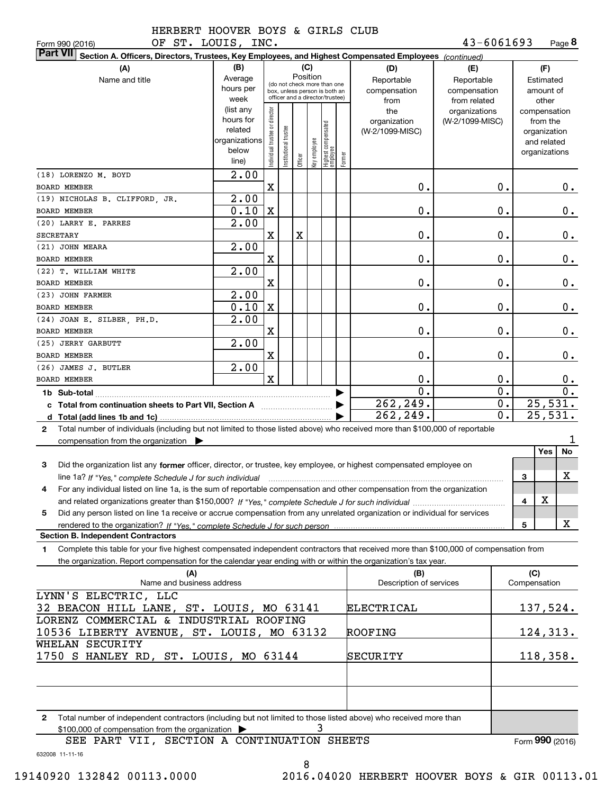**8**43-6061693

| OF ST. LOUIS, INC.<br>Form 990 (2016)                                                                                                                                                                                                                                       |                                                                      |                               |                                                                                                 |   |                         |                                 |        |                                           | 43-6061693                                        |          |                                                                          | Page 8          |
|-----------------------------------------------------------------------------------------------------------------------------------------------------------------------------------------------------------------------------------------------------------------------------|----------------------------------------------------------------------|-------------------------------|-------------------------------------------------------------------------------------------------|---|-------------------------|---------------------------------|--------|-------------------------------------------|---------------------------------------------------|----------|--------------------------------------------------------------------------|-----------------|
| <b>Part VII</b><br>Section A. Officers, Directors, Trustees, Key Employees, and Highest Compensated Employees (continued)                                                                                                                                                   |                                                                      |                               |                                                                                                 |   |                         |                                 |        |                                           |                                                   |          |                                                                          |                 |
| (A)<br>Name and title                                                                                                                                                                                                                                                       | (B)<br>Average<br>hours per<br>week                                  |                               | (do not check more than one<br>box, unless person is both an<br>officer and a director/trustee) |   | (C)<br>Position         |                                 |        | (D)<br>Reportable<br>compensation<br>from | (E)<br>Reportable<br>compensation<br>from related |          | (F)<br>Estimated<br>amount of<br>other                                   |                 |
|                                                                                                                                                                                                                                                                             | (list any<br>hours for<br>related<br>organizations<br>below<br>line) | ndividual trustee or director | nstitutional trustee                                                                            |   | Officer<br>Key employee | Highest compensated<br>employee | Former | the<br>organization<br>(W-2/1099-MISC)    | organizations<br>(W-2/1099-MISC)                  |          | compensation<br>from the<br>organization<br>and related<br>organizations |                 |
| (18) LORENZO M. BOYD<br><b>BOARD MEMBER</b>                                                                                                                                                                                                                                 | $\overline{2}$ .00                                                   | $\mathbf X$                   |                                                                                                 |   |                         |                                 |        | 0.                                        |                                                   | 0.       |                                                                          | 0.              |
| (19) NICHOLAS B. CLIFFORD, JR.<br>BOARD MEMBER                                                                                                                                                                                                                              | 2.00<br>0.10                                                         | X                             |                                                                                                 |   |                         |                                 |        | 0.                                        |                                                   | 0.       |                                                                          | 0.              |
| (20) LARRY E. PARRES<br><b>SECRETARY</b>                                                                                                                                                                                                                                    | $\overline{2.00}$                                                    | X                             |                                                                                                 | X |                         |                                 |        | 0.                                        |                                                   | 0.       |                                                                          | 0.              |
| (21) JOHN MEARA<br><b>BOARD MEMBER</b>                                                                                                                                                                                                                                      | 2.00                                                                 | $\mathbf X$                   |                                                                                                 |   |                         |                                 |        | 0.                                        |                                                   | 0.       |                                                                          | 0.              |
| (22) T. WILLIAM WHITE<br>BOARD MEMBER                                                                                                                                                                                                                                       | 2.00                                                                 | $\mathbf X$                   |                                                                                                 |   |                         |                                 |        | 0.                                        |                                                   | 0.       |                                                                          | 0.              |
| (23) JOHN FARMER<br>BOARD MEMBER                                                                                                                                                                                                                                            | 2.00<br>0.10<br>0.<br>$0$ .<br>0.<br>X                               |                               |                                                                                                 |   |                         |                                 |        |                                           |                                                   |          |                                                                          |                 |
| (24) JOAN E. SILBER, PH.D.<br><b>BOARD MEMBER</b>                                                                                                                                                                                                                           | $\overline{2.00}$                                                    | $\mathbf X$                   |                                                                                                 |   |                         |                                 |        | Ο.                                        |                                                   | $0$ .    |                                                                          | 0.              |
| 2.00<br>(25) JERRY GARBUTT<br>Ο.<br>X<br>BOARD MEMBER                                                                                                                                                                                                                       |                                                                      |                               |                                                                                                 |   |                         |                                 |        |                                           |                                                   | 0.       |                                                                          | 0.              |
| (26) JAMES J. BUTLER<br><b>BOARD MEMBER</b>                                                                                                                                                                                                                                 | 2.00                                                                 | $\mathbf x$                   |                                                                                                 |   |                         |                                 |        | Ο.                                        |                                                   | 0.       |                                                                          | 0.              |
| $\overline{0}$ .<br>1b Sub-total<br>▶<br>262,249.<br>▶<br>262,249.                                                                                                                                                                                                          |                                                                      |                               |                                                                                                 |   |                         |                                 |        |                                           | 0.<br>0.<br>0.                                    |          | $\overline{0}$ .<br>25,531.<br>25,531.                                   |                 |
| Total number of individuals (including but not limited to those listed above) who received more than \$100,000 of reportable<br>$\mathbf{2}$<br>compensation from the organization $\blacktriangleright$                                                                    |                                                                      |                               |                                                                                                 |   |                         |                                 |        |                                           |                                                   |          |                                                                          |                 |
| 3<br>Did the organization list any former officer, director, or trustee, key employee, or highest compensated employee on                                                                                                                                                   |                                                                      |                               |                                                                                                 |   |                         |                                 |        |                                           |                                                   |          | Yes                                                                      | No              |
| line 1a? If "Yes," complete Schedule J for such individual manufactured contained and the 1a? If "Yes," complete Schedule J for such individual<br>For any individual listed on line 1a, is the sum of reportable compensation and other compensation from the organization |                                                                      |                               |                                                                                                 |   |                         |                                 |        |                                           |                                                   |          | 3                                                                        | x               |
| Did any person listed on line 1a receive or accrue compensation from any unrelated organization or individual for services<br>5                                                                                                                                             |                                                                      |                               |                                                                                                 |   |                         |                                 |        |                                           |                                                   |          | х<br>4                                                                   |                 |
| <b>Section B. Independent Contractors</b>                                                                                                                                                                                                                                   |                                                                      |                               |                                                                                                 |   |                         |                                 |        |                                           |                                                   |          | 5                                                                        | X               |
| Complete this table for your five highest compensated independent contractors that received more than \$100,000 of compensation from<br>1.<br>the organization. Report compensation for the calendar year ending with or within the organization's tax year.                |                                                                      |                               |                                                                                                 |   |                         |                                 |        |                                           |                                                   |          |                                                                          |                 |
| (A)<br>Name and business address                                                                                                                                                                                                                                            |                                                                      |                               |                                                                                                 |   |                         |                                 |        | (B)<br>Description of services            |                                                   |          | (C)<br>Compensation                                                      |                 |
| LYNN'S ELECTRIC, LLC<br>32 BEACON HILL LANE, ST. LOUIS, MO 63141<br>LORENZ COMMERCIAL & INDUSTRIAL ROOFING                                                                                                                                                                  |                                                                      |                               |                                                                                                 |   |                         |                                 |        | ELECTRICAL                                |                                                   |          |                                                                          | 137,524.        |
| 10536 LIBERTY AVENUE, ST. LOUIS, MO 63132<br>ROOFING<br>WHELAN SECURITY                                                                                                                                                                                                     |                                                                      |                               |                                                                                                 |   |                         |                                 |        |                                           |                                                   |          | 124,313.                                                                 |                 |
| 1750 S HANLEY RD, ST. LOUIS, MO 63144<br>SECURITY                                                                                                                                                                                                                           |                                                                      |                               |                                                                                                 |   |                         |                                 |        |                                           |                                                   | 118,358. |                                                                          |                 |
|                                                                                                                                                                                                                                                                             |                                                                      |                               |                                                                                                 |   |                         |                                 |        |                                           |                                                   |          |                                                                          |                 |
| Total number of independent contractors (including but not limited to those listed above) who received more than<br>2<br>\$100,000 of compensation from the organization<br>SEE PART VII, SECTION A CONTINUATION SHEETS                                                     |                                                                      |                               |                                                                                                 |   |                         |                                 |        |                                           |                                                   |          |                                                                          | Form 990 (2016) |
|                                                                                                                                                                                                                                                                             |                                                                      |                               |                                                                                                 |   |                         |                                 |        |                                           |                                                   |          |                                                                          |                 |

632008 11-11-16 SEE PART VII, SECTION A CONTINUATION SHEETS

8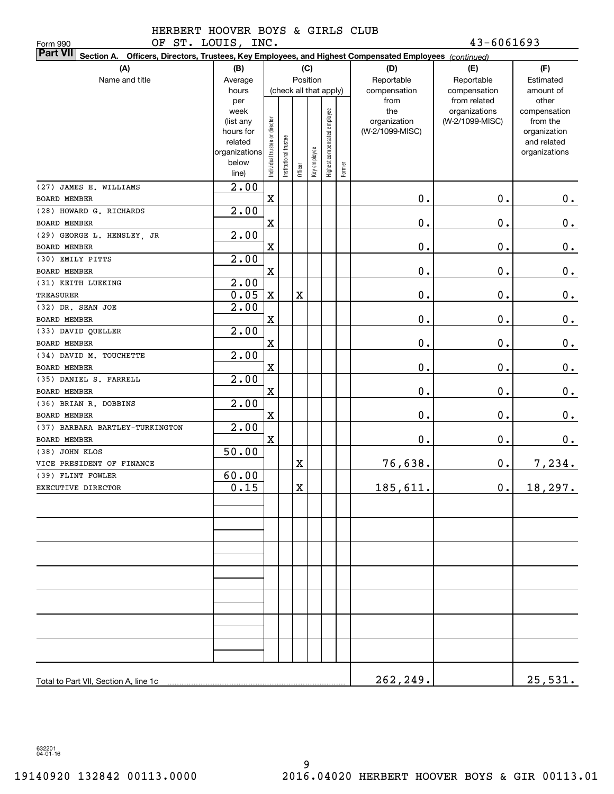$0.3 - 6061693$ 

| OF ST. LOUIS, INC.<br>Form 990                                                                                            |                   |                               |                        |             |              |                              |        |                 | 43-6061693      |               |
|---------------------------------------------------------------------------------------------------------------------------|-------------------|-------------------------------|------------------------|-------------|--------------|------------------------------|--------|-----------------|-----------------|---------------|
| <b>Part VII</b><br>Section A. Officers, Directors, Trustees, Key Employees, and Highest Compensated Employees (continued) |                   |                               |                        |             |              |                              |        |                 |                 |               |
| (A)                                                                                                                       | (B)               |                               |                        |             | (C)          |                              |        | (D)             | (E)             | (F)           |
| Name and title                                                                                                            | Average           |                               |                        |             | Position     |                              |        | Reportable      | Reportable      | Estimated     |
|                                                                                                                           | hours             |                               | (check all that apply) |             |              |                              |        | compensation    | compensation    | amount of     |
|                                                                                                                           | per               |                               |                        |             |              |                              |        | from            | from related    | other         |
|                                                                                                                           | week              |                               |                        |             |              |                              |        | the             | organizations   | compensation  |
|                                                                                                                           | (list any         |                               |                        |             |              |                              |        | organization    | (W-2/1099-MISC) | from the      |
|                                                                                                                           | hours for         |                               |                        |             |              |                              |        | (W-2/1099-MISC) |                 | organization  |
|                                                                                                                           | related           |                               |                        |             |              |                              |        |                 |                 | and related   |
|                                                                                                                           | organizations     |                               |                        |             |              |                              |        |                 |                 | organizations |
|                                                                                                                           | below<br>line)    | ndividual trustee or director | nstitutional trustee   | Officer     | Key employee | Highest compensated employee | Former |                 |                 |               |
|                                                                                                                           |                   |                               |                        |             |              |                              |        |                 |                 |               |
| (27) JAMES E. WILLIAMS                                                                                                    | 2.00              |                               |                        |             |              |                              |        |                 |                 |               |
| BOARD MEMBER                                                                                                              |                   | $\mathbf X$                   |                        |             |              |                              |        | 0.              | 0.              | $0_{.}$       |
| (28) HOWARD G. RICHARDS                                                                                                   | 2.00              |                               |                        |             |              |                              |        |                 |                 |               |
| BOARD MEMBER                                                                                                              |                   | $\mathbf X$                   |                        |             |              |                              |        | 0.              | $0$ .           | $0_{.}$       |
| (29) GEORGE L. HENSLEY, JR                                                                                                | 2.00              |                               |                        |             |              |                              |        |                 |                 |               |
| <b>BOARD MEMBER</b>                                                                                                       |                   | $\mathbf X$                   |                        |             |              |                              |        | 0.              | 0.              | $0_{.}$       |
| (30) EMILY PITTS                                                                                                          | 2.00              |                               |                        |             |              |                              |        |                 |                 |               |
| BOARD MEMBER                                                                                                              |                   | $\mathbf X$                   |                        |             |              |                              |        | 0.              | 0.              | $0_{.}$       |
| (31) KEITH LUEKING                                                                                                        | $\overline{2.00}$ |                               |                        |             |              |                              |        |                 |                 |               |
| TREASURER                                                                                                                 | 0.05              | X                             |                        | $\mathbf X$ |              |                              |        | 0.              | 0.              | $0_{.}$       |
| (32) DR. SEAN JOE                                                                                                         | 2.00              |                               |                        |             |              |                              |        |                 |                 |               |
| BOARD MEMBER                                                                                                              |                   | X                             |                        |             |              |                              |        | 0.              | 0.              | $0_{.}$       |
| (33) DAVID QUELLER                                                                                                        | 2.00              |                               |                        |             |              |                              |        |                 |                 |               |
| BOARD MEMBER                                                                                                              |                   | $\mathbf X$                   |                        |             |              |                              |        | 0.              | 0.              | $0_{.}$       |
| (34) DAVID M. TOUCHETTE                                                                                                   | 2.00              |                               |                        |             |              |                              |        |                 |                 |               |
| BOARD MEMBER                                                                                                              |                   | $\mathbf X$                   |                        |             |              |                              |        | 0.              | 0.              | $0_{.}$       |
| (35) DANIEL S. FARRELL                                                                                                    | 2.00              |                               |                        |             |              |                              |        |                 |                 |               |
| BOARD MEMBER                                                                                                              |                   | $\mathbf X$                   |                        |             |              |                              |        | 0.              | 0.              | $0_{.}$       |
| (36) BRIAN R. DOBBINS                                                                                                     | 2.00              |                               |                        |             |              |                              |        |                 |                 |               |
| BOARD MEMBER                                                                                                              |                   | $\mathbf X$                   |                        |             |              |                              |        | 0.              | 0.              | $0_{.}$       |
| (37) BARBARA BARTLEY-TURKINGTON                                                                                           | 2.00              |                               |                        |             |              |                              |        |                 |                 |               |
| BOARD MEMBER                                                                                                              |                   | $\mathbf X$                   |                        |             |              |                              |        | 0.              | $0$ .           | 0.            |
| (38) JOHN KLOS                                                                                                            | 50.00             |                               |                        |             |              |                              |        |                 |                 |               |
| VICE PRESIDENT OF FINANCE                                                                                                 |                   |                               |                        | $\mathbf X$ |              |                              |        | 76,638.         | 0.              | 7,234.        |
| (39) FLINT FOWLER                                                                                                         | 60.00             |                               |                        |             |              |                              |        |                 |                 |               |
| EXECUTIVE DIRECTOR                                                                                                        | 0.15              |                               |                        | $\mathbf X$ |              |                              |        | 185,611.        | $0$ .           | 18, 297.      |
|                                                                                                                           |                   |                               |                        |             |              |                              |        |                 |                 |               |
|                                                                                                                           |                   |                               |                        |             |              |                              |        |                 |                 |               |
|                                                                                                                           |                   |                               |                        |             |              |                              |        |                 |                 |               |
|                                                                                                                           |                   |                               |                        |             |              |                              |        |                 |                 |               |
|                                                                                                                           |                   |                               |                        |             |              |                              |        |                 |                 |               |
|                                                                                                                           |                   |                               |                        |             |              |                              |        |                 |                 |               |
|                                                                                                                           |                   |                               |                        |             |              |                              |        |                 |                 |               |
|                                                                                                                           |                   |                               |                        |             |              |                              |        |                 |                 |               |
|                                                                                                                           |                   |                               |                        |             |              |                              |        |                 |                 |               |
|                                                                                                                           |                   |                               |                        |             |              |                              |        |                 |                 |               |
|                                                                                                                           |                   |                               |                        |             |              |                              |        |                 |                 |               |
|                                                                                                                           |                   |                               |                        |             |              |                              |        |                 |                 |               |
|                                                                                                                           |                   |                               |                        |             |              |                              |        |                 |                 |               |
|                                                                                                                           |                   |                               |                        |             |              |                              |        |                 |                 |               |
|                                                                                                                           |                   |                               |                        |             |              |                              |        |                 |                 |               |
|                                                                                                                           |                   |                               |                        |             |              |                              |        | 262,249.        |                 | 25,531.       |
| Total to Part VII, Section A, line 1c                                                                                     |                   |                               |                        |             |              |                              |        |                 |                 |               |

632201 04-01-16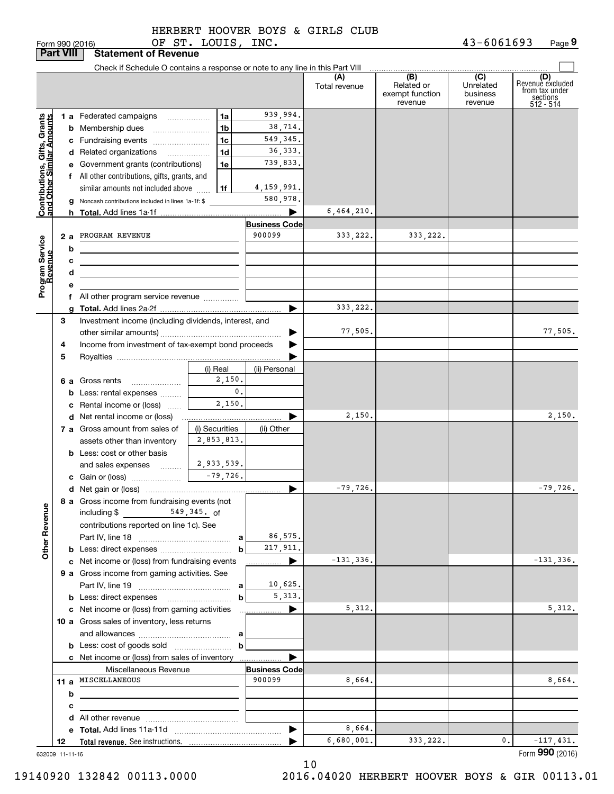| Form 990 (2016 |  |  |
|----------------|--|--|

| Check if Schedule O contains a response or note to any line in this Part VIII<br>(B)<br>(C)<br>(A)<br>(D)<br>Revenue excluded<br>Related or<br>Unrelated<br>Total revenue<br>from tax under<br>exempt function<br>business<br>sections<br>512 - 514<br>revenue<br>revenue<br>939,994.<br>Contributions, Gifts, Grants<br>and Other Similar Amounts<br>1 a Federated campaigns<br>1a<br>38,714.<br>1 <sub>b</sub><br><b>b</b> Membership dues<br>549, 345.<br>1 <sub>c</sub><br>c Fundraising events<br>36,333.<br>1 <sub>d</sub><br>d Related organizations<br>739,833.<br>1e<br>e Government grants (contributions)<br>f All other contributions, gifts, grants, and<br>4,159,991.<br>similar amounts not included above<br>1f<br>580,978.<br>g Noncash contributions included in lines 1a-1f: \$<br>6,464,210.<br>▶<br><b>Business Code</b><br>900099<br>PROGRAM REVENUE<br>333,222.<br>333, 222.<br>2a<br>Program Service<br>Revenue<br>b<br>с<br>d<br><u> 1989 - Johann Stein, marwolaethau a bhann an t-Amhair an t-Amhair an t-Amhair an t-Amhair an t-Amhair an t-A</u><br>е<br>f All other program service revenue<br>333, 222.<br>▶<br>З<br>Investment income (including dividends, interest, and<br>77,505.<br>77,505.<br>Income from investment of tax-exempt bond proceeds<br>4<br>5<br>(i) Real<br>(ii) Personal<br>2,150.<br>6 a Gross rents<br>$\mathbf{0}$ .<br><b>b</b> Less: rental expenses<br>2,150.<br>c Rental income or (loss)<br>2,150.<br>2,150.<br><b>d</b> Net rental income or (loss)<br>7 a Gross amount from sales of<br>(i) Securities<br>(ii) Other<br>2,853,813.<br>assets other than inventory<br><b>b</b> Less: cost or other basis<br>2,933,539.<br>and sales expenses<br>$-79,726$ ,<br>$-79,726.$<br>▶<br>8 a Gross income from fundraising events (not<br><b>Other Revenue</b><br>$549,345$ . of<br>including \$<br>contributions reported on line 1c). See<br>86,575.<br>a<br>217,911.<br>b<br>$-131, 336.$<br>$-131, 336.$<br>c Net income or (loss) from fundraising events<br>▶<br>9 a Gross income from gaming activities. See<br>10,625.<br>a<br>5,313.<br><b>b</b> Less: direct expenses <b>contained b</b> Less: direct expenses<br>b<br>5,312.<br>5,312.<br>c Net income or (loss) from gaming activities<br>▶<br>10 a Gross sales of inventory, less returns<br>b<br>c Net income or (loss) from sales of inventory<br>Miscellaneous Revenue<br><b>Business Code</b><br>900099<br>8,664.<br>11 a MISCELLANEOUS<br>8,664.<br>b<br><u> 1980 - Jan Alexandria (h. 1980).</u><br>с<br>8,664.<br>▶<br>6,680,001.<br>333, 222.<br>$-117,431.$<br>$\mathbf 0$ .<br>12<br>Form 990 (2016)<br>632009 11-11-16 |  | <b>Part VIII</b> | <b>Statement of Revenue</b> |  |  |  |
|-------------------------------------------------------------------------------------------------------------------------------------------------------------------------------------------------------------------------------------------------------------------------------------------------------------------------------------------------------------------------------------------------------------------------------------------------------------------------------------------------------------------------------------------------------------------------------------------------------------------------------------------------------------------------------------------------------------------------------------------------------------------------------------------------------------------------------------------------------------------------------------------------------------------------------------------------------------------------------------------------------------------------------------------------------------------------------------------------------------------------------------------------------------------------------------------------------------------------------------------------------------------------------------------------------------------------------------------------------------------------------------------------------------------------------------------------------------------------------------------------------------------------------------------------------------------------------------------------------------------------------------------------------------------------------------------------------------------------------------------------------------------------------------------------------------------------------------------------------------------------------------------------------------------------------------------------------------------------------------------------------------------------------------------------------------------------------------------------------------------------------------------------------------------------------------------------------------------------------------------------------------------------------------------------------------------------------------------------------------------------------------------------------------------------------------------------------------------------------------------------------------------------------------------------------------------------------------------------------------------------------------------------------|--|------------------|-----------------------------|--|--|--|
|                                                                                                                                                                                                                                                                                                                                                                                                                                                                                                                                                                                                                                                                                                                                                                                                                                                                                                                                                                                                                                                                                                                                                                                                                                                                                                                                                                                                                                                                                                                                                                                                                                                                                                                                                                                                                                                                                                                                                                                                                                                                                                                                                                                                                                                                                                                                                                                                                                                                                                                                                                                                                                                       |  |                  |                             |  |  |  |
|                                                                                                                                                                                                                                                                                                                                                                                                                                                                                                                                                                                                                                                                                                                                                                                                                                                                                                                                                                                                                                                                                                                                                                                                                                                                                                                                                                                                                                                                                                                                                                                                                                                                                                                                                                                                                                                                                                                                                                                                                                                                                                                                                                                                                                                                                                                                                                                                                                                                                                                                                                                                                                                       |  |                  |                             |  |  |  |
|                                                                                                                                                                                                                                                                                                                                                                                                                                                                                                                                                                                                                                                                                                                                                                                                                                                                                                                                                                                                                                                                                                                                                                                                                                                                                                                                                                                                                                                                                                                                                                                                                                                                                                                                                                                                                                                                                                                                                                                                                                                                                                                                                                                                                                                                                                                                                                                                                                                                                                                                                                                                                                                       |  |                  |                             |  |  |  |
|                                                                                                                                                                                                                                                                                                                                                                                                                                                                                                                                                                                                                                                                                                                                                                                                                                                                                                                                                                                                                                                                                                                                                                                                                                                                                                                                                                                                                                                                                                                                                                                                                                                                                                                                                                                                                                                                                                                                                                                                                                                                                                                                                                                                                                                                                                                                                                                                                                                                                                                                                                                                                                                       |  |                  |                             |  |  |  |
|                                                                                                                                                                                                                                                                                                                                                                                                                                                                                                                                                                                                                                                                                                                                                                                                                                                                                                                                                                                                                                                                                                                                                                                                                                                                                                                                                                                                                                                                                                                                                                                                                                                                                                                                                                                                                                                                                                                                                                                                                                                                                                                                                                                                                                                                                                                                                                                                                                                                                                                                                                                                                                                       |  |                  |                             |  |  |  |
|                                                                                                                                                                                                                                                                                                                                                                                                                                                                                                                                                                                                                                                                                                                                                                                                                                                                                                                                                                                                                                                                                                                                                                                                                                                                                                                                                                                                                                                                                                                                                                                                                                                                                                                                                                                                                                                                                                                                                                                                                                                                                                                                                                                                                                                                                                                                                                                                                                                                                                                                                                                                                                                       |  |                  |                             |  |  |  |
|                                                                                                                                                                                                                                                                                                                                                                                                                                                                                                                                                                                                                                                                                                                                                                                                                                                                                                                                                                                                                                                                                                                                                                                                                                                                                                                                                                                                                                                                                                                                                                                                                                                                                                                                                                                                                                                                                                                                                                                                                                                                                                                                                                                                                                                                                                                                                                                                                                                                                                                                                                                                                                                       |  |                  |                             |  |  |  |
|                                                                                                                                                                                                                                                                                                                                                                                                                                                                                                                                                                                                                                                                                                                                                                                                                                                                                                                                                                                                                                                                                                                                                                                                                                                                                                                                                                                                                                                                                                                                                                                                                                                                                                                                                                                                                                                                                                                                                                                                                                                                                                                                                                                                                                                                                                                                                                                                                                                                                                                                                                                                                                                       |  |                  |                             |  |  |  |
|                                                                                                                                                                                                                                                                                                                                                                                                                                                                                                                                                                                                                                                                                                                                                                                                                                                                                                                                                                                                                                                                                                                                                                                                                                                                                                                                                                                                                                                                                                                                                                                                                                                                                                                                                                                                                                                                                                                                                                                                                                                                                                                                                                                                                                                                                                                                                                                                                                                                                                                                                                                                                                                       |  |                  |                             |  |  |  |
|                                                                                                                                                                                                                                                                                                                                                                                                                                                                                                                                                                                                                                                                                                                                                                                                                                                                                                                                                                                                                                                                                                                                                                                                                                                                                                                                                                                                                                                                                                                                                                                                                                                                                                                                                                                                                                                                                                                                                                                                                                                                                                                                                                                                                                                                                                                                                                                                                                                                                                                                                                                                                                                       |  |                  |                             |  |  |  |
|                                                                                                                                                                                                                                                                                                                                                                                                                                                                                                                                                                                                                                                                                                                                                                                                                                                                                                                                                                                                                                                                                                                                                                                                                                                                                                                                                                                                                                                                                                                                                                                                                                                                                                                                                                                                                                                                                                                                                                                                                                                                                                                                                                                                                                                                                                                                                                                                                                                                                                                                                                                                                                                       |  |                  |                             |  |  |  |
|                                                                                                                                                                                                                                                                                                                                                                                                                                                                                                                                                                                                                                                                                                                                                                                                                                                                                                                                                                                                                                                                                                                                                                                                                                                                                                                                                                                                                                                                                                                                                                                                                                                                                                                                                                                                                                                                                                                                                                                                                                                                                                                                                                                                                                                                                                                                                                                                                                                                                                                                                                                                                                                       |  |                  |                             |  |  |  |
|                                                                                                                                                                                                                                                                                                                                                                                                                                                                                                                                                                                                                                                                                                                                                                                                                                                                                                                                                                                                                                                                                                                                                                                                                                                                                                                                                                                                                                                                                                                                                                                                                                                                                                                                                                                                                                                                                                                                                                                                                                                                                                                                                                                                                                                                                                                                                                                                                                                                                                                                                                                                                                                       |  |                  |                             |  |  |  |
|                                                                                                                                                                                                                                                                                                                                                                                                                                                                                                                                                                                                                                                                                                                                                                                                                                                                                                                                                                                                                                                                                                                                                                                                                                                                                                                                                                                                                                                                                                                                                                                                                                                                                                                                                                                                                                                                                                                                                                                                                                                                                                                                                                                                                                                                                                                                                                                                                                                                                                                                                                                                                                                       |  |                  |                             |  |  |  |
|                                                                                                                                                                                                                                                                                                                                                                                                                                                                                                                                                                                                                                                                                                                                                                                                                                                                                                                                                                                                                                                                                                                                                                                                                                                                                                                                                                                                                                                                                                                                                                                                                                                                                                                                                                                                                                                                                                                                                                                                                                                                                                                                                                                                                                                                                                                                                                                                                                                                                                                                                                                                                                                       |  |                  |                             |  |  |  |
|                                                                                                                                                                                                                                                                                                                                                                                                                                                                                                                                                                                                                                                                                                                                                                                                                                                                                                                                                                                                                                                                                                                                                                                                                                                                                                                                                                                                                                                                                                                                                                                                                                                                                                                                                                                                                                                                                                                                                                                                                                                                                                                                                                                                                                                                                                                                                                                                                                                                                                                                                                                                                                                       |  |                  |                             |  |  |  |
|                                                                                                                                                                                                                                                                                                                                                                                                                                                                                                                                                                                                                                                                                                                                                                                                                                                                                                                                                                                                                                                                                                                                                                                                                                                                                                                                                                                                                                                                                                                                                                                                                                                                                                                                                                                                                                                                                                                                                                                                                                                                                                                                                                                                                                                                                                                                                                                                                                                                                                                                                                                                                                                       |  |                  |                             |  |  |  |
|                                                                                                                                                                                                                                                                                                                                                                                                                                                                                                                                                                                                                                                                                                                                                                                                                                                                                                                                                                                                                                                                                                                                                                                                                                                                                                                                                                                                                                                                                                                                                                                                                                                                                                                                                                                                                                                                                                                                                                                                                                                                                                                                                                                                                                                                                                                                                                                                                                                                                                                                                                                                                                                       |  |                  |                             |  |  |  |
|                                                                                                                                                                                                                                                                                                                                                                                                                                                                                                                                                                                                                                                                                                                                                                                                                                                                                                                                                                                                                                                                                                                                                                                                                                                                                                                                                                                                                                                                                                                                                                                                                                                                                                                                                                                                                                                                                                                                                                                                                                                                                                                                                                                                                                                                                                                                                                                                                                                                                                                                                                                                                                                       |  |                  |                             |  |  |  |
|                                                                                                                                                                                                                                                                                                                                                                                                                                                                                                                                                                                                                                                                                                                                                                                                                                                                                                                                                                                                                                                                                                                                                                                                                                                                                                                                                                                                                                                                                                                                                                                                                                                                                                                                                                                                                                                                                                                                                                                                                                                                                                                                                                                                                                                                                                                                                                                                                                                                                                                                                                                                                                                       |  |                  |                             |  |  |  |
|                                                                                                                                                                                                                                                                                                                                                                                                                                                                                                                                                                                                                                                                                                                                                                                                                                                                                                                                                                                                                                                                                                                                                                                                                                                                                                                                                                                                                                                                                                                                                                                                                                                                                                                                                                                                                                                                                                                                                                                                                                                                                                                                                                                                                                                                                                                                                                                                                                                                                                                                                                                                                                                       |  |                  |                             |  |  |  |
|                                                                                                                                                                                                                                                                                                                                                                                                                                                                                                                                                                                                                                                                                                                                                                                                                                                                                                                                                                                                                                                                                                                                                                                                                                                                                                                                                                                                                                                                                                                                                                                                                                                                                                                                                                                                                                                                                                                                                                                                                                                                                                                                                                                                                                                                                                                                                                                                                                                                                                                                                                                                                                                       |  |                  |                             |  |  |  |
|                                                                                                                                                                                                                                                                                                                                                                                                                                                                                                                                                                                                                                                                                                                                                                                                                                                                                                                                                                                                                                                                                                                                                                                                                                                                                                                                                                                                                                                                                                                                                                                                                                                                                                                                                                                                                                                                                                                                                                                                                                                                                                                                                                                                                                                                                                                                                                                                                                                                                                                                                                                                                                                       |  |                  |                             |  |  |  |
|                                                                                                                                                                                                                                                                                                                                                                                                                                                                                                                                                                                                                                                                                                                                                                                                                                                                                                                                                                                                                                                                                                                                                                                                                                                                                                                                                                                                                                                                                                                                                                                                                                                                                                                                                                                                                                                                                                                                                                                                                                                                                                                                                                                                                                                                                                                                                                                                                                                                                                                                                                                                                                                       |  |                  |                             |  |  |  |
|                                                                                                                                                                                                                                                                                                                                                                                                                                                                                                                                                                                                                                                                                                                                                                                                                                                                                                                                                                                                                                                                                                                                                                                                                                                                                                                                                                                                                                                                                                                                                                                                                                                                                                                                                                                                                                                                                                                                                                                                                                                                                                                                                                                                                                                                                                                                                                                                                                                                                                                                                                                                                                                       |  |                  |                             |  |  |  |
|                                                                                                                                                                                                                                                                                                                                                                                                                                                                                                                                                                                                                                                                                                                                                                                                                                                                                                                                                                                                                                                                                                                                                                                                                                                                                                                                                                                                                                                                                                                                                                                                                                                                                                                                                                                                                                                                                                                                                                                                                                                                                                                                                                                                                                                                                                                                                                                                                                                                                                                                                                                                                                                       |  |                  |                             |  |  |  |
|                                                                                                                                                                                                                                                                                                                                                                                                                                                                                                                                                                                                                                                                                                                                                                                                                                                                                                                                                                                                                                                                                                                                                                                                                                                                                                                                                                                                                                                                                                                                                                                                                                                                                                                                                                                                                                                                                                                                                                                                                                                                                                                                                                                                                                                                                                                                                                                                                                                                                                                                                                                                                                                       |  |                  |                             |  |  |  |
|                                                                                                                                                                                                                                                                                                                                                                                                                                                                                                                                                                                                                                                                                                                                                                                                                                                                                                                                                                                                                                                                                                                                                                                                                                                                                                                                                                                                                                                                                                                                                                                                                                                                                                                                                                                                                                                                                                                                                                                                                                                                                                                                                                                                                                                                                                                                                                                                                                                                                                                                                                                                                                                       |  |                  |                             |  |  |  |
|                                                                                                                                                                                                                                                                                                                                                                                                                                                                                                                                                                                                                                                                                                                                                                                                                                                                                                                                                                                                                                                                                                                                                                                                                                                                                                                                                                                                                                                                                                                                                                                                                                                                                                                                                                                                                                                                                                                                                                                                                                                                                                                                                                                                                                                                                                                                                                                                                                                                                                                                                                                                                                                       |  |                  |                             |  |  |  |
|                                                                                                                                                                                                                                                                                                                                                                                                                                                                                                                                                                                                                                                                                                                                                                                                                                                                                                                                                                                                                                                                                                                                                                                                                                                                                                                                                                                                                                                                                                                                                                                                                                                                                                                                                                                                                                                                                                                                                                                                                                                                                                                                                                                                                                                                                                                                                                                                                                                                                                                                                                                                                                                       |  |                  |                             |  |  |  |
|                                                                                                                                                                                                                                                                                                                                                                                                                                                                                                                                                                                                                                                                                                                                                                                                                                                                                                                                                                                                                                                                                                                                                                                                                                                                                                                                                                                                                                                                                                                                                                                                                                                                                                                                                                                                                                                                                                                                                                                                                                                                                                                                                                                                                                                                                                                                                                                                                                                                                                                                                                                                                                                       |  |                  |                             |  |  |  |
|                                                                                                                                                                                                                                                                                                                                                                                                                                                                                                                                                                                                                                                                                                                                                                                                                                                                                                                                                                                                                                                                                                                                                                                                                                                                                                                                                                                                                                                                                                                                                                                                                                                                                                                                                                                                                                                                                                                                                                                                                                                                                                                                                                                                                                                                                                                                                                                                                                                                                                                                                                                                                                                       |  |                  |                             |  |  |  |
|                                                                                                                                                                                                                                                                                                                                                                                                                                                                                                                                                                                                                                                                                                                                                                                                                                                                                                                                                                                                                                                                                                                                                                                                                                                                                                                                                                                                                                                                                                                                                                                                                                                                                                                                                                                                                                                                                                                                                                                                                                                                                                                                                                                                                                                                                                                                                                                                                                                                                                                                                                                                                                                       |  |                  |                             |  |  |  |
|                                                                                                                                                                                                                                                                                                                                                                                                                                                                                                                                                                                                                                                                                                                                                                                                                                                                                                                                                                                                                                                                                                                                                                                                                                                                                                                                                                                                                                                                                                                                                                                                                                                                                                                                                                                                                                                                                                                                                                                                                                                                                                                                                                                                                                                                                                                                                                                                                                                                                                                                                                                                                                                       |  |                  |                             |  |  |  |
|                                                                                                                                                                                                                                                                                                                                                                                                                                                                                                                                                                                                                                                                                                                                                                                                                                                                                                                                                                                                                                                                                                                                                                                                                                                                                                                                                                                                                                                                                                                                                                                                                                                                                                                                                                                                                                                                                                                                                                                                                                                                                                                                                                                                                                                                                                                                                                                                                                                                                                                                                                                                                                                       |  |                  |                             |  |  |  |
|                                                                                                                                                                                                                                                                                                                                                                                                                                                                                                                                                                                                                                                                                                                                                                                                                                                                                                                                                                                                                                                                                                                                                                                                                                                                                                                                                                                                                                                                                                                                                                                                                                                                                                                                                                                                                                                                                                                                                                                                                                                                                                                                                                                                                                                                                                                                                                                                                                                                                                                                                                                                                                                       |  |                  |                             |  |  |  |
|                                                                                                                                                                                                                                                                                                                                                                                                                                                                                                                                                                                                                                                                                                                                                                                                                                                                                                                                                                                                                                                                                                                                                                                                                                                                                                                                                                                                                                                                                                                                                                                                                                                                                                                                                                                                                                                                                                                                                                                                                                                                                                                                                                                                                                                                                                                                                                                                                                                                                                                                                                                                                                                       |  |                  |                             |  |  |  |
|                                                                                                                                                                                                                                                                                                                                                                                                                                                                                                                                                                                                                                                                                                                                                                                                                                                                                                                                                                                                                                                                                                                                                                                                                                                                                                                                                                                                                                                                                                                                                                                                                                                                                                                                                                                                                                                                                                                                                                                                                                                                                                                                                                                                                                                                                                                                                                                                                                                                                                                                                                                                                                                       |  |                  |                             |  |  |  |
|                                                                                                                                                                                                                                                                                                                                                                                                                                                                                                                                                                                                                                                                                                                                                                                                                                                                                                                                                                                                                                                                                                                                                                                                                                                                                                                                                                                                                                                                                                                                                                                                                                                                                                                                                                                                                                                                                                                                                                                                                                                                                                                                                                                                                                                                                                                                                                                                                                                                                                                                                                                                                                                       |  |                  |                             |  |  |  |
|                                                                                                                                                                                                                                                                                                                                                                                                                                                                                                                                                                                                                                                                                                                                                                                                                                                                                                                                                                                                                                                                                                                                                                                                                                                                                                                                                                                                                                                                                                                                                                                                                                                                                                                                                                                                                                                                                                                                                                                                                                                                                                                                                                                                                                                                                                                                                                                                                                                                                                                                                                                                                                                       |  |                  |                             |  |  |  |
|                                                                                                                                                                                                                                                                                                                                                                                                                                                                                                                                                                                                                                                                                                                                                                                                                                                                                                                                                                                                                                                                                                                                                                                                                                                                                                                                                                                                                                                                                                                                                                                                                                                                                                                                                                                                                                                                                                                                                                                                                                                                                                                                                                                                                                                                                                                                                                                                                                                                                                                                                                                                                                                       |  |                  |                             |  |  |  |
|                                                                                                                                                                                                                                                                                                                                                                                                                                                                                                                                                                                                                                                                                                                                                                                                                                                                                                                                                                                                                                                                                                                                                                                                                                                                                                                                                                                                                                                                                                                                                                                                                                                                                                                                                                                                                                                                                                                                                                                                                                                                                                                                                                                                                                                                                                                                                                                                                                                                                                                                                                                                                                                       |  |                  |                             |  |  |  |
|                                                                                                                                                                                                                                                                                                                                                                                                                                                                                                                                                                                                                                                                                                                                                                                                                                                                                                                                                                                                                                                                                                                                                                                                                                                                                                                                                                                                                                                                                                                                                                                                                                                                                                                                                                                                                                                                                                                                                                                                                                                                                                                                                                                                                                                                                                                                                                                                                                                                                                                                                                                                                                                       |  |                  |                             |  |  |  |
|                                                                                                                                                                                                                                                                                                                                                                                                                                                                                                                                                                                                                                                                                                                                                                                                                                                                                                                                                                                                                                                                                                                                                                                                                                                                                                                                                                                                                                                                                                                                                                                                                                                                                                                                                                                                                                                                                                                                                                                                                                                                                                                                                                                                                                                                                                                                                                                                                                                                                                                                                                                                                                                       |  |                  |                             |  |  |  |
|                                                                                                                                                                                                                                                                                                                                                                                                                                                                                                                                                                                                                                                                                                                                                                                                                                                                                                                                                                                                                                                                                                                                                                                                                                                                                                                                                                                                                                                                                                                                                                                                                                                                                                                                                                                                                                                                                                                                                                                                                                                                                                                                                                                                                                                                                                                                                                                                                                                                                                                                                                                                                                                       |  |                  |                             |  |  |  |
|                                                                                                                                                                                                                                                                                                                                                                                                                                                                                                                                                                                                                                                                                                                                                                                                                                                                                                                                                                                                                                                                                                                                                                                                                                                                                                                                                                                                                                                                                                                                                                                                                                                                                                                                                                                                                                                                                                                                                                                                                                                                                                                                                                                                                                                                                                                                                                                                                                                                                                                                                                                                                                                       |  |                  |                             |  |  |  |
|                                                                                                                                                                                                                                                                                                                                                                                                                                                                                                                                                                                                                                                                                                                                                                                                                                                                                                                                                                                                                                                                                                                                                                                                                                                                                                                                                                                                                                                                                                                                                                                                                                                                                                                                                                                                                                                                                                                                                                                                                                                                                                                                                                                                                                                                                                                                                                                                                                                                                                                                                                                                                                                       |  |                  |                             |  |  |  |
|                                                                                                                                                                                                                                                                                                                                                                                                                                                                                                                                                                                                                                                                                                                                                                                                                                                                                                                                                                                                                                                                                                                                                                                                                                                                                                                                                                                                                                                                                                                                                                                                                                                                                                                                                                                                                                                                                                                                                                                                                                                                                                                                                                                                                                                                                                                                                                                                                                                                                                                                                                                                                                                       |  |                  |                             |  |  |  |
|                                                                                                                                                                                                                                                                                                                                                                                                                                                                                                                                                                                                                                                                                                                                                                                                                                                                                                                                                                                                                                                                                                                                                                                                                                                                                                                                                                                                                                                                                                                                                                                                                                                                                                                                                                                                                                                                                                                                                                                                                                                                                                                                                                                                                                                                                                                                                                                                                                                                                                                                                                                                                                                       |  |                  |                             |  |  |  |
|                                                                                                                                                                                                                                                                                                                                                                                                                                                                                                                                                                                                                                                                                                                                                                                                                                                                                                                                                                                                                                                                                                                                                                                                                                                                                                                                                                                                                                                                                                                                                                                                                                                                                                                                                                                                                                                                                                                                                                                                                                                                                                                                                                                                                                                                                                                                                                                                                                                                                                                                                                                                                                                       |  |                  |                             |  |  |  |
|                                                                                                                                                                                                                                                                                                                                                                                                                                                                                                                                                                                                                                                                                                                                                                                                                                                                                                                                                                                                                                                                                                                                                                                                                                                                                                                                                                                                                                                                                                                                                                                                                                                                                                                                                                                                                                                                                                                                                                                                                                                                                                                                                                                                                                                                                                                                                                                                                                                                                                                                                                                                                                                       |  |                  |                             |  |  |  |
|                                                                                                                                                                                                                                                                                                                                                                                                                                                                                                                                                                                                                                                                                                                                                                                                                                                                                                                                                                                                                                                                                                                                                                                                                                                                                                                                                                                                                                                                                                                                                                                                                                                                                                                                                                                                                                                                                                                                                                                                                                                                                                                                                                                                                                                                                                                                                                                                                                                                                                                                                                                                                                                       |  |                  |                             |  |  |  |
|                                                                                                                                                                                                                                                                                                                                                                                                                                                                                                                                                                                                                                                                                                                                                                                                                                                                                                                                                                                                                                                                                                                                                                                                                                                                                                                                                                                                                                                                                                                                                                                                                                                                                                                                                                                                                                                                                                                                                                                                                                                                                                                                                                                                                                                                                                                                                                                                                                                                                                                                                                                                                                                       |  |                  |                             |  |  |  |
|                                                                                                                                                                                                                                                                                                                                                                                                                                                                                                                                                                                                                                                                                                                                                                                                                                                                                                                                                                                                                                                                                                                                                                                                                                                                                                                                                                                                                                                                                                                                                                                                                                                                                                                                                                                                                                                                                                                                                                                                                                                                                                                                                                                                                                                                                                                                                                                                                                                                                                                                                                                                                                                       |  |                  |                             |  |  |  |
|                                                                                                                                                                                                                                                                                                                                                                                                                                                                                                                                                                                                                                                                                                                                                                                                                                                                                                                                                                                                                                                                                                                                                                                                                                                                                                                                                                                                                                                                                                                                                                                                                                                                                                                                                                                                                                                                                                                                                                                                                                                                                                                                                                                                                                                                                                                                                                                                                                                                                                                                                                                                                                                       |  |                  |                             |  |  |  |
|                                                                                                                                                                                                                                                                                                                                                                                                                                                                                                                                                                                                                                                                                                                                                                                                                                                                                                                                                                                                                                                                                                                                                                                                                                                                                                                                                                                                                                                                                                                                                                                                                                                                                                                                                                                                                                                                                                                                                                                                                                                                                                                                                                                                                                                                                                                                                                                                                                                                                                                                                                                                                                                       |  |                  |                             |  |  |  |
|                                                                                                                                                                                                                                                                                                                                                                                                                                                                                                                                                                                                                                                                                                                                                                                                                                                                                                                                                                                                                                                                                                                                                                                                                                                                                                                                                                                                                                                                                                                                                                                                                                                                                                                                                                                                                                                                                                                                                                                                                                                                                                                                                                                                                                                                                                                                                                                                                                                                                                                                                                                                                                                       |  |                  |                             |  |  |  |
|                                                                                                                                                                                                                                                                                                                                                                                                                                                                                                                                                                                                                                                                                                                                                                                                                                                                                                                                                                                                                                                                                                                                                                                                                                                                                                                                                                                                                                                                                                                                                                                                                                                                                                                                                                                                                                                                                                                                                                                                                                                                                                                                                                                                                                                                                                                                                                                                                                                                                                                                                                                                                                                       |  |                  |                             |  |  |  |

10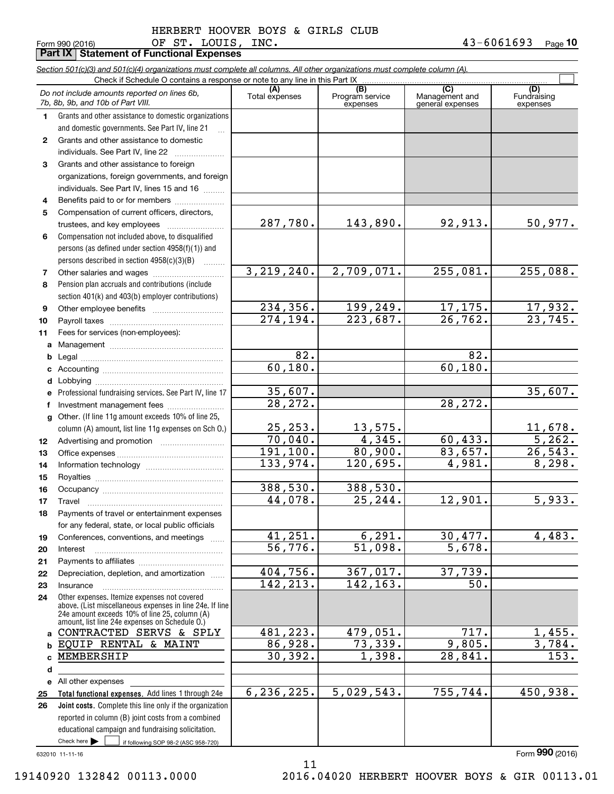# OF ST. LOUIS, INC. HERBERT HOOVER BOYS & GIRLS CLUB

Form 990 (2016) OF ST. LOUIS, INC. 4 3-6 0 6 1 6 9 3 <sub>Page</sub> 10

|        | Part IX   Statement of Functional Expenses                                                                                                                                                                  |                       |                                    |                                           |                                |  |  |  |  |  |  |
|--------|-------------------------------------------------------------------------------------------------------------------------------------------------------------------------------------------------------------|-----------------------|------------------------------------|-------------------------------------------|--------------------------------|--|--|--|--|--|--|
|        | Section 501(c)(3) and 501(c)(4) organizations must complete all columns. All other organizations must complete column (A).                                                                                  |                       |                                    |                                           |                                |  |  |  |  |  |  |
|        | Check if Schedule O contains a response or note to any line in this Part IX .                                                                                                                               |                       |                                    |                                           |                                |  |  |  |  |  |  |
|        | Do not include amounts reported on lines 6b,<br>7b, 8b, 9b, and 10b of Part VIII.                                                                                                                           | (A)<br>Total expenses | (B)<br>Program service<br>expenses | (C)<br>Management and<br>general expenses | (D)<br>Fundraising<br>expenses |  |  |  |  |  |  |
| 1      | Grants and other assistance to domestic organizations                                                                                                                                                       |                       |                                    |                                           |                                |  |  |  |  |  |  |
|        | and domestic governments. See Part IV, line 21                                                                                                                                                              |                       |                                    |                                           |                                |  |  |  |  |  |  |
| 2      | Grants and other assistance to domestic                                                                                                                                                                     |                       |                                    |                                           |                                |  |  |  |  |  |  |
|        | individuals. See Part IV, line 22                                                                                                                                                                           |                       |                                    |                                           |                                |  |  |  |  |  |  |
| 3      | Grants and other assistance to foreign                                                                                                                                                                      |                       |                                    |                                           |                                |  |  |  |  |  |  |
|        | organizations, foreign governments, and foreign                                                                                                                                                             |                       |                                    |                                           |                                |  |  |  |  |  |  |
|        | individuals. See Part IV, lines 15 and 16                                                                                                                                                                   |                       |                                    |                                           |                                |  |  |  |  |  |  |
| 4<br>5 | Benefits paid to or for members<br>Compensation of current officers, directors,                                                                                                                             |                       |                                    |                                           |                                |  |  |  |  |  |  |
|        |                                                                                                                                                                                                             | 287,780.              | 143,890.                           | 92,913.                                   | 50,977.                        |  |  |  |  |  |  |
| 6      | Compensation not included above, to disqualified                                                                                                                                                            |                       |                                    |                                           |                                |  |  |  |  |  |  |
|        | persons (as defined under section 4958(f)(1)) and                                                                                                                                                           |                       |                                    |                                           |                                |  |  |  |  |  |  |
|        | persons described in section 4958(c)(3)(B)                                                                                                                                                                  |                       |                                    |                                           |                                |  |  |  |  |  |  |
| 7      |                                                                                                                                                                                                             | 3, 219, 240.          | 2,709,071.                         | 255,081.                                  | 255,088.                       |  |  |  |  |  |  |
| 8      | Pension plan accruals and contributions (include                                                                                                                                                            |                       |                                    |                                           |                                |  |  |  |  |  |  |
|        | section 401(k) and 403(b) employer contributions)                                                                                                                                                           |                       |                                    |                                           |                                |  |  |  |  |  |  |
| 9      |                                                                                                                                                                                                             | 234, 356.             | 199,249.                           | 17, 175.                                  | 17,932.                        |  |  |  |  |  |  |
| 10     |                                                                                                                                                                                                             | 274,194.              | 223,687.                           | 26, 762.                                  | 23,745.                        |  |  |  |  |  |  |
| 11     | Fees for services (non-employees):                                                                                                                                                                          |                       |                                    |                                           |                                |  |  |  |  |  |  |
|        |                                                                                                                                                                                                             |                       |                                    |                                           |                                |  |  |  |  |  |  |
|        |                                                                                                                                                                                                             | 82.                   |                                    | 82.                                       |                                |  |  |  |  |  |  |
| c      |                                                                                                                                                                                                             | 60,180.               |                                    | 60,180.                                   |                                |  |  |  |  |  |  |
| d      |                                                                                                                                                                                                             |                       |                                    |                                           |                                |  |  |  |  |  |  |
|        | e Professional fundraising services. See Part IV, line 17                                                                                                                                                   | 35,607.<br>28,272.    |                                    | 28, 272.                                  | 35,607.                        |  |  |  |  |  |  |
| f.     |                                                                                                                                                                                                             |                       |                                    |                                           |                                |  |  |  |  |  |  |
|        | g Other. (If line 11g amount exceeds 10% of line 25,                                                                                                                                                        | 25, 253.              | 13,575.                            |                                           | <u>11,678.</u>                 |  |  |  |  |  |  |
| 12     | column (A) amount, list line 11g expenses on Sch O.)                                                                                                                                                        | 70,040.               | 4,345.                             | 60, 433.                                  | 5,262.                         |  |  |  |  |  |  |
| 13     |                                                                                                                                                                                                             | 191,100.              | 80,900.                            | 83,657.                                   | 26,543.                        |  |  |  |  |  |  |
| 14     |                                                                                                                                                                                                             | 133,974.              | 120,695.                           | 4,981.                                    | 8,298.                         |  |  |  |  |  |  |
| 15     |                                                                                                                                                                                                             |                       |                                    |                                           |                                |  |  |  |  |  |  |
| 16     |                                                                                                                                                                                                             | 388,530.              | 388,530.                           |                                           |                                |  |  |  |  |  |  |
| 17     | Travel                                                                                                                                                                                                      | 44,078.               | 25, 244.                           | 12,901.                                   | 5,933.                         |  |  |  |  |  |  |
| 18     | Payments of travel or entertainment expenses                                                                                                                                                                |                       |                                    |                                           |                                |  |  |  |  |  |  |
|        | for any federal, state, or local public officials                                                                                                                                                           |                       |                                    |                                           |                                |  |  |  |  |  |  |
| 19     | Conferences, conventions, and meetings                                                                                                                                                                      | 41,251.               | 6, 291.                            | 30, 477.                                  | 4,483.                         |  |  |  |  |  |  |
| 20     | Interest                                                                                                                                                                                                    | 56, 776.              | 51,098.                            | 5,678.                                    |                                |  |  |  |  |  |  |
| 21     |                                                                                                                                                                                                             |                       |                                    |                                           |                                |  |  |  |  |  |  |
| 22     | Depreciation, depletion, and amortization                                                                                                                                                                   | 404,756.              | 367,017.                           | 37,739.<br>50.                            |                                |  |  |  |  |  |  |
| 23     |                                                                                                                                                                                                             | 142, 213.             | 142,163.                           |                                           |                                |  |  |  |  |  |  |
| 24     | Other expenses. Itemize expenses not covered<br>above. (List miscellaneous expenses in line 24e. If line<br>24e amount exceeds 10% of line 25, column (A)<br>amount, list line 24e expenses on Schedule O.) |                       |                                    |                                           |                                |  |  |  |  |  |  |
| a      | CONTRACTED SERVS & SPLY                                                                                                                                                                                     | 481,223.              | 479,051.                           | 717.                                      | 1,455.                         |  |  |  |  |  |  |
| b      | EQUIP RENTAL & MAINT                                                                                                                                                                                        | 86,928.               | 73,339.                            | 9,805.                                    | 3,784.                         |  |  |  |  |  |  |
|        | MEMBERSHIP                                                                                                                                                                                                  | 30,392.               | 1,398.                             | 28,841.                                   | $\overline{153}$ .             |  |  |  |  |  |  |
| d      |                                                                                                                                                                                                             |                       |                                    |                                           |                                |  |  |  |  |  |  |
|        | e All other expenses                                                                                                                                                                                        |                       |                                    |                                           |                                |  |  |  |  |  |  |
| 25     | Total functional expenses. Add lines 1 through 24e                                                                                                                                                          | 6, 236, 225.          | 5,029,543.                         | 755,744.                                  | 450,938.                       |  |  |  |  |  |  |
| 26     | Joint costs. Complete this line only if the organization                                                                                                                                                    |                       |                                    |                                           |                                |  |  |  |  |  |  |
|        | reported in column (B) joint costs from a combined                                                                                                                                                          |                       |                                    |                                           |                                |  |  |  |  |  |  |
|        | educational campaign and fundraising solicitation.                                                                                                                                                          |                       |                                    |                                           |                                |  |  |  |  |  |  |
|        | Check here $\blacktriangleright$<br>if following SOP 98-2 (ASC 958-720)                                                                                                                                     |                       |                                    |                                           |                                |  |  |  |  |  |  |

632010 11-11-16

# 19140920 132842 00113.0000 2016.04020 HERBERT HOOVER BOYS & GIR 00113.01

Form (2016) **990**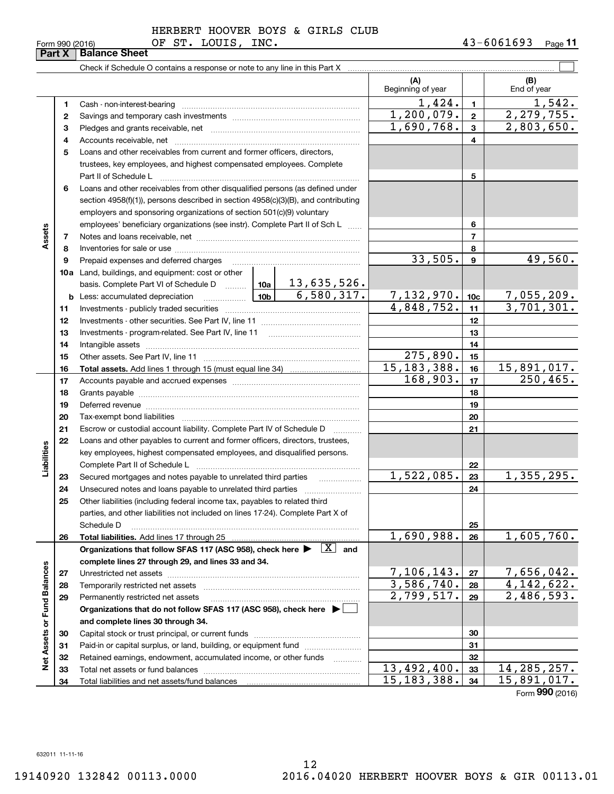|  | HERBERT HOOVER BOYS & GIRLS CLUB |  |  |
|--|----------------------------------|--|--|
|  |                                  |  |  |

Form 990 (2016) OF ST. LOUIS, INC. 43-6061693 <sub>Page</sub> **11**

|                             |    |                                                                                                                                                                                                                                |  | (A)<br>Beginning of year    |                 | (B)<br>End of year       |
|-----------------------------|----|--------------------------------------------------------------------------------------------------------------------------------------------------------------------------------------------------------------------------------|--|-----------------------------|-----------------|--------------------------|
|                             | 1  |                                                                                                                                                                                                                                |  | 1,424.                      | $\mathbf{1}$    | 1,542.                   |
|                             | 2  |                                                                                                                                                                                                                                |  | 1,200,079.                  | $\mathbf{2}$    | 2, 279, 755.             |
|                             | 3  |                                                                                                                                                                                                                                |  | 1,690,768.                  | $\mathbf{3}$    | $\overline{2,803,650}$ . |
|                             | 4  |                                                                                                                                                                                                                                |  |                             | $\overline{4}$  |                          |
|                             | 5  | Loans and other receivables from current and former officers, directors,                                                                                                                                                       |  |                             |                 |                          |
|                             |    | trustees, key employees, and highest compensated employees. Complete                                                                                                                                                           |  |                             |                 |                          |
|                             |    |                                                                                                                                                                                                                                |  |                             | 5               |                          |
|                             | 6  | Loans and other receivables from other disqualified persons (as defined under                                                                                                                                                  |  |                             |                 |                          |
|                             |    | section 4958(f)(1)), persons described in section 4958(c)(3)(B), and contributing                                                                                                                                              |  |                             |                 |                          |
|                             |    | employers and sponsoring organizations of section 501(c)(9) voluntary                                                                                                                                                          |  |                             |                 |                          |
|                             |    | employees' beneficiary organizations (see instr). Complete Part II of Sch L                                                                                                                                                    |  |                             | 6               |                          |
| Assets                      | 7  |                                                                                                                                                                                                                                |  |                             | $\overline{7}$  |                          |
|                             | 8  |                                                                                                                                                                                                                                |  |                             | 8               |                          |
|                             | 9  |                                                                                                                                                                                                                                |  | 33,505.                     | $\mathbf{9}$    | 49,560.                  |
|                             |    | 10a Land, buildings, and equipment: cost or other                                                                                                                                                                              |  |                             |                 |                          |
|                             |    | basis. Complete Part VI of Schedule D    10a   13,635,526.                                                                                                                                                                     |  |                             |                 |                          |
|                             |    |                                                                                                                                                                                                                                |  | 7,132,970.                  | 10 <sub>c</sub> | <u>7,055,209.</u>        |
|                             | 11 |                                                                                                                                                                                                                                |  | 4,848,752.                  | 11              | 3,701,301.               |
|                             | 12 |                                                                                                                                                                                                                                |  |                             | 12              |                          |
|                             | 13 |                                                                                                                                                                                                                                |  |                             | 13              |                          |
|                             | 14 |                                                                                                                                                                                                                                |  |                             | 14              |                          |
|                             | 15 |                                                                                                                                                                                                                                |  | 275,890.                    | 15              |                          |
|                             | 16 |                                                                                                                                                                                                                                |  | 15, 183, 388.               | 16              | 15,891,017.              |
|                             | 17 |                                                                                                                                                                                                                                |  | 168,903.                    | 17              | 250, 465.                |
|                             | 18 |                                                                                                                                                                                                                                |  |                             | 18              |                          |
|                             | 19 | Deferred revenue information and contact the contract of the contract of the contract of the contract of the contract of the contract of the contract of the contract of the contract of the contract of the contract of the c |  | 19                          |                 |                          |
|                             | 20 |                                                                                                                                                                                                                                |  |                             | 20              |                          |
|                             | 21 | Escrow or custodial account liability. Complete Part IV of Schedule D                                                                                                                                                          |  |                             | 21              |                          |
|                             | 22 | Loans and other payables to current and former officers, directors, trustees,                                                                                                                                                  |  |                             |                 |                          |
| Liabilities                 |    | key employees, highest compensated employees, and disqualified persons.                                                                                                                                                        |  |                             | 22              |                          |
|                             | 23 | Secured mortgages and notes payable to unrelated third parties                                                                                                                                                                 |  | 1,522,085.                  | 23              | 1,355,295.               |
|                             | 24 |                                                                                                                                                                                                                                |  |                             | 24              |                          |
|                             | 25 | Other liabilities (including federal income tax, payables to related third                                                                                                                                                     |  |                             |                 |                          |
|                             |    | parties, and other liabilities not included on lines 17-24). Complete Part X of                                                                                                                                                |  |                             |                 |                          |
|                             |    | Schedule D                                                                                                                                                                                                                     |  |                             | 25              |                          |
|                             | 26 |                                                                                                                                                                                                                                |  | 1,690,988.                  | 26              | 1,605,760.               |
|                             |    | Organizations that follow SFAS 117 (ASC 958), check here $\blacktriangleright \begin{array}{ c } \hline X & \text{and} \end{array}$                                                                                            |  |                             |                 |                          |
|                             |    | complete lines 27 through 29, and lines 33 and 34.                                                                                                                                                                             |  |                             |                 |                          |
|                             | 27 |                                                                                                                                                                                                                                |  | 7,106,143.                  | 27              | 7,656,042.               |
|                             | 28 |                                                                                                                                                                                                                                |  | 3,586,740.                  | 28              | 4, 142, 622.             |
|                             | 29 | Permanently restricted net assets                                                                                                                                                                                              |  | 2,799,517.                  | 29              | $\overline{2,486,593}$ . |
|                             |    | Organizations that do not follow SFAS 117 (ASC 958), check here ▶ □                                                                                                                                                            |  |                             |                 |                          |
|                             |    | and complete lines 30 through 34.                                                                                                                                                                                              |  |                             |                 |                          |
|                             | 30 |                                                                                                                                                                                                                                |  |                             | 30              |                          |
| Net Assets or Fund Balances | 31 | Paid-in or capital surplus, or land, building, or equipment fund                                                                                                                                                               |  |                             | 31              |                          |
|                             | 32 | Retained earnings, endowment, accumulated income, or other funds                                                                                                                                                               |  |                             | 32              |                          |
|                             | 33 |                                                                                                                                                                                                                                |  | $\overline{13, 492, 400}$ . | 33              | 14, 285, 257.            |
|                             | 34 | Total liabilities and net assets/fund balances                                                                                                                                                                                 |  | 15, 183, 388.               | 34              | 15,891,017.              |
|                             |    |                                                                                                                                                                                                                                |  |                             |                 | Form 990 (2016)          |

**Part X Balance Sheet**<br>**Part X Balance Sheet**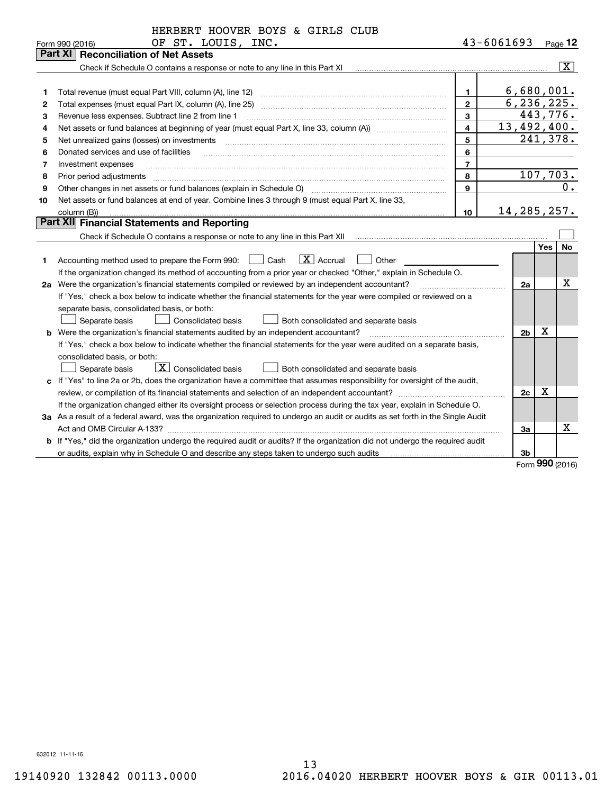| $43 - 6061693$<br>OF ST. LOUIS, INC.<br>Page 12<br>Form 990 (2016)<br><b>Reconciliation of Net Assets</b><br>Part XI<br>$\overline{\mathbf{X}}$<br>Check if Schedule O contains a response or note to any line in this Part XI<br>6,680,001.<br>Total revenue (must equal Part VIII, column (A), line 12)<br>$\mathbf 1$<br>1<br>6, 236, 225.<br>$\mathbf{2}$<br>Total expenses (must equal Part IX, column (A), line 25)<br>2<br>443,776.<br>3<br>Revenue less expenses. Subtract line 2 from line 1<br>3<br>13,492,400.<br>$\overline{\mathbf{4}}$<br>4<br>$\overline{241}$ , 378.<br>5<br>Net unrealized gains (losses) on investments<br>5<br>6<br>Donated services and use of facilities<br>6<br>$\overline{7}$<br>7<br>Investment expenses<br>107,703.<br>8<br>8<br>Prior period adjustments<br>0.<br>Other changes in net assets or fund balances (explain in Schedule O)<br>9<br>9<br>Net assets or fund balances at end of year. Combine lines 3 through 9 (must equal Part X, line 33,<br>10<br>14, 285, 257.<br>10<br>column (B))<br>Part XII Financial Statements and Reporting<br>Check if Schedule O contains a response or note to any line in this Part XII<br>Yes<br>No<br>$\boxed{\text{X}}$ Accrual<br>Accounting method used to prepare the Form 990: [130] Cash<br>Other<br>1<br>If the organization changed its method of accounting from a prior year or checked "Other," explain in Schedule O.<br>x<br>2a Were the organization's financial statements compiled or reviewed by an independent accountant?<br>2a<br>If "Yes," check a box below to indicate whether the financial statements for the year were compiled or reviewed on a<br>separate basis, consolidated basis, or both:<br>Separate basis<br>Consolidated basis<br>Both consolidated and separate basis<br>х<br><b>b</b> Were the organization's financial statements audited by an independent accountant?<br>2 <sub>b</sub><br>If "Yes," check a box below to indicate whether the financial statements for the year were audited on a separate basis,<br>consolidated basis, or both:<br>$\boxed{\textbf{X}}$ Consolidated basis<br>Separate basis<br>Both consolidated and separate basis<br>c If "Yes" to line 2a or 2b, does the organization have a committee that assumes responsibility for oversight of the audit,<br>x<br>review, or compilation of its financial statements and selection of an independent accountant?<br>2c | HERBERT HOOVER BOYS & GIRLS CLUB |  |  |
|------------------------------------------------------------------------------------------------------------------------------------------------------------------------------------------------------------------------------------------------------------------------------------------------------------------------------------------------------------------------------------------------------------------------------------------------------------------------------------------------------------------------------------------------------------------------------------------------------------------------------------------------------------------------------------------------------------------------------------------------------------------------------------------------------------------------------------------------------------------------------------------------------------------------------------------------------------------------------------------------------------------------------------------------------------------------------------------------------------------------------------------------------------------------------------------------------------------------------------------------------------------------------------------------------------------------------------------------------------------------------------------------------------------------------------------------------------------------------------------------------------------------------------------------------------------------------------------------------------------------------------------------------------------------------------------------------------------------------------------------------------------------------------------------------------------------------------------------------------------------------------------------------------------------------------------------------------------------------------------------------------------------------------------------------------------------------------------------------------------------------------------------------------------------------------------------------------------------------------------------------------------------------------------------------------------------------------------------------------------------------------------------------------------------------------|----------------------------------|--|--|
|                                                                                                                                                                                                                                                                                                                                                                                                                                                                                                                                                                                                                                                                                                                                                                                                                                                                                                                                                                                                                                                                                                                                                                                                                                                                                                                                                                                                                                                                                                                                                                                                                                                                                                                                                                                                                                                                                                                                                                                                                                                                                                                                                                                                                                                                                                                                                                                                                                    |                                  |  |  |
|                                                                                                                                                                                                                                                                                                                                                                                                                                                                                                                                                                                                                                                                                                                                                                                                                                                                                                                                                                                                                                                                                                                                                                                                                                                                                                                                                                                                                                                                                                                                                                                                                                                                                                                                                                                                                                                                                                                                                                                                                                                                                                                                                                                                                                                                                                                                                                                                                                    |                                  |  |  |
|                                                                                                                                                                                                                                                                                                                                                                                                                                                                                                                                                                                                                                                                                                                                                                                                                                                                                                                                                                                                                                                                                                                                                                                                                                                                                                                                                                                                                                                                                                                                                                                                                                                                                                                                                                                                                                                                                                                                                                                                                                                                                                                                                                                                                                                                                                                                                                                                                                    |                                  |  |  |
|                                                                                                                                                                                                                                                                                                                                                                                                                                                                                                                                                                                                                                                                                                                                                                                                                                                                                                                                                                                                                                                                                                                                                                                                                                                                                                                                                                                                                                                                                                                                                                                                                                                                                                                                                                                                                                                                                                                                                                                                                                                                                                                                                                                                                                                                                                                                                                                                                                    |                                  |  |  |
|                                                                                                                                                                                                                                                                                                                                                                                                                                                                                                                                                                                                                                                                                                                                                                                                                                                                                                                                                                                                                                                                                                                                                                                                                                                                                                                                                                                                                                                                                                                                                                                                                                                                                                                                                                                                                                                                                                                                                                                                                                                                                                                                                                                                                                                                                                                                                                                                                                    |                                  |  |  |
|                                                                                                                                                                                                                                                                                                                                                                                                                                                                                                                                                                                                                                                                                                                                                                                                                                                                                                                                                                                                                                                                                                                                                                                                                                                                                                                                                                                                                                                                                                                                                                                                                                                                                                                                                                                                                                                                                                                                                                                                                                                                                                                                                                                                                                                                                                                                                                                                                                    |                                  |  |  |
|                                                                                                                                                                                                                                                                                                                                                                                                                                                                                                                                                                                                                                                                                                                                                                                                                                                                                                                                                                                                                                                                                                                                                                                                                                                                                                                                                                                                                                                                                                                                                                                                                                                                                                                                                                                                                                                                                                                                                                                                                                                                                                                                                                                                                                                                                                                                                                                                                                    |                                  |  |  |
|                                                                                                                                                                                                                                                                                                                                                                                                                                                                                                                                                                                                                                                                                                                                                                                                                                                                                                                                                                                                                                                                                                                                                                                                                                                                                                                                                                                                                                                                                                                                                                                                                                                                                                                                                                                                                                                                                                                                                                                                                                                                                                                                                                                                                                                                                                                                                                                                                                    |                                  |  |  |
|                                                                                                                                                                                                                                                                                                                                                                                                                                                                                                                                                                                                                                                                                                                                                                                                                                                                                                                                                                                                                                                                                                                                                                                                                                                                                                                                                                                                                                                                                                                                                                                                                                                                                                                                                                                                                                                                                                                                                                                                                                                                                                                                                                                                                                                                                                                                                                                                                                    |                                  |  |  |
|                                                                                                                                                                                                                                                                                                                                                                                                                                                                                                                                                                                                                                                                                                                                                                                                                                                                                                                                                                                                                                                                                                                                                                                                                                                                                                                                                                                                                                                                                                                                                                                                                                                                                                                                                                                                                                                                                                                                                                                                                                                                                                                                                                                                                                                                                                                                                                                                                                    |                                  |  |  |
|                                                                                                                                                                                                                                                                                                                                                                                                                                                                                                                                                                                                                                                                                                                                                                                                                                                                                                                                                                                                                                                                                                                                                                                                                                                                                                                                                                                                                                                                                                                                                                                                                                                                                                                                                                                                                                                                                                                                                                                                                                                                                                                                                                                                                                                                                                                                                                                                                                    |                                  |  |  |
|                                                                                                                                                                                                                                                                                                                                                                                                                                                                                                                                                                                                                                                                                                                                                                                                                                                                                                                                                                                                                                                                                                                                                                                                                                                                                                                                                                                                                                                                                                                                                                                                                                                                                                                                                                                                                                                                                                                                                                                                                                                                                                                                                                                                                                                                                                                                                                                                                                    |                                  |  |  |
|                                                                                                                                                                                                                                                                                                                                                                                                                                                                                                                                                                                                                                                                                                                                                                                                                                                                                                                                                                                                                                                                                                                                                                                                                                                                                                                                                                                                                                                                                                                                                                                                                                                                                                                                                                                                                                                                                                                                                                                                                                                                                                                                                                                                                                                                                                                                                                                                                                    |                                  |  |  |
|                                                                                                                                                                                                                                                                                                                                                                                                                                                                                                                                                                                                                                                                                                                                                                                                                                                                                                                                                                                                                                                                                                                                                                                                                                                                                                                                                                                                                                                                                                                                                                                                                                                                                                                                                                                                                                                                                                                                                                                                                                                                                                                                                                                                                                                                                                                                                                                                                                    |                                  |  |  |
|                                                                                                                                                                                                                                                                                                                                                                                                                                                                                                                                                                                                                                                                                                                                                                                                                                                                                                                                                                                                                                                                                                                                                                                                                                                                                                                                                                                                                                                                                                                                                                                                                                                                                                                                                                                                                                                                                                                                                                                                                                                                                                                                                                                                                                                                                                                                                                                                                                    |                                  |  |  |
|                                                                                                                                                                                                                                                                                                                                                                                                                                                                                                                                                                                                                                                                                                                                                                                                                                                                                                                                                                                                                                                                                                                                                                                                                                                                                                                                                                                                                                                                                                                                                                                                                                                                                                                                                                                                                                                                                                                                                                                                                                                                                                                                                                                                                                                                                                                                                                                                                                    |                                  |  |  |
|                                                                                                                                                                                                                                                                                                                                                                                                                                                                                                                                                                                                                                                                                                                                                                                                                                                                                                                                                                                                                                                                                                                                                                                                                                                                                                                                                                                                                                                                                                                                                                                                                                                                                                                                                                                                                                                                                                                                                                                                                                                                                                                                                                                                                                                                                                                                                                                                                                    |                                  |  |  |
|                                                                                                                                                                                                                                                                                                                                                                                                                                                                                                                                                                                                                                                                                                                                                                                                                                                                                                                                                                                                                                                                                                                                                                                                                                                                                                                                                                                                                                                                                                                                                                                                                                                                                                                                                                                                                                                                                                                                                                                                                                                                                                                                                                                                                                                                                                                                                                                                                                    |                                  |  |  |
|                                                                                                                                                                                                                                                                                                                                                                                                                                                                                                                                                                                                                                                                                                                                                                                                                                                                                                                                                                                                                                                                                                                                                                                                                                                                                                                                                                                                                                                                                                                                                                                                                                                                                                                                                                                                                                                                                                                                                                                                                                                                                                                                                                                                                                                                                                                                                                                                                                    |                                  |  |  |
|                                                                                                                                                                                                                                                                                                                                                                                                                                                                                                                                                                                                                                                                                                                                                                                                                                                                                                                                                                                                                                                                                                                                                                                                                                                                                                                                                                                                                                                                                                                                                                                                                                                                                                                                                                                                                                                                                                                                                                                                                                                                                                                                                                                                                                                                                                                                                                                                                                    |                                  |  |  |
|                                                                                                                                                                                                                                                                                                                                                                                                                                                                                                                                                                                                                                                                                                                                                                                                                                                                                                                                                                                                                                                                                                                                                                                                                                                                                                                                                                                                                                                                                                                                                                                                                                                                                                                                                                                                                                                                                                                                                                                                                                                                                                                                                                                                                                                                                                                                                                                                                                    |                                  |  |  |
|                                                                                                                                                                                                                                                                                                                                                                                                                                                                                                                                                                                                                                                                                                                                                                                                                                                                                                                                                                                                                                                                                                                                                                                                                                                                                                                                                                                                                                                                                                                                                                                                                                                                                                                                                                                                                                                                                                                                                                                                                                                                                                                                                                                                                                                                                                                                                                                                                                    |                                  |  |  |
|                                                                                                                                                                                                                                                                                                                                                                                                                                                                                                                                                                                                                                                                                                                                                                                                                                                                                                                                                                                                                                                                                                                                                                                                                                                                                                                                                                                                                                                                                                                                                                                                                                                                                                                                                                                                                                                                                                                                                                                                                                                                                                                                                                                                                                                                                                                                                                                                                                    |                                  |  |  |
|                                                                                                                                                                                                                                                                                                                                                                                                                                                                                                                                                                                                                                                                                                                                                                                                                                                                                                                                                                                                                                                                                                                                                                                                                                                                                                                                                                                                                                                                                                                                                                                                                                                                                                                                                                                                                                                                                                                                                                                                                                                                                                                                                                                                                                                                                                                                                                                                                                    |                                  |  |  |
|                                                                                                                                                                                                                                                                                                                                                                                                                                                                                                                                                                                                                                                                                                                                                                                                                                                                                                                                                                                                                                                                                                                                                                                                                                                                                                                                                                                                                                                                                                                                                                                                                                                                                                                                                                                                                                                                                                                                                                                                                                                                                                                                                                                                                                                                                                                                                                                                                                    |                                  |  |  |
|                                                                                                                                                                                                                                                                                                                                                                                                                                                                                                                                                                                                                                                                                                                                                                                                                                                                                                                                                                                                                                                                                                                                                                                                                                                                                                                                                                                                                                                                                                                                                                                                                                                                                                                                                                                                                                                                                                                                                                                                                                                                                                                                                                                                                                                                                                                                                                                                                                    |                                  |  |  |
|                                                                                                                                                                                                                                                                                                                                                                                                                                                                                                                                                                                                                                                                                                                                                                                                                                                                                                                                                                                                                                                                                                                                                                                                                                                                                                                                                                                                                                                                                                                                                                                                                                                                                                                                                                                                                                                                                                                                                                                                                                                                                                                                                                                                                                                                                                                                                                                                                                    |                                  |  |  |
|                                                                                                                                                                                                                                                                                                                                                                                                                                                                                                                                                                                                                                                                                                                                                                                                                                                                                                                                                                                                                                                                                                                                                                                                                                                                                                                                                                                                                                                                                                                                                                                                                                                                                                                                                                                                                                                                                                                                                                                                                                                                                                                                                                                                                                                                                                                                                                                                                                    |                                  |  |  |
|                                                                                                                                                                                                                                                                                                                                                                                                                                                                                                                                                                                                                                                                                                                                                                                                                                                                                                                                                                                                                                                                                                                                                                                                                                                                                                                                                                                                                                                                                                                                                                                                                                                                                                                                                                                                                                                                                                                                                                                                                                                                                                                                                                                                                                                                                                                                                                                                                                    |                                  |  |  |
|                                                                                                                                                                                                                                                                                                                                                                                                                                                                                                                                                                                                                                                                                                                                                                                                                                                                                                                                                                                                                                                                                                                                                                                                                                                                                                                                                                                                                                                                                                                                                                                                                                                                                                                                                                                                                                                                                                                                                                                                                                                                                                                                                                                                                                                                                                                                                                                                                                    |                                  |  |  |
| If the organization changed either its oversight process or selection process during the tax year, explain in Schedule O.                                                                                                                                                                                                                                                                                                                                                                                                                                                                                                                                                                                                                                                                                                                                                                                                                                                                                                                                                                                                                                                                                                                                                                                                                                                                                                                                                                                                                                                                                                                                                                                                                                                                                                                                                                                                                                                                                                                                                                                                                                                                                                                                                                                                                                                                                                          |                                  |  |  |
| 3a As a result of a federal award, was the organization required to undergo an audit or audits as set forth in the Single Audit                                                                                                                                                                                                                                                                                                                                                                                                                                                                                                                                                                                                                                                                                                                                                                                                                                                                                                                                                                                                                                                                                                                                                                                                                                                                                                                                                                                                                                                                                                                                                                                                                                                                                                                                                                                                                                                                                                                                                                                                                                                                                                                                                                                                                                                                                                    |                                  |  |  |
| х<br>Act and OMB Circular A-133?<br>3a                                                                                                                                                                                                                                                                                                                                                                                                                                                                                                                                                                                                                                                                                                                                                                                                                                                                                                                                                                                                                                                                                                                                                                                                                                                                                                                                                                                                                                                                                                                                                                                                                                                                                                                                                                                                                                                                                                                                                                                                                                                                                                                                                                                                                                                                                                                                                                                             |                                  |  |  |
| b If "Yes," did the organization undergo the required audit or audits? If the organization did not undergo the required audit                                                                                                                                                                                                                                                                                                                                                                                                                                                                                                                                                                                                                                                                                                                                                                                                                                                                                                                                                                                                                                                                                                                                                                                                                                                                                                                                                                                                                                                                                                                                                                                                                                                                                                                                                                                                                                                                                                                                                                                                                                                                                                                                                                                                                                                                                                      |                                  |  |  |
| 3b<br>$000 \text{ mas}$                                                                                                                                                                                                                                                                                                                                                                                                                                                                                                                                                                                                                                                                                                                                                                                                                                                                                                                                                                                                                                                                                                                                                                                                                                                                                                                                                                                                                                                                                                                                                                                                                                                                                                                                                                                                                                                                                                                                                                                                                                                                                                                                                                                                                                                                                                                                                                                                            |                                  |  |  |

Form (2016) **990**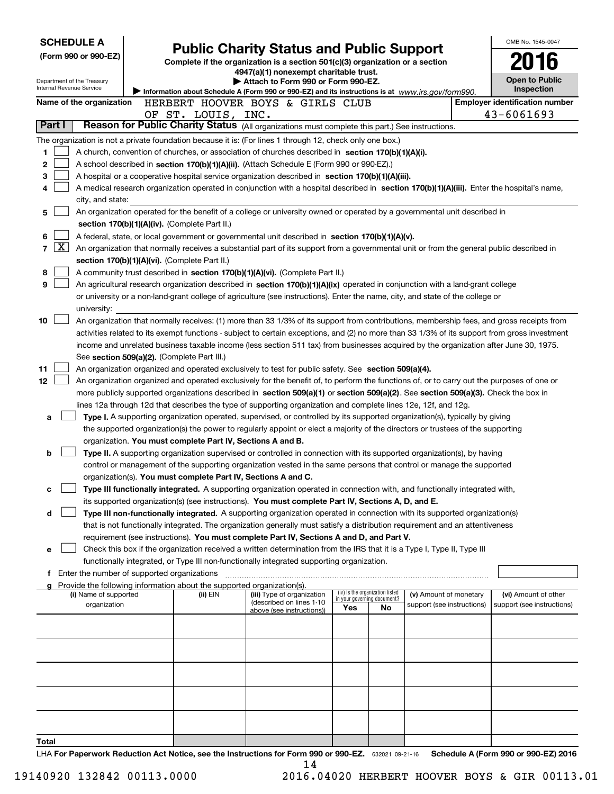|                  | <b>SCHEDULE A</b><br>OMB No. 1545-0047<br><b>Public Charity Status and Public Support</b>                                                                      |  |                                                                                    |                                                                                                                                                                                                                                                                                        |     |                                   |                            |  |                                       |  |  |
|------------------|----------------------------------------------------------------------------------------------------------------------------------------------------------------|--|------------------------------------------------------------------------------------|----------------------------------------------------------------------------------------------------------------------------------------------------------------------------------------------------------------------------------------------------------------------------------------|-----|-----------------------------------|----------------------------|--|---------------------------------------|--|--|
|                  | (Form 990 or 990-EZ)                                                                                                                                           |  |                                                                                    | Complete if the organization is a section 501(c)(3) organization or a section                                                                                                                                                                                                          |     |                                   |                            |  |                                       |  |  |
|                  |                                                                                                                                                                |  |                                                                                    | 4947(a)(1) nonexempt charitable trust.                                                                                                                                                                                                                                                 |     |                                   |                            |  |                                       |  |  |
|                  | Department of the Treasury<br>Internal Revenue Service                                                                                                         |  |                                                                                    | Attach to Form 990 or Form 990-EZ.<br>Information about Schedule A (Form 990 or 990-EZ) and its instructions is at www.irs.gov/form990.                                                                                                                                                |     |                                   |                            |  | <b>Open to Public</b><br>Inspection   |  |  |
|                  | Name of the organization                                                                                                                                       |  |                                                                                    | HERBERT HOOVER BOYS & GIRLS CLUB                                                                                                                                                                                                                                                       |     |                                   |                            |  | <b>Employer identification number</b> |  |  |
|                  |                                                                                                                                                                |  | OF ST. LOUIS, INC.                                                                 |                                                                                                                                                                                                                                                                                        |     |                                   |                            |  | 43-6061693                            |  |  |
| Part I           |                                                                                                                                                                |  |                                                                                    | Reason for Public Charity Status (All organizations must complete this part.) See instructions.                                                                                                                                                                                        |     |                                   |                            |  |                                       |  |  |
|                  |                                                                                                                                                                |  |                                                                                    | The organization is not a private foundation because it is: (For lines 1 through 12, check only one box.)                                                                                                                                                                              |     |                                   |                            |  |                                       |  |  |
| 1<br>$\mathbf 2$ |                                                                                                                                                                |  |                                                                                    | A church, convention of churches, or association of churches described in section 170(b)(1)(A)(i).                                                                                                                                                                                     |     |                                   |                            |  |                                       |  |  |
| 3                |                                                                                                                                                                |  |                                                                                    | A school described in section 170(b)(1)(A)(ii). (Attach Schedule E (Form 990 or 990-EZ).)<br>A hospital or a cooperative hospital service organization described in section $170(b)(1)(A)(iii)$ .                                                                                      |     |                                   |                            |  |                                       |  |  |
| 4                |                                                                                                                                                                |  |                                                                                    | A medical research organization operated in conjunction with a hospital described in section 170(b)(1)(A)(iii). Enter the hospital's name,                                                                                                                                             |     |                                   |                            |  |                                       |  |  |
|                  | city, and state:                                                                                                                                               |  |                                                                                    |                                                                                                                                                                                                                                                                                        |     |                                   |                            |  |                                       |  |  |
| 5                |                                                                                                                                                                |  |                                                                                    | An organization operated for the benefit of a college or university owned or operated by a governmental unit described in                                                                                                                                                              |     |                                   |                            |  |                                       |  |  |
|                  |                                                                                                                                                                |  | section 170(b)(1)(A)(iv). (Complete Part II.)                                      |                                                                                                                                                                                                                                                                                        |     |                                   |                            |  |                                       |  |  |
| 6                | A federal, state, or local government or governmental unit described in section 170(b)(1)(A)(v).                                                               |  |                                                                                    |                                                                                                                                                                                                                                                                                        |     |                                   |                            |  |                                       |  |  |
| 7                | $\vert$ X $\vert$<br>An organization that normally receives a substantial part of its support from a governmental unit or from the general public described in |  |                                                                                    |                                                                                                                                                                                                                                                                                        |     |                                   |                            |  |                                       |  |  |
| 8                | section 170(b)(1)(A)(vi). (Complete Part II.)<br>A community trust described in section 170(b)(1)(A)(vi). (Complete Part II.)                                  |  |                                                                                    |                                                                                                                                                                                                                                                                                        |     |                                   |                            |  |                                       |  |  |
| 9                | An agricultural research organization described in section 170(b)(1)(A)(ix) operated in conjunction with a land-grant college                                  |  |                                                                                    |                                                                                                                                                                                                                                                                                        |     |                                   |                            |  |                                       |  |  |
|                  |                                                                                                                                                                |  |                                                                                    | or university or a non-land-grant college of agriculture (see instructions). Enter the name, city, and state of the college or                                                                                                                                                         |     |                                   |                            |  |                                       |  |  |
|                  | university:                                                                                                                                                    |  |                                                                                    |                                                                                                                                                                                                                                                                                        |     |                                   |                            |  |                                       |  |  |
| 10               |                                                                                                                                                                |  |                                                                                    | An organization that normally receives: (1) more than 33 1/3% of its support from contributions, membership fees, and gross receipts from                                                                                                                                              |     |                                   |                            |  |                                       |  |  |
|                  |                                                                                                                                                                |  |                                                                                    | activities related to its exempt functions - subject to certain exceptions, and (2) no more than 33 1/3% of its support from gross investment<br>income and unrelated business taxable income (less section 511 tax) from businesses acquired by the organization after June 30, 1975. |     |                                   |                            |  |                                       |  |  |
|                  |                                                                                                                                                                |  | See section 509(a)(2). (Complete Part III.)                                        |                                                                                                                                                                                                                                                                                        |     |                                   |                            |  |                                       |  |  |
| 11               |                                                                                                                                                                |  |                                                                                    | An organization organized and operated exclusively to test for public safety. See section 509(a)(4).                                                                                                                                                                                   |     |                                   |                            |  |                                       |  |  |
| 12               |                                                                                                                                                                |  |                                                                                    | An organization organized and operated exclusively for the benefit of, to perform the functions of, or to carry out the purposes of one or                                                                                                                                             |     |                                   |                            |  |                                       |  |  |
|                  |                                                                                                                                                                |  |                                                                                    | more publicly supported organizations described in section 509(a)(1) or section 509(a)(2). See section 509(a)(3). Check the box in                                                                                                                                                     |     |                                   |                            |  |                                       |  |  |
|                  |                                                                                                                                                                |  |                                                                                    | lines 12a through 12d that describes the type of supporting organization and complete lines 12e, 12f, and 12g.                                                                                                                                                                         |     |                                   |                            |  |                                       |  |  |
| a                |                                                                                                                                                                |  |                                                                                    | Type I. A supporting organization operated, supervised, or controlled by its supported organization(s), typically by giving                                                                                                                                                            |     |                                   |                            |  |                                       |  |  |
|                  |                                                                                                                                                                |  | organization. You must complete Part IV, Sections A and B.                         | the supported organization(s) the power to regularly appoint or elect a majority of the directors or trustees of the supporting                                                                                                                                                        |     |                                   |                            |  |                                       |  |  |
| b                |                                                                                                                                                                |  |                                                                                    | Type II. A supporting organization supervised or controlled in connection with its supported organization(s), by having                                                                                                                                                                |     |                                   |                            |  |                                       |  |  |
|                  |                                                                                                                                                                |  |                                                                                    | control or management of the supporting organization vested in the same persons that control or manage the supported                                                                                                                                                                   |     |                                   |                            |  |                                       |  |  |
|                  |                                                                                                                                                                |  | organization(s). You must complete Part IV, Sections A and C.                      |                                                                                                                                                                                                                                                                                        |     |                                   |                            |  |                                       |  |  |
| с                |                                                                                                                                                                |  |                                                                                    | Type III functionally integrated. A supporting organization operated in connection with, and functionally integrated with,                                                                                                                                                             |     |                                   |                            |  |                                       |  |  |
|                  |                                                                                                                                                                |  |                                                                                    | its supported organization(s) (see instructions). You must complete Part IV, Sections A, D, and E.                                                                                                                                                                                     |     |                                   |                            |  |                                       |  |  |
| d                |                                                                                                                                                                |  |                                                                                    | Type III non-functionally integrated. A supporting organization operated in connection with its supported organization(s)<br>that is not functionally integrated. The organization generally must satisfy a distribution requirement and an attentiveness                              |     |                                   |                            |  |                                       |  |  |
|                  |                                                                                                                                                                |  |                                                                                    | requirement (see instructions). You must complete Part IV, Sections A and D, and Part V.                                                                                                                                                                                               |     |                                   |                            |  |                                       |  |  |
| е                |                                                                                                                                                                |  |                                                                                    | Check this box if the organization received a written determination from the IRS that it is a Type I, Type II, Type III                                                                                                                                                                |     |                                   |                            |  |                                       |  |  |
|                  |                                                                                                                                                                |  |                                                                                    | functionally integrated, or Type III non-functionally integrated supporting organization.                                                                                                                                                                                              |     |                                   |                            |  |                                       |  |  |
|                  | f Enter the number of supported organizations                                                                                                                  |  |                                                                                    |                                                                                                                                                                                                                                                                                        |     |                                   |                            |  |                                       |  |  |
|                  | (i) Name of supported                                                                                                                                          |  | Provide the following information about the supported organization(s).<br>(ii) EIN | (iii) Type of organization                                                                                                                                                                                                                                                             |     | (iv) Is the organization listed   | (v) Amount of monetary     |  | (vi) Amount of other                  |  |  |
|                  | organization                                                                                                                                                   |  |                                                                                    | (described on lines 1-10                                                                                                                                                                                                                                                               | Yes | in your governing document?<br>No | support (see instructions) |  | support (see instructions)            |  |  |
|                  |                                                                                                                                                                |  |                                                                                    | above (see instructions))                                                                                                                                                                                                                                                              |     |                                   |                            |  |                                       |  |  |
|                  |                                                                                                                                                                |  |                                                                                    |                                                                                                                                                                                                                                                                                        |     |                                   |                            |  |                                       |  |  |
|                  |                                                                                                                                                                |  |                                                                                    |                                                                                                                                                                                                                                                                                        |     |                                   |                            |  |                                       |  |  |
|                  |                                                                                                                                                                |  |                                                                                    |                                                                                                                                                                                                                                                                                        |     |                                   |                            |  |                                       |  |  |
|                  |                                                                                                                                                                |  |                                                                                    |                                                                                                                                                                                                                                                                                        |     |                                   |                            |  |                                       |  |  |
|                  |                                                                                                                                                                |  |                                                                                    |                                                                                                                                                                                                                                                                                        |     |                                   |                            |  |                                       |  |  |
|                  |                                                                                                                                                                |  |                                                                                    |                                                                                                                                                                                                                                                                                        |     |                                   |                            |  |                                       |  |  |
|                  |                                                                                                                                                                |  |                                                                                    |                                                                                                                                                                                                                                                                                        |     |                                   |                            |  |                                       |  |  |
|                  |                                                                                                                                                                |  |                                                                                    |                                                                                                                                                                                                                                                                                        |     |                                   |                            |  |                                       |  |  |
| Total            |                                                                                                                                                                |  |                                                                                    |                                                                                                                                                                                                                                                                                        |     |                                   |                            |  |                                       |  |  |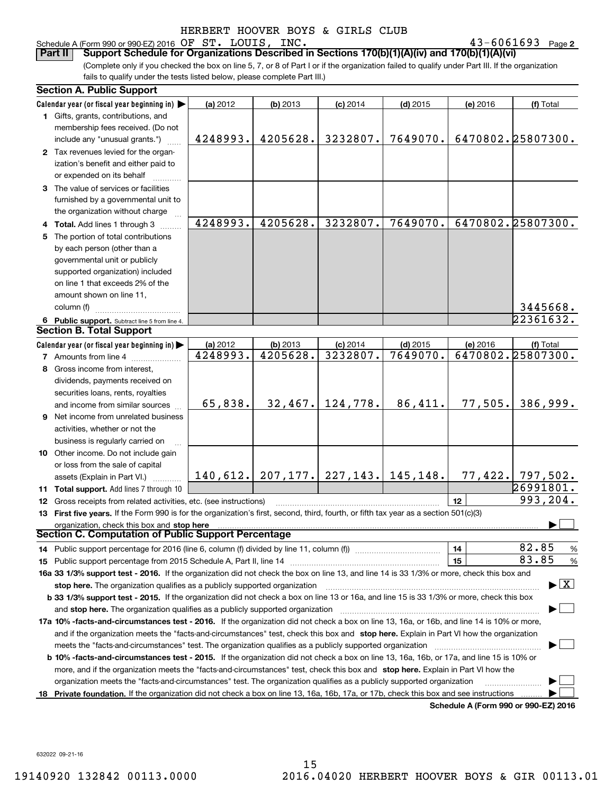## Schedule A (Form 990 or 990-EZ) 2016 Page OF ST. LOUIS, INC. 43-6061693

43-6061693 Page 2

(Complete only if you checked the box on line 5, 7, or 8 of Part I or if the organization failed to qualify under Part III. If the organization fails to qualify under the tests listed below, please complete Part III.) **Part II Support Schedule for Organizations Described in Sections 170(b)(1)(A)(iv) and 170(b)(1)(A)(vi)**

|    | <b>Section A. Public Support</b>                                                                                                                                                                                                                             |                      |                                                 |                        |                        |          |                                          |  |  |  |  |  |
|----|--------------------------------------------------------------------------------------------------------------------------------------------------------------------------------------------------------------------------------------------------------------|----------------------|-------------------------------------------------|------------------------|------------------------|----------|------------------------------------------|--|--|--|--|--|
|    | Calendar year (or fiscal year beginning in)                                                                                                                                                                                                                  | (a) 2012             | $(b)$ 2013                                      | $(c)$ 2014             | $(d)$ 2015             | (e) 2016 | (f) Total                                |  |  |  |  |  |
|    | 1 Gifts, grants, contributions, and<br>membership fees received. (Do not                                                                                                                                                                                     |                      |                                                 |                        |                        |          |                                          |  |  |  |  |  |
|    | include any "unusual grants.")                                                                                                                                                                                                                               | 4248993.             | 4205628.                                        | 3232807.               | 7649070.               |          | 6470802.25807300.                        |  |  |  |  |  |
|    | 2 Tax revenues levied for the organ-<br>ization's benefit and either paid to<br>or expended on its behalf                                                                                                                                                    |                      |                                                 |                        |                        |          |                                          |  |  |  |  |  |
|    | 3 The value of services or facilities                                                                                                                                                                                                                        |                      |                                                 |                        |                        |          |                                          |  |  |  |  |  |
|    | furnished by a governmental unit to                                                                                                                                                                                                                          |                      |                                                 |                        |                        |          |                                          |  |  |  |  |  |
|    | the organization without charge                                                                                                                                                                                                                              |                      |                                                 |                        |                        |          |                                          |  |  |  |  |  |
|    | 4 Total. Add lines 1 through 3                                                                                                                                                                                                                               | 4248993.             | 4205628.                                        | 3232807.               | 7649070.               |          | 6470802.25807300.                        |  |  |  |  |  |
|    | 5 The portion of total contributions                                                                                                                                                                                                                         |                      |                                                 |                        |                        |          |                                          |  |  |  |  |  |
|    | by each person (other than a                                                                                                                                                                                                                                 |                      |                                                 |                        |                        |          |                                          |  |  |  |  |  |
|    | governmental unit or publicly                                                                                                                                                                                                                                |                      |                                                 |                        |                        |          |                                          |  |  |  |  |  |
|    | supported organization) included                                                                                                                                                                                                                             |                      |                                                 |                        |                        |          |                                          |  |  |  |  |  |
|    | on line 1 that exceeds 2% of the                                                                                                                                                                                                                             |                      |                                                 |                        |                        |          |                                          |  |  |  |  |  |
|    | amount shown on line 11,                                                                                                                                                                                                                                     |                      |                                                 |                        |                        |          |                                          |  |  |  |  |  |
|    | 3445668.<br>column (f)<br>$\overline{22361632}$ .                                                                                                                                                                                                            |                      |                                                 |                        |                        |          |                                          |  |  |  |  |  |
|    | 6 Public support. Subtract line 5 from line 4.<br><b>Section B. Total Support</b>                                                                                                                                                                            |                      |                                                 |                        |                        |          |                                          |  |  |  |  |  |
|    |                                                                                                                                                                                                                                                              |                      |                                                 |                        |                        |          |                                          |  |  |  |  |  |
|    | Calendar year (or fiscal year beginning in)<br><b>7</b> Amounts from line 4                                                                                                                                                                                  | (a) 2012<br>4248993. | (b) 2013<br>4205628.                            | $(c)$ 2014<br>3232807. | $(d)$ 2015<br>7649070. | (e) 2016 | (f) Total<br>6470802.25807300.           |  |  |  |  |  |
|    | 8 Gross income from interest,                                                                                                                                                                                                                                |                      |                                                 |                        |                        |          |                                          |  |  |  |  |  |
|    | dividends, payments received on                                                                                                                                                                                                                              |                      |                                                 |                        |                        |          |                                          |  |  |  |  |  |
|    | securities loans, rents, royalties                                                                                                                                                                                                                           |                      |                                                 |                        |                        |          |                                          |  |  |  |  |  |
|    | and income from similar sources                                                                                                                                                                                                                              | 65,838.              | 32,467.                                         | 124,778.               | 86,411.                | 77,505.  | 386,999.                                 |  |  |  |  |  |
|    | 9 Net income from unrelated business                                                                                                                                                                                                                         |                      |                                                 |                        |                        |          |                                          |  |  |  |  |  |
|    | activities, whether or not the                                                                                                                                                                                                                               |                      |                                                 |                        |                        |          |                                          |  |  |  |  |  |
|    | business is regularly carried on                                                                                                                                                                                                                             |                      |                                                 |                        |                        |          |                                          |  |  |  |  |  |
|    | 10 Other income. Do not include gain                                                                                                                                                                                                                         |                      |                                                 |                        |                        |          |                                          |  |  |  |  |  |
|    | or loss from the sale of capital                                                                                                                                                                                                                             |                      |                                                 |                        |                        |          |                                          |  |  |  |  |  |
|    | assets (Explain in Part VI.)                                                                                                                                                                                                                                 |                      | $140, 612.   207, 177.   227, 143.   145, 148.$ |                        |                        |          | $77,422.$ 797,502.                       |  |  |  |  |  |
|    | 11 Total support. Add lines 7 through 10                                                                                                                                                                                                                     |                      |                                                 |                        |                        |          | 26991801.                                |  |  |  |  |  |
|    | 12 Gross receipts from related activities, etc. (see instructions)                                                                                                                                                                                           |                      |                                                 |                        |                        | 12       | 993,204.                                 |  |  |  |  |  |
|    | 13 First five years. If the Form 990 is for the organization's first, second, third, fourth, or fifth tax year as a section 501(c)(3)                                                                                                                        |                      |                                                 |                        |                        |          |                                          |  |  |  |  |  |
|    | organization, check this box and stop here                                                                                                                                                                                                                   |                      |                                                 |                        |                        |          |                                          |  |  |  |  |  |
|    | <b>Section C. Computation of Public Support Percentage</b>                                                                                                                                                                                                   |                      |                                                 |                        |                        |          |                                          |  |  |  |  |  |
|    | 14 Public support percentage for 2016 (line 6, column (f) divided by line 11, column (f) <i>mummumumum</i>                                                                                                                                                   |                      |                                                 |                        |                        | 14       | 82.85<br>%                               |  |  |  |  |  |
|    |                                                                                                                                                                                                                                                              |                      |                                                 |                        |                        | 15       | 83.85<br>$\%$                            |  |  |  |  |  |
|    | 16a 33 1/3% support test - 2016. If the organization did not check the box on line 13, and line 14 is 33 1/3% or more, check this box and                                                                                                                    |                      |                                                 |                        |                        |          |                                          |  |  |  |  |  |
|    | stop here. The organization qualifies as a publicly supported organization                                                                                                                                                                                   |                      |                                                 |                        |                        |          | $\blacktriangleright$ $\boxed{\text{X}}$ |  |  |  |  |  |
|    | b 33 1/3% support test - 2015. If the organization did not check a box on line 13 or 16a, and line 15 is 33 1/3% or more, check this box                                                                                                                     |                      |                                                 |                        |                        |          |                                          |  |  |  |  |  |
|    | and stop here. The organization qualifies as a publicly supported organization                                                                                                                                                                               |                      |                                                 |                        |                        |          |                                          |  |  |  |  |  |
|    | 17a 10% -facts-and-circumstances test - 2016. If the organization did not check a box on line 13, 16a, or 16b, and line 14 is 10% or more,                                                                                                                   |                      |                                                 |                        |                        |          |                                          |  |  |  |  |  |
|    | and if the organization meets the "facts-and-circumstances" test, check this box and stop here. Explain in Part VI how the organization                                                                                                                      |                      |                                                 |                        |                        |          |                                          |  |  |  |  |  |
|    | meets the "facts-and-circumstances" test. The organization qualifies as a publicly supported organization <i>marroummumumumum</i>                                                                                                                            |                      |                                                 |                        |                        |          |                                          |  |  |  |  |  |
|    | b 10% -facts-and-circumstances test - 2015. If the organization did not check a box on line 13, 16a, 16b, or 17a, and line 15 is 10% or                                                                                                                      |                      |                                                 |                        |                        |          |                                          |  |  |  |  |  |
|    | more, and if the organization meets the "facts-and-circumstances" test, check this box and stop here. Explain in Part VI how the                                                                                                                             |                      |                                                 |                        |                        |          |                                          |  |  |  |  |  |
|    | organization meets the "facts-and-circumstances" test. The organization qualifies as a publicly supported organization<br>Private foundation. If the organization did not check a box on line 13, 16a, 16b, 17a, or 17b, check this box and see instructions |                      |                                                 |                        |                        |          |                                          |  |  |  |  |  |
| 18 |                                                                                                                                                                                                                                                              |                      |                                                 |                        |                        |          | Schedule A (Form 990 or 990-EZ) 2016     |  |  |  |  |  |
|    |                                                                                                                                                                                                                                                              |                      |                                                 |                        |                        |          |                                          |  |  |  |  |  |

632022 09-21-16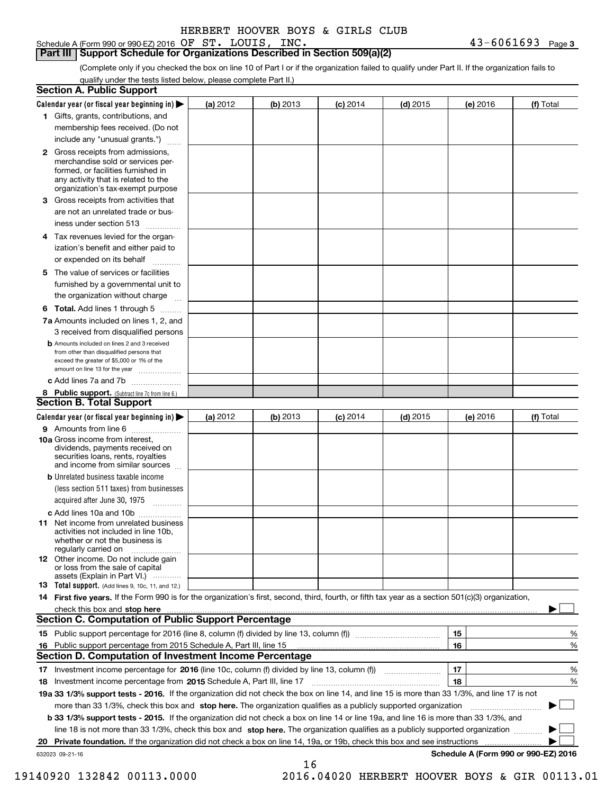Schedule A (Form 990 or 990-EZ) 2016 Page OF ST. LOUIS, INC. 43-6061693

**Part III Support Schedule for Organizations Described in Section 509(a)(2)** 

(Complete only if you checked the box on line 10 of Part I or if the organization failed to qualify under Part II. If the organization fails to qualify under the tests listed below, please complete Part II.)

| <b>Section A. Public Support</b>                                                                                                                                                         |            |          |            |            |          |                                           |
|------------------------------------------------------------------------------------------------------------------------------------------------------------------------------------------|------------|----------|------------|------------|----------|-------------------------------------------|
| Calendar year (or fiscal year beginning in) $\blacktriangleright$                                                                                                                        | (a) 2012   | (b) 2013 | $(c)$ 2014 | $(d)$ 2015 | (e) 2016 | (f) Total                                 |
| 1 Gifts, grants, contributions, and                                                                                                                                                      |            |          |            |            |          |                                           |
| membership fees received. (Do not                                                                                                                                                        |            |          |            |            |          |                                           |
| include any "unusual grants.")                                                                                                                                                           |            |          |            |            |          |                                           |
| 2 Gross receipts from admissions,<br>merchandise sold or services per-<br>formed, or facilities furnished in<br>any activity that is related to the<br>organization's tax-exempt purpose |            |          |            |            |          |                                           |
| 3 Gross receipts from activities that<br>are not an unrelated trade or bus-                                                                                                              |            |          |            |            |          |                                           |
| iness under section 513                                                                                                                                                                  |            |          |            |            |          |                                           |
| 4 Tax revenues levied for the organ-<br>ization's benefit and either paid to<br>or expended on its behalf<br>.                                                                           |            |          |            |            |          |                                           |
| 5 The value of services or facilities<br>furnished by a governmental unit to<br>the organization without charge                                                                          |            |          |            |            |          |                                           |
| <b>6 Total.</b> Add lines 1 through 5                                                                                                                                                    |            |          |            |            |          |                                           |
| 7a Amounts included on lines 1, 2, and<br>3 received from disqualified persons                                                                                                           |            |          |            |            |          |                                           |
| <b>b</b> Amounts included on lines 2 and 3 received<br>from other than disqualified persons that<br>exceed the greater of \$5,000 or 1% of the<br>amount on line 13 for the year         |            |          |            |            |          |                                           |
| c Add lines 7a and 7b                                                                                                                                                                    |            |          |            |            |          |                                           |
| 8 Public support. (Subtract line 7c from line 6.)<br><b>Section B. Total Support</b>                                                                                                     |            |          |            |            |          |                                           |
| Calendar year (or fiscal year beginning in) $\blacktriangleright$                                                                                                                        | (a) $2012$ | (b) 2013 | $(c)$ 2014 | $(d)$ 2015 | (e) 2016 | (f) Total                                 |
| 9 Amounts from line 6                                                                                                                                                                    |            |          |            |            |          |                                           |
| 10a Gross income from interest,<br>dividends, payments received on<br>securities loans, rents, royalties<br>and income from similar sources                                              |            |          |            |            |          |                                           |
| <b>b</b> Unrelated business taxable income<br>(less section 511 taxes) from businesses<br>acquired after June 30, 1975<br>1.1.1.1.1.1.1.1.1.1                                            |            |          |            |            |          |                                           |
| c Add lines 10a and 10b                                                                                                                                                                  |            |          |            |            |          |                                           |
| <b>11</b> Net income from unrelated business<br>activities not included in line 10b,<br>whether or not the business is<br>regularly carried on                                           |            |          |            |            |          |                                           |
| <b>12</b> Other income. Do not include gain<br>or loss from the sale of capital<br>assets (Explain in Part VI.)                                                                          |            |          |            |            |          |                                           |
| <b>13</b> Total support. (Add lines 9, 10c, 11, and 12.)                                                                                                                                 |            |          |            |            |          |                                           |
| 14 First five years. If the Form 990 is for the organization's first, second, third, fourth, or fifth tax year as a section 501(c)(3) organization,                                      |            |          |            |            |          |                                           |
| check this box and stop here <b>contractly contractly and structure and stop here</b> check this box and stop here <b>contractly and stop here contractly</b>                            |            |          |            |            |          |                                           |
| <b>Section C. Computation of Public Support Percentage</b>                                                                                                                               |            |          |            |            |          |                                           |
|                                                                                                                                                                                          |            |          |            |            | 15       | %                                         |
| 16 Public support percentage from 2015 Schedule A, Part III, line 15<br><b>Section D. Computation of Investment Income Percentage</b>                                                    |            |          |            |            | 16       | %                                         |
|                                                                                                                                                                                          |            |          |            |            |          |                                           |
| 17 Investment income percentage for 2016 (line 10c, column (f) divided by line 13, column (f))                                                                                           |            |          |            |            | 17       | %                                         |
| 18 Investment income percentage from 2015 Schedule A, Part III, line 17                                                                                                                  |            |          |            |            | 18       | %                                         |
| 19a 33 1/3% support tests - 2016. If the organization did not check the box on line 14, and line 15 is more than 33 1/3%, and line 17 is not                                             |            |          |            |            |          | $\sim$ 1                                  |
| more than 33 1/3%, check this box and stop here. The organization qualifies as a publicly supported organization                                                                         |            |          |            |            |          |                                           |
| b 33 1/3% support tests - 2015. If the organization did not check a box on line 14 or line 19a, and line 16 is more than 33 1/3%, and                                                    |            |          |            |            |          |                                           |
| line 18 is not more than 33 1/3%, check this box and stop here. The organization qualifies as a publicly supported organization                                                          |            |          |            |            |          |                                           |
| 20 Private foundation. If the organization did not check a box on line 14, 19a, or 19b, check this box and see instructions                                                              |            |          |            |            |          | .<br>Schedule A (Form 990 or 990-EZ) 2016 |
| 632023 09-21-16                                                                                                                                                                          |            | 16       |            |            |          |                                           |

19140920 132842 00113.0000 2016.04020 HERBERT HOOVER BOYS & GIR 00113.01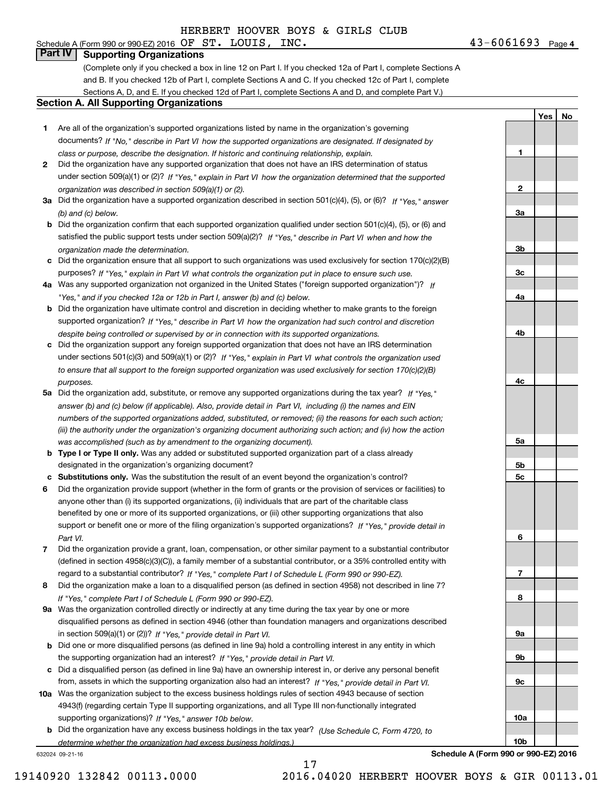# Schedule A (Form 990 or 990-EZ) 2016 Page OF ST. LOUIS, INC. 43-6061693

**Part IV Supporting Organizations**

(Complete only if you checked a box in line 12 on Part I. If you checked 12a of Part I, complete Sections A and B. If you checked 12b of Part I, complete Sections A and C. If you checked 12c of Part I, complete Sections A, D, and E. If you checked 12d of Part I, complete Sections A and D, and complete Part V.)

# **Section A. All Supporting Organizations**

- **1** Are all of the organization's supported organizations listed by name in the organization's governing documents? If "No," describe in Part VI how the supported organizations are designated. If designated by *class or purpose, describe the designation. If historic and continuing relationship, explain.*
- **2** Did the organization have any supported organization that does not have an IRS determination of status under section 509(a)(1) or (2)? If "Yes," explain in Part VI how the organization determined that the supported *organization was described in section 509(a)(1) or (2).*
- **3a** Did the organization have a supported organization described in section 501(c)(4), (5), or (6)? If "Yes," answer *(b) and (c) below.*
- **b** Did the organization confirm that each supported organization qualified under section 501(c)(4), (5), or (6) and satisfied the public support tests under section 509(a)(2)? If "Yes," describe in Part VI when and how the *organization made the determination.*
- **c**Did the organization ensure that all support to such organizations was used exclusively for section 170(c)(2)(B) purposes? If "Yes," explain in Part VI what controls the organization put in place to ensure such use.
- **4a***If* Was any supported organization not organized in the United States ("foreign supported organization")? *"Yes," and if you checked 12a or 12b in Part I, answer (b) and (c) below.*
- **b** Did the organization have ultimate control and discretion in deciding whether to make grants to the foreign supported organization? If "Yes," describe in Part VI how the organization had such control and discretion *despite being controlled or supervised by or in connection with its supported organizations.*
- **c** Did the organization support any foreign supported organization that does not have an IRS determination under sections 501(c)(3) and 509(a)(1) or (2)? If "Yes," explain in Part VI what controls the organization used *to ensure that all support to the foreign supported organization was used exclusively for section 170(c)(2)(B) purposes.*
- **5a** Did the organization add, substitute, or remove any supported organizations during the tax year? If "Yes," answer (b) and (c) below (if applicable). Also, provide detail in Part VI, including (i) the names and EIN *numbers of the supported organizations added, substituted, or removed; (ii) the reasons for each such action; (iii) the authority under the organization's organizing document authorizing such action; and (iv) how the action was accomplished (such as by amendment to the organizing document).*
- **b** Type I or Type II only. Was any added or substituted supported organization part of a class already designated in the organization's organizing document?
- **cSubstitutions only.**  Was the substitution the result of an event beyond the organization's control?
- **6** Did the organization provide support (whether in the form of grants or the provision of services or facilities) to *If "Yes," provide detail in* support or benefit one or more of the filing organization's supported organizations? anyone other than (i) its supported organizations, (ii) individuals that are part of the charitable class benefited by one or more of its supported organizations, or (iii) other supporting organizations that also *Part VI.*
- **7**Did the organization provide a grant, loan, compensation, or other similar payment to a substantial contributor *If "Yes," complete Part I of Schedule L (Form 990 or 990-EZ).* regard to a substantial contributor? (defined in section 4958(c)(3)(C)), a family member of a substantial contributor, or a 35% controlled entity with
- **8** Did the organization make a loan to a disqualified person (as defined in section 4958) not described in line 7? *If "Yes," complete Part I of Schedule L (Form 990 or 990-EZ).*
- **9a** Was the organization controlled directly or indirectly at any time during the tax year by one or more in section 509(a)(1) or (2))? If "Yes," *provide detail in Part VI.* disqualified persons as defined in section 4946 (other than foundation managers and organizations described
- **b** Did one or more disqualified persons (as defined in line 9a) hold a controlling interest in any entity in which the supporting organization had an interest? If "Yes," provide detail in Part VI.
- **c**Did a disqualified person (as defined in line 9a) have an ownership interest in, or derive any personal benefit from, assets in which the supporting organization also had an interest? If "Yes," provide detail in Part VI.
- **10a** Was the organization subject to the excess business holdings rules of section 4943 because of section supporting organizations)? If "Yes," answer 10b below. 4943(f) (regarding certain Type II supporting organizations, and all Type III non-functionally integrated
- **b** Did the organization have any excess business holdings in the tax year? (Use Schedule C, Form 4720, to *determine whether the organization had excess business holdings.)*

17

632024 09-21-16

**10b**

**Schedule A (Form 990 or 990-EZ) 2016**

**1**

**2**

**3a**

**3b**

**3c**

**4a**

**4b**

**4c**

**5a**

**5b5c**

**6**

**7**

**8**

**9a**

**9b**

**9c**

**10a**

**YesNo**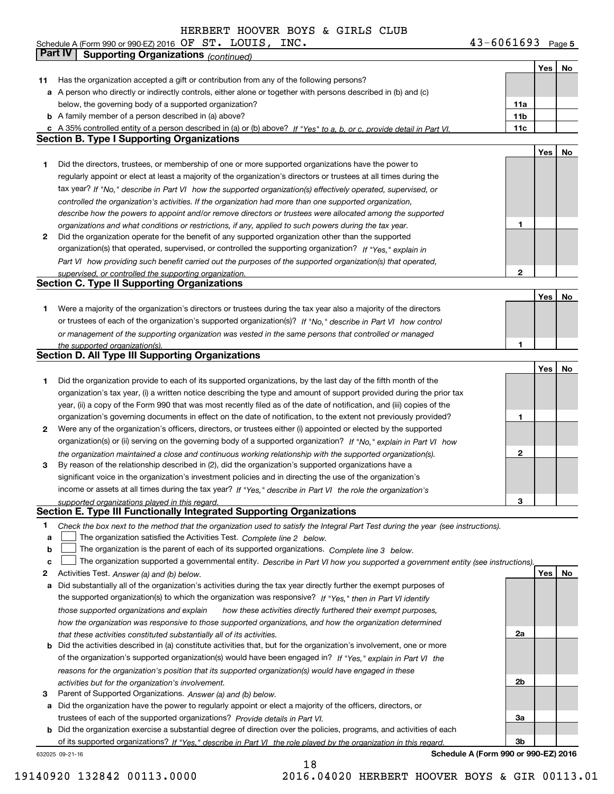Schedule A (Form 990 or 990-EZ) 2016 Page OF ST. LOUIS, INC. 43-6061693 **Part IV Supporting Organizations** *(continued)*

|    |                                                                                                                                                                                                                      |                 | Yes | No |
|----|----------------------------------------------------------------------------------------------------------------------------------------------------------------------------------------------------------------------|-----------------|-----|----|
| 11 | Has the organization accepted a gift or contribution from any of the following persons?                                                                                                                              |                 |     |    |
|    | a A person who directly or indirectly controls, either alone or together with persons described in (b) and (c)                                                                                                       |                 |     |    |
|    | below, the governing body of a supported organization?                                                                                                                                                               | 11a             |     |    |
|    | <b>b</b> A family member of a person described in (a) above?                                                                                                                                                         | 11 <sub>b</sub> |     |    |
|    | c A 35% controlled entity of a person described in (a) or (b) above? If "Yes" to a, b, or c, provide detail in Part VI.                                                                                              | 11c             |     |    |
|    | <b>Section B. Type I Supporting Organizations</b>                                                                                                                                                                    |                 |     |    |
|    |                                                                                                                                                                                                                      |                 | Yes | No |
| 1. | Did the directors, trustees, or membership of one or more supported organizations have the power to                                                                                                                  |                 |     |    |
|    | regularly appoint or elect at least a majority of the organization's directors or trustees at all times during the                                                                                                   |                 |     |    |
|    | tax year? If "No," describe in Part VI how the supported organization(s) effectively operated, supervised, or                                                                                                        |                 |     |    |
|    | controlled the organization's activities. If the organization had more than one supported organization,                                                                                                              |                 |     |    |
|    | describe how the powers to appoint and/or remove directors or trustees were allocated among the supported                                                                                                            |                 |     |    |
|    | organizations and what conditions or restrictions, if any, applied to such powers during the tax year.                                                                                                               | 1               |     |    |
| 2  | Did the organization operate for the benefit of any supported organization other than the supported                                                                                                                  |                 |     |    |
|    | organization(s) that operated, supervised, or controlled the supporting organization? If "Yes," explain in                                                                                                           |                 |     |    |
|    | Part VI how providing such benefit carried out the purposes of the supported organization(s) that operated,                                                                                                          |                 |     |    |
|    | supervised, or controlled the supporting organization.                                                                                                                                                               | 2               |     |    |
|    | <b>Section C. Type II Supporting Organizations</b>                                                                                                                                                                   |                 |     |    |
|    |                                                                                                                                                                                                                      |                 | Yes | No |
| 1. | Were a majority of the organization's directors or trustees during the tax year also a majority of the directors                                                                                                     |                 |     |    |
|    | or trustees of each of the organization's supported organization(s)? If "No," describe in Part VI how control                                                                                                        |                 |     |    |
|    | or management of the supporting organization was vested in the same persons that controlled or managed                                                                                                               |                 |     |    |
|    | the supported organization(s).                                                                                                                                                                                       | 1               |     |    |
|    | <b>Section D. All Type III Supporting Organizations</b>                                                                                                                                                              |                 |     |    |
|    |                                                                                                                                                                                                                      |                 | Yes | No |
| 1  | Did the organization provide to each of its supported organizations, by the last day of the fifth month of the                                                                                                       |                 |     |    |
|    | organization's tax year, (i) a written notice describing the type and amount of support provided during the prior tax                                                                                                |                 |     |    |
|    | year, (ii) a copy of the Form 990 that was most recently filed as of the date of notification, and (iii) copies of the                                                                                               |                 |     |    |
|    | organization's governing documents in effect on the date of notification, to the extent not previously provided?                                                                                                     | 1               |     |    |
| 2  | Were any of the organization's officers, directors, or trustees either (i) appointed or elected by the supported                                                                                                     |                 |     |    |
|    | organization(s) or (ii) serving on the governing body of a supported organization? If "No," explain in Part VI how                                                                                                   |                 |     |    |
|    |                                                                                                                                                                                                                      | $\mathbf{2}$    |     |    |
| 3  | the organization maintained a close and continuous working relationship with the supported organization(s).<br>By reason of the relationship described in (2), did the organization's supported organizations have a |                 |     |    |
|    | significant voice in the organization's investment policies and in directing the use of the organization's                                                                                                           |                 |     |    |
|    |                                                                                                                                                                                                                      |                 |     |    |
|    | income or assets at all times during the tax year? If "Yes," describe in Part VI the role the organization's                                                                                                         | з               |     |    |
|    | supported organizations played in this regard.<br>Section E. Type III Functionally Integrated Supporting Organizations                                                                                               |                 |     |    |
|    |                                                                                                                                                                                                                      |                 |     |    |
| 1  | Check the box next to the method that the organization used to satisfy the Integral Part Test during the year (see instructions).                                                                                    |                 |     |    |
| a  | The organization satisfied the Activities Test. Complete line 2 below.                                                                                                                                               |                 |     |    |
| b  | The organization is the parent of each of its supported organizations. Complete line 3 below.                                                                                                                        |                 |     |    |
| с  | The organization supported a governmental entity. Describe in Part VI how you supported a government entity (see instructions).                                                                                      |                 |     |    |
| 2  | Activities Test. Answer (a) and (b) below.                                                                                                                                                                           |                 | Yes | No |
| а  | Did substantially all of the organization's activities during the tax year directly further the exempt purposes of                                                                                                   |                 |     |    |
|    | the supported organization(s) to which the organization was responsive? If "Yes," then in Part VI identify                                                                                                           |                 |     |    |
|    | those supported organizations and explain<br>how these activities directly furthered their exempt purposes.                                                                                                          |                 |     |    |
|    | how the organization was responsive to those supported organizations, and how the organization determined                                                                                                            |                 |     |    |
|    | that these activities constituted substantially all of its activities.                                                                                                                                               | 2a              |     |    |
| b  | Did the activities described in (a) constitute activities that, but for the organization's involvement, one or more                                                                                                  |                 |     |    |
|    | of the organization's supported organization(s) would have been engaged in? If "Yes," explain in Part VI the                                                                                                         |                 |     |    |
|    | reasons for the organization's position that its supported organization(s) would have engaged in these                                                                                                               |                 |     |    |
|    | activities but for the organization's involvement.                                                                                                                                                                   | 2b              |     |    |
| з  | Parent of Supported Organizations. Answer (a) and (b) below.                                                                                                                                                         |                 |     |    |
| а  | Did the organization have the power to regularly appoint or elect a majority of the officers, directors, or                                                                                                          |                 |     |    |
|    | trustees of each of the supported organizations? Provide details in Part VI.                                                                                                                                         | 3a              |     |    |
| b  | Did the organization exercise a substantial degree of direction over the policies, programs, and activities of each                                                                                                  |                 |     |    |
|    | of its supported organizations? If "Yes." describe in Part VI the role played by the organization in this regard.                                                                                                    | 3b              |     |    |
|    |                                                                                                                                                                                                                      |                 |     |    |

632025 09-21-16

**Schedule A (Form 990 or 990-EZ) 2016**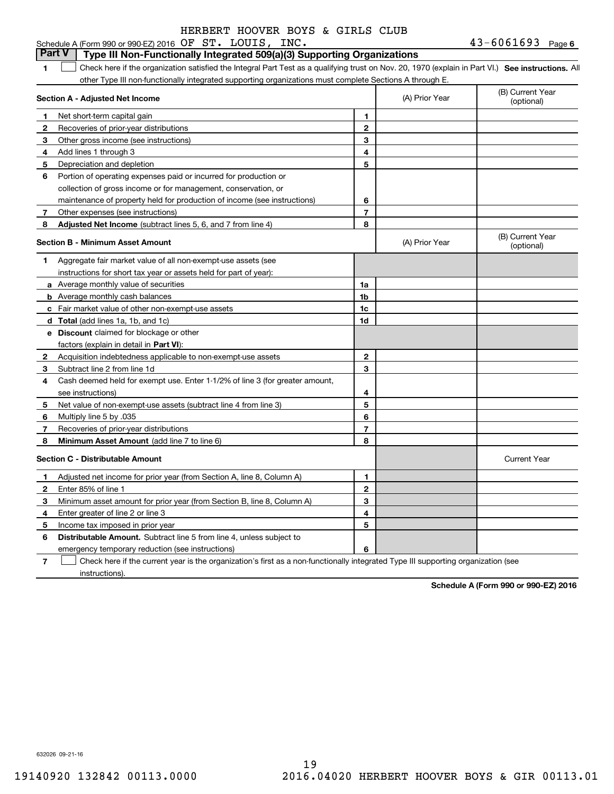#### **1SEP 10. See instructions.** All antegral Part Test as a qualifying trust on Nov. 20, 1970 (explain in Part VI.) See instructions. All **Section A - Adjusted Net Income 12** Recoveries of prior-year distributions **3** Other gross income (see instructions) **4**Add lines 1 through 3 **56** Portion of operating expenses paid or incurred for production or **7** Other expenses (see instructions) **8** Adjusted Net Income (subtract lines 5, 6, and 7 from line 4) **8 8 1234567Section B - Minimum Asset Amount 1**Aggregate fair market value of all non-exempt-use assets (see **2**Acquisition indebtedness applicable to non-exempt-use assets **3** Subtract line 2 from line 1d **4**Cash deemed held for exempt use. Enter 1-1/2% of line 3 (for greater amount, **5** Net value of non-exempt-use assets (subtract line 4 from line 3) **678a** Average monthly value of securities **b** Average monthly cash balances **c**Fair market value of other non-exempt-use assets **dTotal**  (add lines 1a, 1b, and 1c) **eDiscount** claimed for blockage or other **1a1b1c1d2345678**factors (explain in detail in **Part VI**): **Minimum Asset Amount**  (add line 7 to line 6) **Section C - Distributable Amount 12**Enter 85% of line 1 **3456** Distributable Amount. Subtract line 5 from line 4, unless subject to **123456**Schedule A (Form 990 or 990-EZ) 2016 Page OF ST. LOUIS, INC. 43-6061693 other Type III non-functionally integrated supporting organizations must complete Sections A through E. (B) Current Year (optional)(A) Prior Year Net short-term capital gain Depreciation and depletion collection of gross income or for management, conservation, or maintenance of property held for production of income (see instructions) (B) Current Year (optional)(A) Prior Year instructions for short tax year or assets held for part of year): see instructions) Multiply line 5 by .035 Recoveries of prior-year distributions Current Year Adjusted net income for prior year (from Section A, line 8, Column A) Minimum asset amount for prior year (from Section B, line 8, Column A) Enter greater of line 2 or line 3 Income tax imposed in prior year emergency temporary reduction (see instructions) **Part V Type III Non-Functionally Integrated 509(a)(3) Supporting Organizations**   $\mathcal{L}^{\text{max}}$

**7**Check here if the current year is the organization's first as a non-functionally integrated Type III supporting organization (see instructions). $\mathcal{L}^{\text{max}}$ 

**Schedule A (Form 990 or 990-EZ) 2016**

632026 09-21-16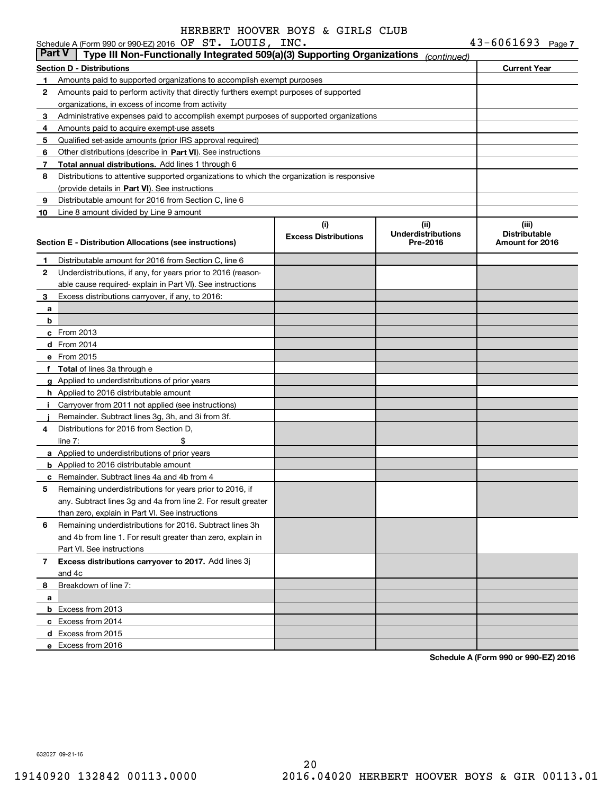|               | Schedule A (Form 990 or 990-EZ) 2016 $OF$ $ST$ . LOUIS, INC.                               |                             |                                       | $43 - 6061693$ Page 7                   |  |
|---------------|--------------------------------------------------------------------------------------------|-----------------------------|---------------------------------------|-----------------------------------------|--|
| <b>Part V</b> | Type III Non-Functionally Integrated 509(a)(3) Supporting Organizations                    |                             | (continued)                           |                                         |  |
|               | <b>Section D - Distributions</b>                                                           |                             |                                       | <b>Current Year</b>                     |  |
| 1.            | Amounts paid to supported organizations to accomplish exempt purposes                      |                             |                                       |                                         |  |
| $\mathbf{2}$  | Amounts paid to perform activity that directly furthers exempt purposes of supported       |                             |                                       |                                         |  |
|               | organizations, in excess of income from activity                                           |                             |                                       |                                         |  |
| 3             | Administrative expenses paid to accomplish exempt purposes of supported organizations      |                             |                                       |                                         |  |
| 4             | Amounts paid to acquire exempt-use assets                                                  |                             |                                       |                                         |  |
| 5             | Qualified set-aside amounts (prior IRS approval required)                                  |                             |                                       |                                         |  |
| 6             | Other distributions (describe in Part VI). See instructions                                |                             |                                       |                                         |  |
| 7             | Total annual distributions. Add lines 1 through 6                                          |                             |                                       |                                         |  |
| 8             | Distributions to attentive supported organizations to which the organization is responsive |                             |                                       |                                         |  |
|               | (provide details in Part VI). See instructions                                             |                             |                                       |                                         |  |
| 9             | Distributable amount for 2016 from Section C, line 6                                       |                             |                                       |                                         |  |
| 10            | Line 8 amount divided by Line 9 amount                                                     |                             |                                       |                                         |  |
|               |                                                                                            | (i)                         | (ii)                                  | (iii)                                   |  |
|               |                                                                                            | <b>Excess Distributions</b> | <b>Underdistributions</b><br>Pre-2016 | <b>Distributable</b><br>Amount for 2016 |  |
|               | Section E - Distribution Allocations (see instructions)                                    |                             |                                       |                                         |  |
| 1             | Distributable amount for 2016 from Section C, line 6                                       |                             |                                       |                                         |  |
| 2             | Underdistributions, if any, for years prior to 2016 (reason-                               |                             |                                       |                                         |  |
|               | able cause required- explain in Part VI). See instructions                                 |                             |                                       |                                         |  |
| 3             | Excess distributions carryover, if any, to 2016:                                           |                             |                                       |                                         |  |
| а             |                                                                                            |                             |                                       |                                         |  |
| b             |                                                                                            |                             |                                       |                                         |  |
|               | c From 2013                                                                                |                             |                                       |                                         |  |
|               | $d$ From 2014                                                                              |                             |                                       |                                         |  |
|               | e From 2015                                                                                |                             |                                       |                                         |  |
|               | f Total of lines 3a through e                                                              |                             |                                       |                                         |  |
|               | g Applied to underdistributions of prior years                                             |                             |                                       |                                         |  |
|               | <b>h</b> Applied to 2016 distributable amount                                              |                             |                                       |                                         |  |
| Ī.            | Carryover from 2011 not applied (see instructions)                                         |                             |                                       |                                         |  |
|               | Remainder. Subtract lines 3g, 3h, and 3i from 3f.                                          |                             |                                       |                                         |  |
| 4             | Distributions for 2016 from Section D,                                                     |                             |                                       |                                         |  |
|               | line $7:$                                                                                  |                             |                                       |                                         |  |
|               | a Applied to underdistributions of prior years                                             |                             |                                       |                                         |  |
|               | <b>b</b> Applied to 2016 distributable amount                                              |                             |                                       |                                         |  |
|               | c Remainder. Subtract lines 4a and 4b from 4                                               |                             |                                       |                                         |  |
|               | Remaining underdistributions for years prior to 2016, if                                   |                             |                                       |                                         |  |
|               | any. Subtract lines 3g and 4a from line 2. For result greater                              |                             |                                       |                                         |  |
|               | than zero, explain in Part VI. See instructions                                            |                             |                                       |                                         |  |
| 6             | Remaining underdistributions for 2016. Subtract lines 3h                                   |                             |                                       |                                         |  |
|               | and 4b from line 1. For result greater than zero, explain in                               |                             |                                       |                                         |  |
|               | Part VI. See instructions                                                                  |                             |                                       |                                         |  |
| 7             | Excess distributions carryover to 2017. Add lines 3j                                       |                             |                                       |                                         |  |
|               | and 4c                                                                                     |                             |                                       |                                         |  |
| 8             | Breakdown of line 7:                                                                       |                             |                                       |                                         |  |
| a             |                                                                                            |                             |                                       |                                         |  |
|               | <b>b</b> Excess from 2013                                                                  |                             |                                       |                                         |  |
|               | c Excess from 2014                                                                         |                             |                                       |                                         |  |
|               | d Excess from 2015                                                                         |                             |                                       |                                         |  |
|               | e Excess from 2016                                                                         |                             |                                       |                                         |  |

**Schedule A (Form 990 or 990-EZ) 2016**

632027 09-21-16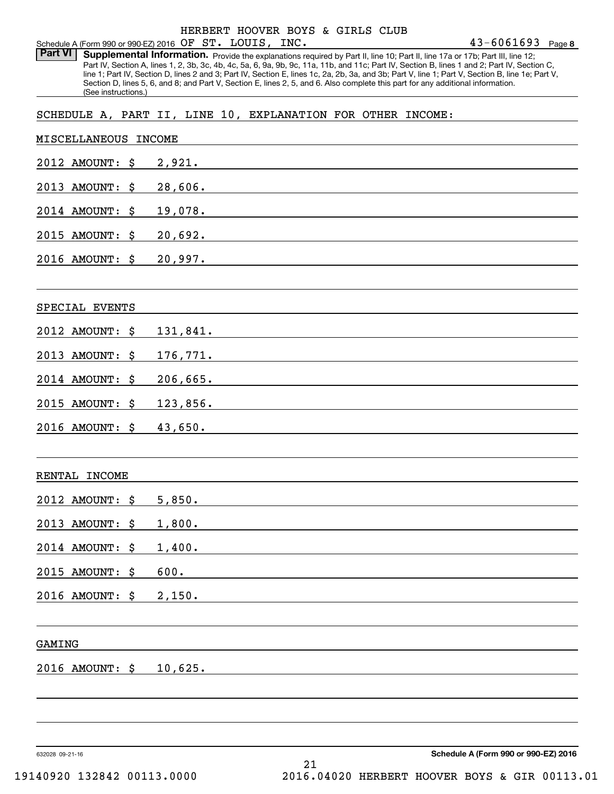Part VI | Supplemental Information. Provide the explanations required by Part II, line 10; Part II, line 17a or 17b; Part III, line 12; Part IV, Section A, lines 1, 2, 3b, 3c, 4b, 4c, 5a, 6, 9a, 9b, 9c, 11a, 11b, and 11c; Part IV, Section B, lines 1 and 2; Part IV, Section C, line 1; Part IV, Section D, lines 2 and 3; Part IV, Section E, lines 1c, 2a, 2b, 3a, and 3b; Part V, line 1; Part V, Section B, line 1e; Part V, Section D, lines 5, 6, and 8; and Part V, Section E, lines 2, 5, and 6. Also complete this part for any additional information. (See instructions.)

# SCHEDULE A, PART II, LINE 10, EXPLANATION FOR OTHER INCOME:

| MISCELLANEOUS INCOME |          |    |                                      |
|----------------------|----------|----|--------------------------------------|
| 2012 AMOUNT: \$      | 2,921.   |    |                                      |
| 2013 AMOUNT: \$      | 28,606.  |    |                                      |
| 2014 AMOUNT: \$      | 19,078.  |    |                                      |
| 2015 AMOUNT: \$      | 20,692.  |    |                                      |
| 2016 AMOUNT: \$      | 20,997.  |    |                                      |
|                      |          |    |                                      |
| SPECIAL EVENTS       |          |    |                                      |
| 2012 AMOUNT: \$      | 131,841. |    |                                      |
| 2013 AMOUNT: \$      | 176,771. |    |                                      |
| 2014 AMOUNT: \$      | 206,665. |    |                                      |
| 2015 AMOUNT: \$      | 123,856. |    |                                      |
| 2016 AMOUNT: \$      | 43,650.  |    |                                      |
|                      |          |    |                                      |
| RENTAL INCOME        |          |    |                                      |
| 2012 AMOUNT: \$      | 5,850.   |    |                                      |
| 2013 AMOUNT: \$      | 1,800.   |    |                                      |
| 2014 AMOUNT: \$      | 1,400.   |    |                                      |
| 2015 AMOUNT:<br>\$   | 600.     |    |                                      |
| 2016 AMOUNT: \$      | 2,150.   |    |                                      |
|                      |          |    |                                      |
| <b>GAMING</b>        |          |    |                                      |
| 2016 AMOUNT: \$      | 10,625.  |    |                                      |
|                      |          |    |                                      |
|                      |          |    |                                      |
|                      |          |    |                                      |
| 632028 09-21-16      |          | 21 | Schedule A (Form 990 or 990-EZ) 2016 |

19140920 132842 00113.0000 2016.04020 HERBERT HOOVER BOYS & GIR 00113.01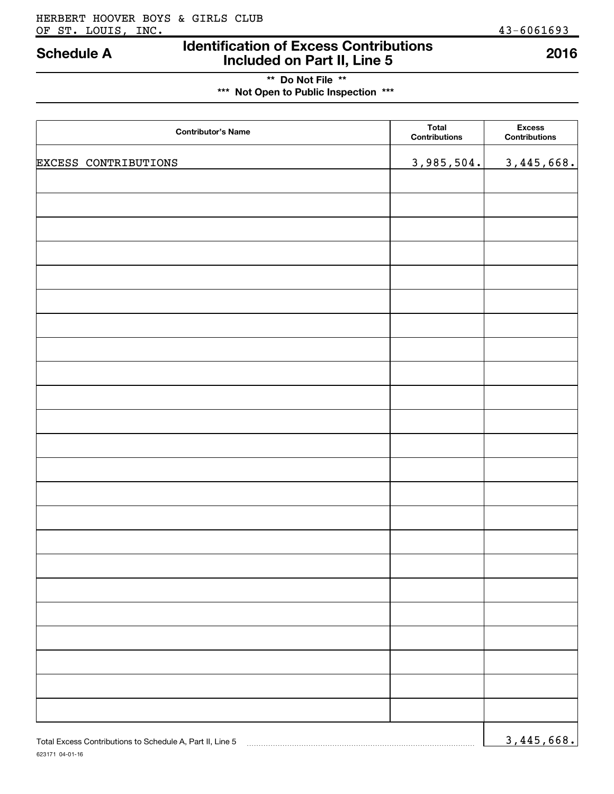# **Identification of Excess Contributions Included on Part II, Line 5 Schedule A 2016**

# **\*\* Do Not File \*\* \*\*\* Not Open to Public Inspection \*\*\***

| <b>Contributor's Name</b>   | <b>Total</b><br>Contributions | <b>Excess</b><br><b>Contributions</b> |
|-----------------------------|-------------------------------|---------------------------------------|
| <b>EXCESS CONTRIBUTIONS</b> | 3,985,504.                    | 3,445,668.                            |
|                             |                               |                                       |
|                             |                               |                                       |
|                             |                               |                                       |
|                             |                               |                                       |
|                             |                               |                                       |
|                             |                               |                                       |
|                             |                               |                                       |
|                             |                               |                                       |
|                             |                               |                                       |
|                             |                               |                                       |
|                             |                               |                                       |
|                             |                               |                                       |
|                             |                               |                                       |
|                             |                               |                                       |
|                             |                               |                                       |
|                             |                               |                                       |
|                             |                               |                                       |
|                             |                               |                                       |
|                             |                               |                                       |
|                             |                               |                                       |
|                             |                               |                                       |
|                             |                               |                                       |
|                             |                               |                                       |
|                             |                               |                                       |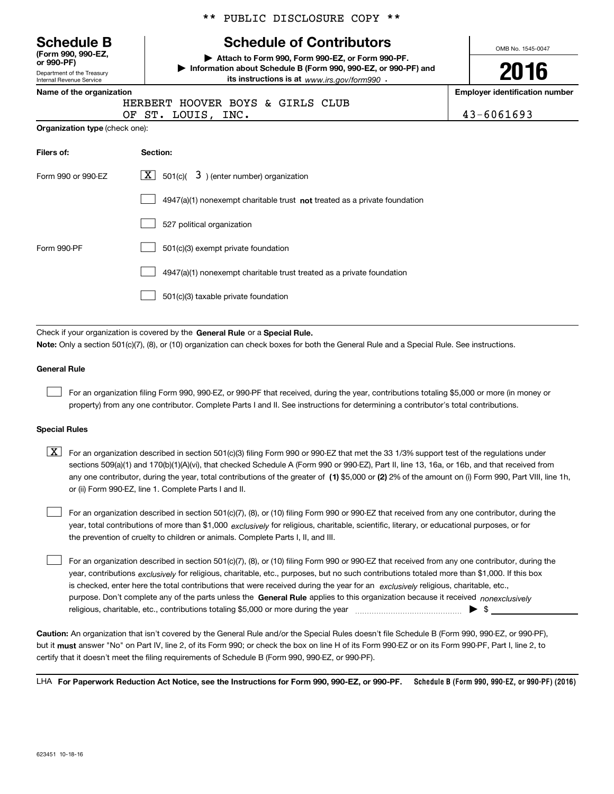| <b>Schedule B</b><br>(Form 990, 990-EZ,<br>or 990-PF) |
|-------------------------------------------------------|
| Department of the Treasury                            |
| Internal Revenue Service                              |

# \*\* PUBLIC DISCLOSURE COPY \*\*

# **Schedule of Contributors**

**| Attach to Form 990, Form 990-EZ, or Form 990-PF. | Information about Schedule B (Form 990, 990-EZ, or 990-PF) and its instructions is at** www.irs.gov/form990  $\cdot$ 

OMB No. 1545-0047

**2016**

**Name of the organization Employer identification number**

HERBERT HOOVER BOYS & GIRLS CLUB

OF ST. LOUIS, INC. 43-6061693

| א נ | т. | י יפד חרי | IN! |
|-----|----|-----------|-----|
|     |    |           |     |

|  |  | $-6061693$ |  |  |  |  |  |  |
|--|--|------------|--|--|--|--|--|--|
|--|--|------------|--|--|--|--|--|--|

| Filers of:         | Section:                                                                    |
|--------------------|-----------------------------------------------------------------------------|
| Form 990 or 990-EZ | $\lfloor x \rfloor$ 501(c)( 3) (enter number) organization                  |
|                    | $4947(a)(1)$ nonexempt charitable trust not treated as a private foundation |
|                    | 527 political organization                                                  |
| Form 990-PF        | 501(c)(3) exempt private foundation                                         |
|                    | 4947(a)(1) nonexempt charitable trust treated as a private foundation       |
|                    | 501(c)(3) taxable private foundation                                        |

Check if your organization is covered by the **General Rule** or a **Special Rule. Note:**  Only a section 501(c)(7), (8), or (10) organization can check boxes for both the General Rule and a Special Rule. See instructions.

#### **General Rule**

 $\mathcal{L}^{\text{max}}$ 

For an organization filing Form 990, 990-EZ, or 990-PF that received, during the year, contributions totaling \$5,000 or more (in money or property) from any one contributor. Complete Parts I and II. See instructions for determining a contributor's total contributions.

#### **Special Rules**

 $\mathcal{L}^{\text{max}}$ 

any one contributor, during the year, total contributions of the greater of  $\,$  (1) \$5,000 or (2) 2% of the amount on (i) Form 990, Part VIII, line 1h,  $\boxed{\textbf{X}}$  For an organization described in section 501(c)(3) filing Form 990 or 990-EZ that met the 33 1/3% support test of the regulations under sections 509(a)(1) and 170(b)(1)(A)(vi), that checked Schedule A (Form 990 or 990-EZ), Part II, line 13, 16a, or 16b, and that received from or (ii) Form 990-EZ, line 1. Complete Parts I and II.

year, total contributions of more than \$1,000 *exclusively* for religious, charitable, scientific, literary, or educational purposes, or for For an organization described in section 501(c)(7), (8), or (10) filing Form 990 or 990-EZ that received from any one contributor, during the the prevention of cruelty to children or animals. Complete Parts I, II, and III.  $\mathcal{L}^{\text{max}}$ 

purpose. Don't complete any of the parts unless the **General Rule** applies to this organization because it received *nonexclusively* year, contributions <sub>exclusively</sub> for religious, charitable, etc., purposes, but no such contributions totaled more than \$1,000. If this box is checked, enter here the total contributions that were received during the year for an  $\;$ exclusively religious, charitable, etc., For an organization described in section 501(c)(7), (8), or (10) filing Form 990 or 990-EZ that received from any one contributor, during the religious, charitable, etc., contributions totaling \$5,000 or more during the year  $\Box$ — $\Box$   $\Box$ 

**Caution:**  An organization that isn't covered by the General Rule and/or the Special Rules doesn't file Schedule B (Form 990, 990-EZ, or 990-PF),  **must** but it answer "No" on Part IV, line 2, of its Form 990; or check the box on line H of its Form 990-EZ or on its Form 990-PF, Part I, line 2, to certify that it doesn't meet the filing requirements of Schedule B (Form 990, 990-EZ, or 990-PF).

**Schedule B (Form 990, 990-EZ, or 990-PF) (2016) For Paperwork Reduction Act Notice, see the Instructions for Form 990, 990-EZ, or 990-PF.** LHA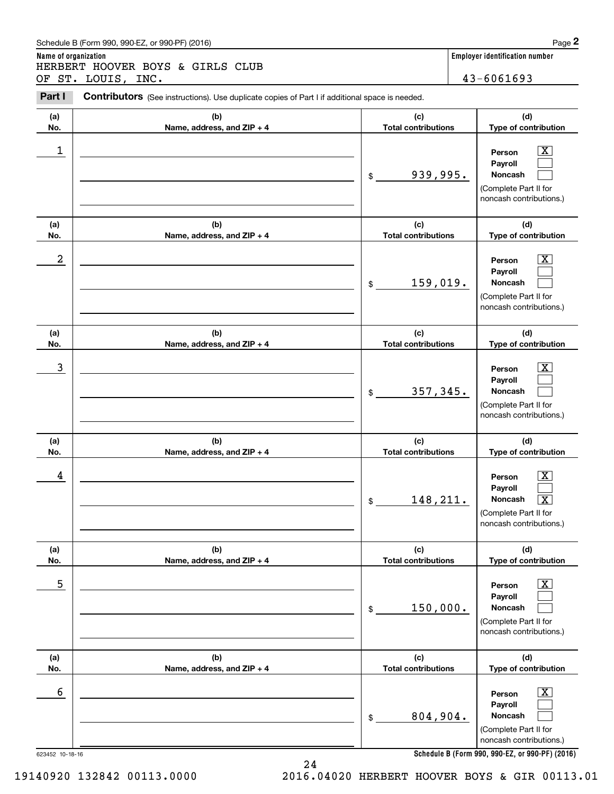# Schedule B (Form 990, 990-EZ, or 990-PF) (2016) **Page 2**

**Name of organization Employer identification number** Chedule B (Form 990, 990-EZ, or 990-PF) (2016)<br> **2** ame of organization<br>
IERBERT HOOVER BOYS & GIRLS CLUB<br>
DF ST. LOUIS, INC.<br> **Part I** Contributors (See instructions). Use duplicate copies of Part I if additional space is HERBERT HOOVER BOYS & GIRLS CLUB OF ST. LOUIS, INC. 43-6061693

Contributors (See instructions). Use duplicate copies of Part I if additional space is needed.

| (a)                  | (b)                        | (c)                        | (d)                                                                                                                                                          |
|----------------------|----------------------------|----------------------------|--------------------------------------------------------------------------------------------------------------------------------------------------------------|
| No.                  | Name, address, and ZIP + 4 | <b>Total contributions</b> | Type of contribution                                                                                                                                         |
| 1                    |                            | 939,995.<br>$\frac{1}{2}$  | x<br>Person<br>Payroll<br>Noncash<br>(Complete Part II for<br>noncash contributions.)                                                                        |
| (a)                  | (b)                        | (c)                        | (d)                                                                                                                                                          |
| No.                  | Name, address, and ZIP + 4 | <b>Total contributions</b> | Type of contribution                                                                                                                                         |
| $\boldsymbol{2}$     |                            | 159,019.<br>$\frac{1}{2}$  | x<br>Person<br>Payroll<br>Noncash<br>(Complete Part II for<br>noncash contributions.)                                                                        |
| (a)                  | (b)                        | (c)                        | (d)                                                                                                                                                          |
| No.                  | Name, address, and ZIP + 4 | <b>Total contributions</b> | Type of contribution                                                                                                                                         |
| 3                    |                            | 357,345.<br>$\frac{1}{2}$  | X<br>Person<br>Payroll<br>Noncash<br>(Complete Part II for<br>noncash contributions.)                                                                        |
| (a)                  | (b)                        | (c)                        | (d)                                                                                                                                                          |
| No.                  | Name, address, and ZIP + 4 | <b>Total contributions</b> | Type of contribution                                                                                                                                         |
| 4                    |                            | 148,211.<br>$\frac{1}{2}$  | Х,<br>Person<br>Payroll<br>$\overline{\mathbf{X}}$<br>Noncash<br>(Complete Part II for<br>noncash contributions.)                                            |
| (a)                  | (b)                        | (c)                        | (d)                                                                                                                                                          |
| No.                  | Name, address, and ZIP + 4 | <b>Total contributions</b> | Type of contribution                                                                                                                                         |
| 5                    |                            | 150,000.<br>$\frac{1}{2}$  | $\overline{\texttt{x}}$<br>Person<br>Payroll<br>Noncash<br>(Complete Part II for<br>noncash contributions.)                                                  |
| (a)                  | (b)                        | (c)                        | (d)                                                                                                                                                          |
| No.                  | Name, address, and ZIP + 4 | <b>Total contributions</b> | Type of contribution                                                                                                                                         |
| 6<br>623452 10-18-16 |                            | 804,904.<br>\$             | $\overline{\text{X}}$<br>Person<br>Payroll<br>Noncash<br>(Complete Part II for<br>noncash contributions.)<br>Schedule B (Form 990, 990-EZ, or 990-PF) (2016) |

24 19140920 132842 00113.0000 2016.04020 HERBERT HOOVER BOYS & GIR 00113.01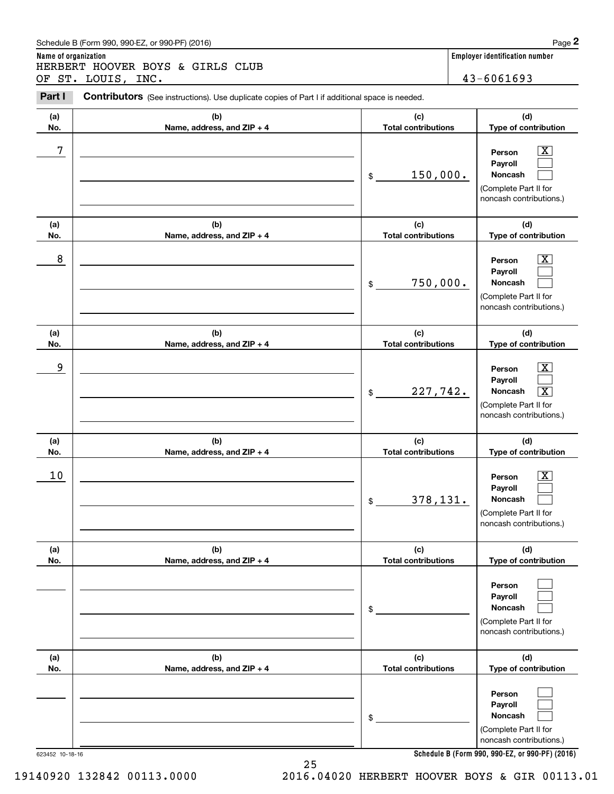# Schedule B (Form 990, 990-EZ, or 990-PF) (2016) **Page 2**

**Name of organization Employer identification number** Chedule B (Form 990, 990-EZ, or 990-PF) (2016)<br> **2** ame of organization<br>
IERBERT HOOVER BOYS & GIRLS CLUB<br>
DF ST. LOUIS, INC.<br> **Part I** Contributors (See instructions). Use duplicate copies of Part I if additional space is HERBERT HOOVER BOYS & GIRLS CLUB OF ST. LOUIS, INC. 43-6061693

Contributors (See instructions). Use duplicate copies of Part I if additional space is needed.

| (a) | (b)                        | (c)                        | (d)                                                                                                                                  |
|-----|----------------------------|----------------------------|--------------------------------------------------------------------------------------------------------------------------------------|
| No. | Name, address, and ZIP + 4 | <b>Total contributions</b> | Type of contribution                                                                                                                 |
| 7   |                            | 150,000.<br>$\frac{1}{2}$  | $\overline{\texttt{x}}$<br>Person<br>Payroll<br>Noncash<br>(Complete Part II for<br>noncash contributions.)                          |
| (a) | (b)                        | (c)                        | (d)                                                                                                                                  |
| No. | Name, address, and ZIP + 4 | <b>Total contributions</b> | Type of contribution                                                                                                                 |
| 8   |                            | 750,000.<br>$\frac{1}{2}$  | $\overline{\texttt{x}}$<br>Person<br>Payroll<br>Noncash<br>(Complete Part II for<br>noncash contributions.)                          |
| (a) | (b)                        | (c)                        | (d)                                                                                                                                  |
| No. | Name, address, and ZIP + 4 | <b>Total contributions</b> | Type of contribution                                                                                                                 |
| 9   |                            | 227,742.<br>$\frac{1}{2}$  | $\overline{\text{X}}$<br>Person<br>Payroll<br>$\overline{\texttt{X}}$<br>Noncash<br>(Complete Part II for<br>noncash contributions.) |
| (a) | (b)                        | (c)                        | (d)                                                                                                                                  |
| No. | Name, address, and ZIP + 4 | <b>Total contributions</b> | Type of contribution                                                                                                                 |
| 10  |                            | 378,131.<br>\$             | $\overline{\texttt{X}}$<br>Person<br>Payroll<br>Noncash<br>(Complete Part II for<br>noncash contributions.)                          |
| (a) | (b)                        | (c)                        | (d)                                                                                                                                  |
| No. | Name, address, and ZIP + 4 | <b>Total contributions</b> | Type of contribution                                                                                                                 |
|     |                            | \$                         | Person<br>Payroll<br>Noncash<br>(Complete Part II for<br>noncash contributions.)                                                     |
| (a) | (b)                        | (c)                        | (d)                                                                                                                                  |
| No. | Name, address, and ZIP + 4 | <b>Total contributions</b> | Type of contribution                                                                                                                 |
|     |                            | \$                         | Person<br>Payroll<br>Noncash<br>(Complete Part II for<br>noncash contributions.)<br>Cabadule B (Farm 000, 000 F7, at 000 BE) (0016)  |

**Schedule B (Form 990, 990-EZ, or 990-PF) (2016)**

623452 10-18-16

19140920 132842 00113.0000 2016.04020 HERBERT HOOVER BOYS & GIR 00113.01

25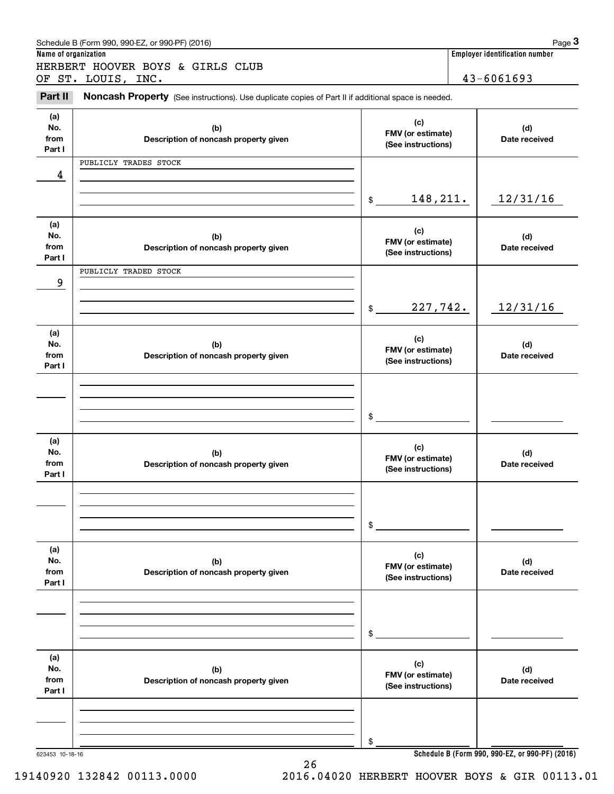|                      | Schedule B (Form 990, 990-EZ, or 990-PF) (2016)                                                     |                                     | Page 3                                          |
|----------------------|-----------------------------------------------------------------------------------------------------|-------------------------------------|-------------------------------------------------|
| Name of organization |                                                                                                     |                                     | Employer identification number                  |
|                      | HERBERT HOOVER BOYS & GIRLS CLUB                                                                    |                                     |                                                 |
|                      | OF ST. LOUIS, INC.                                                                                  |                                     | 43-6061693                                      |
| Part II              | Noncash Property (See instructions). Use duplicate copies of Part II if additional space is needed. |                                     |                                                 |
| (a)                  |                                                                                                     | (c)                                 |                                                 |
| No.                  | (b)                                                                                                 | FMV (or estimate)                   | (d)                                             |
| from<br>Part I       | Description of noncash property given                                                               | (See instructions)                  | Date received                                   |
|                      | PUBLICLY TRADES STOCK                                                                               |                                     |                                                 |
| 4                    |                                                                                                     |                                     |                                                 |
|                      |                                                                                                     |                                     |                                                 |
|                      |                                                                                                     | 148,211.<br>$$\tilde{\phantom{a}}$$ | 12/31/16                                        |
|                      |                                                                                                     |                                     |                                                 |
| (a)                  |                                                                                                     |                                     |                                                 |
| No.                  | (b)                                                                                                 | (c)<br>FMV (or estimate)            | (d)                                             |
| from                 | Description of noncash property given                                                               | (See instructions)                  | Date received                                   |
| Part I               |                                                                                                     |                                     |                                                 |
| 9                    | PUBLICLY TRADED STOCK                                                                               |                                     |                                                 |
|                      |                                                                                                     |                                     |                                                 |
|                      |                                                                                                     | 227,742.<br>$\frac{1}{2}$           | 12/31/16                                        |
|                      |                                                                                                     |                                     |                                                 |
| (a)                  |                                                                                                     |                                     |                                                 |
| No.                  | (b)                                                                                                 | (c)<br>FMV (or estimate)            | (d)                                             |
| from                 | Description of noncash property given                                                               | (See instructions)                  | Date received                                   |
| Part I               |                                                                                                     |                                     |                                                 |
|                      |                                                                                                     |                                     |                                                 |
|                      |                                                                                                     |                                     |                                                 |
|                      |                                                                                                     | \$                                  |                                                 |
|                      |                                                                                                     |                                     |                                                 |
| (a)                  |                                                                                                     |                                     |                                                 |
| No.                  | (b)                                                                                                 | (c)<br>FMV (or estimate)            | (d)                                             |
| from                 | Description of noncash property given                                                               | (See instructions)                  | Date received                                   |
| Part I               |                                                                                                     |                                     |                                                 |
|                      |                                                                                                     |                                     |                                                 |
|                      |                                                                                                     |                                     |                                                 |
|                      |                                                                                                     | \$                                  |                                                 |
|                      |                                                                                                     |                                     |                                                 |
| (a)                  |                                                                                                     |                                     |                                                 |
| No.                  | (b)                                                                                                 | (c)<br>FMV (or estimate)            | (d)                                             |
| from                 | Description of noncash property given                                                               | (See instructions)                  | Date received                                   |
| Part I               |                                                                                                     |                                     |                                                 |
|                      |                                                                                                     |                                     |                                                 |
|                      |                                                                                                     |                                     |                                                 |
|                      |                                                                                                     | \$                                  |                                                 |
|                      |                                                                                                     |                                     |                                                 |
| (a)                  |                                                                                                     |                                     |                                                 |
| No.                  | (b)                                                                                                 | (c)<br>FMV (or estimate)            | (d)                                             |
| from                 | Description of noncash property given                                                               | (See instructions)                  | Date received                                   |
| Part I               |                                                                                                     |                                     |                                                 |
|                      |                                                                                                     |                                     |                                                 |
|                      |                                                                                                     |                                     |                                                 |
|                      |                                                                                                     | \$                                  |                                                 |
| 623453 10-18-16      |                                                                                                     |                                     | Schedule B (Form 990, 990-EZ, or 990-PF) (2016) |

26

**Schedule B (Form 990, 990-EZ, or 990-PF) (2016)**

19140920 132842 00113.0000 2016.04020 HERBERT HOOVER BOYS & GIR 00113.01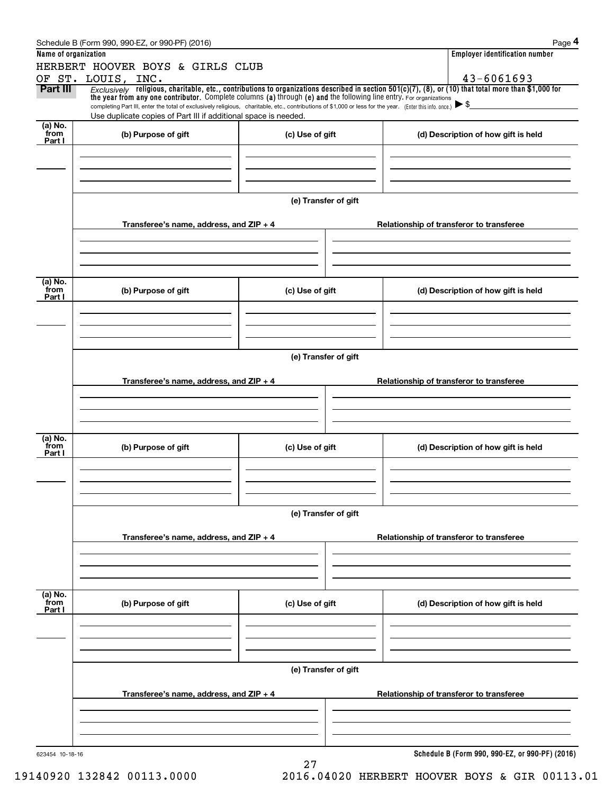|                      | Schedule B (Form 990, 990-EZ, or 990-PF) (2016)                                                                                                                                   |                      |                                                                                                                                                         | Page 4 |  |  |  |  |
|----------------------|-----------------------------------------------------------------------------------------------------------------------------------------------------------------------------------|----------------------|---------------------------------------------------------------------------------------------------------------------------------------------------------|--------|--|--|--|--|
| Name of organization |                                                                                                                                                                                   |                      | <b>Employer identification number</b>                                                                                                                   |        |  |  |  |  |
|                      | HERBERT HOOVER BOYS & GIRLS CLUB                                                                                                                                                  |                      |                                                                                                                                                         |        |  |  |  |  |
|                      | OF ST. LOUIS, INC.                                                                                                                                                                |                      | 43-6061693                                                                                                                                              |        |  |  |  |  |
| Part III             | the year from any one contributor. Complete columns (a) through (e) and the following line entry. For organizations                                                               |                      | $Exclusively$ religious, charitable, etc., contributions to organizations described in section 501(c)(7), (8), or (10) that total more than \$1,000 for |        |  |  |  |  |
|                      | completing Part III, enter the total of exclusively religious, charitable, etc., contributions of \$1,000 or less for the year. (Enter this info. once.) $\blacktriangleright$ \$ |                      |                                                                                                                                                         |        |  |  |  |  |
|                      | Use duplicate copies of Part III if additional space is needed.                                                                                                                   |                      |                                                                                                                                                         |        |  |  |  |  |
| (a) No.<br>from      | (b) Purpose of gift                                                                                                                                                               | (c) Use of gift      | (d) Description of how gift is held                                                                                                                     |        |  |  |  |  |
| Part I               |                                                                                                                                                                                   |                      |                                                                                                                                                         |        |  |  |  |  |
|                      |                                                                                                                                                                                   |                      |                                                                                                                                                         |        |  |  |  |  |
|                      |                                                                                                                                                                                   |                      |                                                                                                                                                         |        |  |  |  |  |
|                      |                                                                                                                                                                                   |                      |                                                                                                                                                         |        |  |  |  |  |
|                      |                                                                                                                                                                                   |                      |                                                                                                                                                         |        |  |  |  |  |
|                      |                                                                                                                                                                                   | (e) Transfer of gift |                                                                                                                                                         |        |  |  |  |  |
|                      |                                                                                                                                                                                   |                      |                                                                                                                                                         |        |  |  |  |  |
|                      | Transferee's name, address, and $ZIP + 4$                                                                                                                                         |                      | Relationship of transferor to transferee                                                                                                                |        |  |  |  |  |
|                      |                                                                                                                                                                                   |                      |                                                                                                                                                         |        |  |  |  |  |
|                      |                                                                                                                                                                                   |                      |                                                                                                                                                         |        |  |  |  |  |
|                      |                                                                                                                                                                                   |                      |                                                                                                                                                         |        |  |  |  |  |
| (a) No.              |                                                                                                                                                                                   |                      |                                                                                                                                                         |        |  |  |  |  |
| from<br>Part I       | (b) Purpose of gift                                                                                                                                                               | (c) Use of gift      | (d) Description of how gift is held                                                                                                                     |        |  |  |  |  |
|                      |                                                                                                                                                                                   |                      |                                                                                                                                                         |        |  |  |  |  |
|                      |                                                                                                                                                                                   |                      |                                                                                                                                                         |        |  |  |  |  |
|                      |                                                                                                                                                                                   |                      |                                                                                                                                                         |        |  |  |  |  |
|                      |                                                                                                                                                                                   |                      |                                                                                                                                                         |        |  |  |  |  |
|                      | (e) Transfer of gift                                                                                                                                                              |                      |                                                                                                                                                         |        |  |  |  |  |
|                      |                                                                                                                                                                                   |                      |                                                                                                                                                         |        |  |  |  |  |
|                      | Transferee's name, address, and $ZIP + 4$                                                                                                                                         |                      | Relationship of transferor to transferee                                                                                                                |        |  |  |  |  |
|                      |                                                                                                                                                                                   |                      |                                                                                                                                                         |        |  |  |  |  |
|                      |                                                                                                                                                                                   |                      |                                                                                                                                                         |        |  |  |  |  |
|                      |                                                                                                                                                                                   |                      |                                                                                                                                                         |        |  |  |  |  |
| (a) No.              |                                                                                                                                                                                   |                      |                                                                                                                                                         |        |  |  |  |  |
| from<br>Part I       | (b) Purpose of gift                                                                                                                                                               | (c) Use of gift      | (d) Description of how gift is held                                                                                                                     |        |  |  |  |  |
|                      |                                                                                                                                                                                   |                      |                                                                                                                                                         |        |  |  |  |  |
|                      |                                                                                                                                                                                   |                      |                                                                                                                                                         |        |  |  |  |  |
|                      |                                                                                                                                                                                   |                      |                                                                                                                                                         |        |  |  |  |  |
|                      |                                                                                                                                                                                   |                      |                                                                                                                                                         |        |  |  |  |  |
|                      |                                                                                                                                                                                   | (e) Transfer of gift |                                                                                                                                                         |        |  |  |  |  |
|                      |                                                                                                                                                                                   |                      |                                                                                                                                                         |        |  |  |  |  |
|                      | Transferee's name, address, and ZIP + 4                                                                                                                                           |                      | Relationship of transferor to transferee                                                                                                                |        |  |  |  |  |
|                      |                                                                                                                                                                                   |                      |                                                                                                                                                         |        |  |  |  |  |
|                      |                                                                                                                                                                                   |                      |                                                                                                                                                         |        |  |  |  |  |
|                      |                                                                                                                                                                                   |                      |                                                                                                                                                         |        |  |  |  |  |
| (a) No.<br>from      |                                                                                                                                                                                   |                      |                                                                                                                                                         |        |  |  |  |  |
| Part I               | (b) Purpose of gift                                                                                                                                                               | (c) Use of gift      | (d) Description of how gift is held                                                                                                                     |        |  |  |  |  |
|                      |                                                                                                                                                                                   |                      |                                                                                                                                                         |        |  |  |  |  |
|                      |                                                                                                                                                                                   |                      |                                                                                                                                                         |        |  |  |  |  |
|                      |                                                                                                                                                                                   |                      |                                                                                                                                                         |        |  |  |  |  |
|                      |                                                                                                                                                                                   |                      |                                                                                                                                                         |        |  |  |  |  |
|                      |                                                                                                                                                                                   | (e) Transfer of gift |                                                                                                                                                         |        |  |  |  |  |
|                      |                                                                                                                                                                                   |                      |                                                                                                                                                         |        |  |  |  |  |
|                      | Transferee's name, address, and ZIP + 4                                                                                                                                           |                      | Relationship of transferor to transferee                                                                                                                |        |  |  |  |  |
|                      |                                                                                                                                                                                   |                      |                                                                                                                                                         |        |  |  |  |  |
|                      |                                                                                                                                                                                   |                      |                                                                                                                                                         |        |  |  |  |  |
|                      |                                                                                                                                                                                   |                      |                                                                                                                                                         |        |  |  |  |  |
| 623454 10-18-16      |                                                                                                                                                                                   |                      | Schedule B (Form 990, 990-EZ, or 990-PF) (2016)                                                                                                         |        |  |  |  |  |
|                      |                                                                                                                                                                                   | 27                   |                                                                                                                                                         |        |  |  |  |  |
|                      |                                                                                                                                                                                   |                      |                                                                                                                                                         |        |  |  |  |  |

# 19140920 132842 00113.0000 2016.04020 HERBERT HOOVER BOYS & GIR 00113.01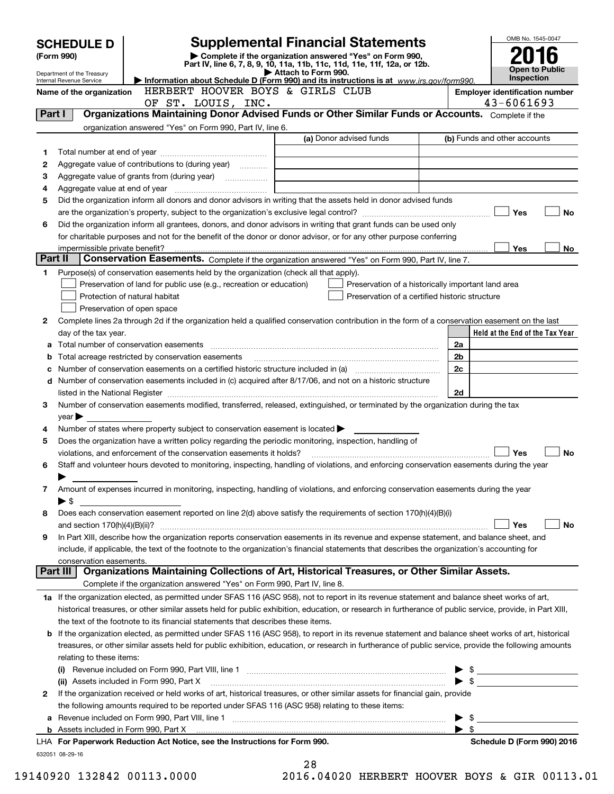|         | <b>Supplemental Financial Statements</b><br><b>SCHEDULE D</b><br>Complete if the organization answered "Yes" on Form 990,<br>(Form 990)<br>Part IV, line 6, 7, 8, 9, 10, 11a, 11b, 11c, 11d, 11e, 11f, 12a, or 12b.<br>Attach to Form 990.<br>Department of the Treasury |                                                                                                        |                                                                                                                                                                                                                                |                          | OMB No. 1545-0047<br>Open to Public        |
|---------|--------------------------------------------------------------------------------------------------------------------------------------------------------------------------------------------------------------------------------------------------------------------------|--------------------------------------------------------------------------------------------------------|--------------------------------------------------------------------------------------------------------------------------------------------------------------------------------------------------------------------------------|--------------------------|--------------------------------------------|
|         | Internal Revenue Service                                                                                                                                                                                                                                                 |                                                                                                        | Information about Schedule D (Form 990) and its instructions is at $www.irs.gov/form990$ .                                                                                                                                     |                          | <b>Inspection</b>                          |
|         | Name of the organization                                                                                                                                                                                                                                                 | HERBERT HOOVER BOYS & GIRLS CLUB                                                                       |                                                                                                                                                                                                                                |                          | <b>Employer identification number</b>      |
| Part I  |                                                                                                                                                                                                                                                                          | OF ST. LOUIS, INC.                                                                                     | Organizations Maintaining Donor Advised Funds or Other Similar Funds or Accounts. Complete if the                                                                                                                              |                          | 43-6061693                                 |
|         |                                                                                                                                                                                                                                                                          | organization answered "Yes" on Form 990, Part IV, line 6.                                              |                                                                                                                                                                                                                                |                          |                                            |
|         |                                                                                                                                                                                                                                                                          |                                                                                                        | (a) Donor advised funds                                                                                                                                                                                                        |                          | (b) Funds and other accounts               |
| 1       |                                                                                                                                                                                                                                                                          |                                                                                                        |                                                                                                                                                                                                                                |                          |                                            |
| 2       |                                                                                                                                                                                                                                                                          | Aggregate value of contributions to (during year)                                                      |                                                                                                                                                                                                                                |                          |                                            |
| 3       |                                                                                                                                                                                                                                                                          |                                                                                                        |                                                                                                                                                                                                                                |                          |                                            |
| 4       |                                                                                                                                                                                                                                                                          |                                                                                                        |                                                                                                                                                                                                                                |                          |                                            |
| 5       |                                                                                                                                                                                                                                                                          |                                                                                                        | Did the organization inform all donors and donor advisors in writing that the assets held in donor advised funds                                                                                                               |                          |                                            |
|         |                                                                                                                                                                                                                                                                          |                                                                                                        |                                                                                                                                                                                                                                |                          | Yes<br><b>No</b>                           |
| 6       |                                                                                                                                                                                                                                                                          |                                                                                                        | Did the organization inform all grantees, donors, and donor advisors in writing that grant funds can be used only                                                                                                              |                          |                                            |
|         |                                                                                                                                                                                                                                                                          |                                                                                                        | for charitable purposes and not for the benefit of the donor or donor advisor, or for any other purpose conferring                                                                                                             |                          |                                            |
|         |                                                                                                                                                                                                                                                                          |                                                                                                        |                                                                                                                                                                                                                                |                          | Yes<br>No                                  |
| Part II |                                                                                                                                                                                                                                                                          |                                                                                                        | Conservation Easements. Complete if the organization answered "Yes" on Form 990, Part IV, line 7.                                                                                                                              |                          |                                            |
| 1       |                                                                                                                                                                                                                                                                          | Purpose(s) of conservation easements held by the organization (check all that apply).                  |                                                                                                                                                                                                                                |                          |                                            |
|         |                                                                                                                                                                                                                                                                          | Preservation of land for public use (e.g., recreation or education)                                    | Preservation of a historically important land area                                                                                                                                                                             |                          |                                            |
|         |                                                                                                                                                                                                                                                                          | Protection of natural habitat                                                                          | Preservation of a certified historic structure                                                                                                                                                                                 |                          |                                            |
|         |                                                                                                                                                                                                                                                                          | Preservation of open space                                                                             |                                                                                                                                                                                                                                |                          |                                            |
| 2       |                                                                                                                                                                                                                                                                          |                                                                                                        | Complete lines 2a through 2d if the organization held a qualified conservation contribution in the form of a conservation easement on the last                                                                                 |                          |                                            |
|         | day of the tax year.                                                                                                                                                                                                                                                     |                                                                                                        |                                                                                                                                                                                                                                |                          | Held at the End of the Tax Year            |
| а       |                                                                                                                                                                                                                                                                          |                                                                                                        |                                                                                                                                                                                                                                | 2a                       |                                            |
| b       |                                                                                                                                                                                                                                                                          | Total acreage restricted by conservation easements                                                     |                                                                                                                                                                                                                                | 2b                       |                                            |
| c       |                                                                                                                                                                                                                                                                          |                                                                                                        |                                                                                                                                                                                                                                | 2c                       |                                            |
| d       |                                                                                                                                                                                                                                                                          |                                                                                                        | Number of conservation easements included in (c) acquired after 8/17/06, and not on a historic structure                                                                                                                       |                          |                                            |
|         |                                                                                                                                                                                                                                                                          |                                                                                                        | listed in the National Register [111] [12] The Mational Register [11] Matter Linux materials and the National Register [11] Matter Material Anna Matter Material Anna Material Anna Materia Anna Materia Anna Materia Anna Mat | 2d                       |                                            |
| 3       |                                                                                                                                                                                                                                                                          |                                                                                                        | Number of conservation easements modified, transferred, released, extinguished, or terminated by the organization during the tax                                                                                               |                          |                                            |
|         | $year \blacktriangleright$                                                                                                                                                                                                                                               |                                                                                                        |                                                                                                                                                                                                                                |                          |                                            |
| 4       |                                                                                                                                                                                                                                                                          | Number of states where property subject to conservation easement is located $\blacktriangleright$      |                                                                                                                                                                                                                                |                          |                                            |
| 5       |                                                                                                                                                                                                                                                                          | Does the organization have a written policy regarding the periodic monitoring, inspection, handling of |                                                                                                                                                                                                                                |                          |                                            |
|         |                                                                                                                                                                                                                                                                          | violations, and enforcement of the conservation easements it holds?                                    |                                                                                                                                                                                                                                |                          | Yes<br><b>No</b>                           |
| 6       |                                                                                                                                                                                                                                                                          |                                                                                                        | Staff and volunteer hours devoted to monitoring, inspecting, handling of violations, and enforcing conservation easements during the year                                                                                      |                          |                                            |
|         |                                                                                                                                                                                                                                                                          |                                                                                                        |                                                                                                                                                                                                                                |                          |                                            |
| 7       | $\blacktriangleright$ s                                                                                                                                                                                                                                                  |                                                                                                        | Amount of expenses incurred in monitoring, inspecting, handling of violations, and enforcing conservation easements during the year                                                                                            |                          |                                            |
| 8       |                                                                                                                                                                                                                                                                          |                                                                                                        | Does each conservation easement reported on line 2(d) above satisfy the requirements of section 170(h)(4)(B)(i)                                                                                                                |                          |                                            |
|         |                                                                                                                                                                                                                                                                          |                                                                                                        |                                                                                                                                                                                                                                |                          | Yes<br>No                                  |
| 9       |                                                                                                                                                                                                                                                                          |                                                                                                        | In Part XIII, describe how the organization reports conservation easements in its revenue and expense statement, and balance sheet, and                                                                                        |                          |                                            |
|         |                                                                                                                                                                                                                                                                          |                                                                                                        | include, if applicable, the text of the footnote to the organization's financial statements that describes the organization's accounting for                                                                                   |                          |                                            |
|         | conservation easements.                                                                                                                                                                                                                                                  |                                                                                                        |                                                                                                                                                                                                                                |                          |                                            |
|         | Part III                                                                                                                                                                                                                                                                 |                                                                                                        | Organizations Maintaining Collections of Art, Historical Treasures, or Other Similar Assets.                                                                                                                                   |                          |                                            |
|         |                                                                                                                                                                                                                                                                          | Complete if the organization answered "Yes" on Form 990, Part IV, line 8.                              |                                                                                                                                                                                                                                |                          |                                            |
|         |                                                                                                                                                                                                                                                                          |                                                                                                        | 1a If the organization elected, as permitted under SFAS 116 (ASC 958), not to report in its revenue statement and balance sheet works of art,                                                                                  |                          |                                            |
|         |                                                                                                                                                                                                                                                                          |                                                                                                        | historical treasures, or other similar assets held for public exhibition, education, or research in furtherance of public service, provide, in Part XIII,                                                                      |                          |                                            |
|         |                                                                                                                                                                                                                                                                          | the text of the footnote to its financial statements that describes these items.                       |                                                                                                                                                                                                                                |                          |                                            |
| b       |                                                                                                                                                                                                                                                                          |                                                                                                        | If the organization elected, as permitted under SFAS 116 (ASC 958), to report in its revenue statement and balance sheet works of art, historical                                                                              |                          |                                            |
|         |                                                                                                                                                                                                                                                                          |                                                                                                        | treasures, or other similar assets held for public exhibition, education, or research in furtherance of public service, provide the following amounts                                                                          |                          |                                            |
|         | relating to these items:                                                                                                                                                                                                                                                 |                                                                                                        |                                                                                                                                                                                                                                |                          |                                            |
|         |                                                                                                                                                                                                                                                                          |                                                                                                        |                                                                                                                                                                                                                                |                          |                                            |
|         |                                                                                                                                                                                                                                                                          | (ii) Assets included in Form 990, Part X                                                               |                                                                                                                                                                                                                                | $\blacktriangleright$ \$ | <u> 1980 - Jan Barbara Barbara, maskin</u> |
| 2       |                                                                                                                                                                                                                                                                          |                                                                                                        | If the organization received or held works of art, historical treasures, or other similar assets for financial gain, provide                                                                                                   |                          |                                            |
|         |                                                                                                                                                                                                                                                                          | the following amounts required to be reported under SFAS 116 (ASC 958) relating to these items:        |                                                                                                                                                                                                                                |                          |                                            |
| а       |                                                                                                                                                                                                                                                                          |                                                                                                        |                                                                                                                                                                                                                                | - \$                     |                                            |
|         |                                                                                                                                                                                                                                                                          |                                                                                                        |                                                                                                                                                                                                                                | \$                       |                                            |
|         |                                                                                                                                                                                                                                                                          | LHA For Paperwork Reduction Act Notice, see the Instructions for Form 990.                             |                                                                                                                                                                                                                                |                          | Schedule D (Form 990) 2016                 |
|         | 632051 08-29-16                                                                                                                                                                                                                                                          |                                                                                                        |                                                                                                                                                                                                                                |                          |                                            |
|         |                                                                                                                                                                                                                                                                          |                                                                                                        | 28                                                                                                                                                                                                                             |                          |                                            |

|  |  |  |  |  | 19140920 132842 00113.000 |  |  |  |  |
|--|--|--|--|--|---------------------------|--|--|--|--|
|--|--|--|--|--|---------------------------|--|--|--|--|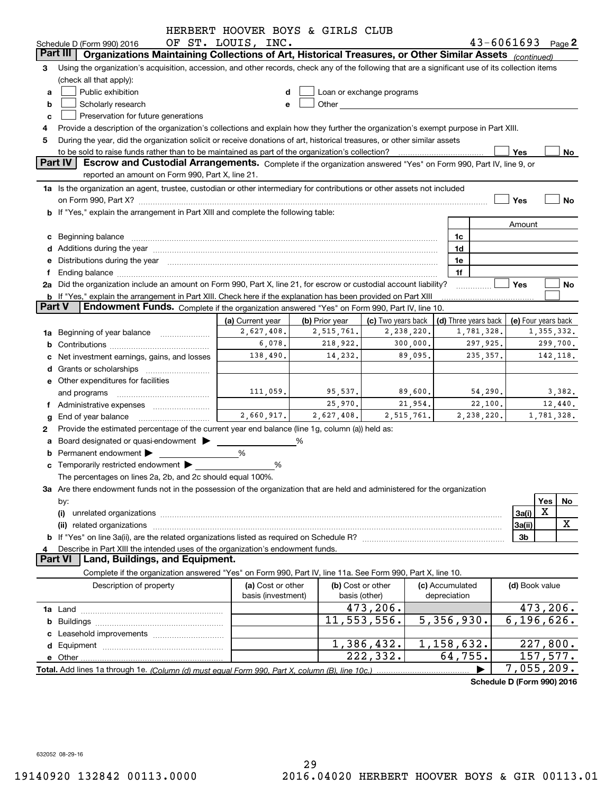|               |                                                                                                                                                   | HERBERT HOOVER BOYS & GIRLS CLUB |                |                           |          |                      |          |                       |     |            |
|---------------|---------------------------------------------------------------------------------------------------------------------------------------------------|----------------------------------|----------------|---------------------------|----------|----------------------|----------|-----------------------|-----|------------|
|               | Schedule D (Form 990) 2016                                                                                                                        | OF ST. LOUIS, INC.               |                |                           |          |                      |          | $43 - 6061693$ Page 2 |     |            |
|               | Organizations Maintaining Collections of Art, Historical Treasures, or Other Similar Assets (continued)<br>Part III                               |                                  |                |                           |          |                      |          |                       |     |            |
| 3             | Using the organization's acquisition, accession, and other records, check any of the following that are a significant use of its collection items |                                  |                |                           |          |                      |          |                       |     |            |
|               | (check all that apply):                                                                                                                           |                                  |                |                           |          |                      |          |                       |     |            |
| a             | Public exhibition                                                                                                                                 | d                                |                | Loan or exchange programs |          |                      |          |                       |     |            |
| b             | Scholarly research<br><b>Other Community</b><br>e                                                                                                 |                                  |                |                           |          |                      |          |                       |     |            |
| c             | Preservation for future generations                                                                                                               |                                  |                |                           |          |                      |          |                       |     |            |
| 4             | Provide a description of the organization's collections and explain how they further the organization's exempt purpose in Part XIII.              |                                  |                |                           |          |                      |          |                       |     |            |
| 5             | During the year, did the organization solicit or receive donations of art, historical treasures, or other similar assets                          |                                  |                |                           |          |                      |          |                       |     |            |
|               | to be sold to raise funds rather than to be maintained as part of the organization's collection?                                                  |                                  |                |                           |          |                      |          | Yes                   |     | No         |
|               | <b>Part IV</b><br>Escrow and Custodial Arrangements. Complete if the organization answered "Yes" on Form 990, Part IV, line 9, or                 |                                  |                |                           |          |                      |          |                       |     |            |
|               | reported an amount on Form 990, Part X, line 21.                                                                                                  |                                  |                |                           |          |                      |          |                       |     |            |
|               | 1a Is the organization an agent, trustee, custodian or other intermediary for contributions or other assets not included                          |                                  |                |                           |          |                      |          |                       |     |            |
|               |                                                                                                                                                   |                                  |                |                           |          |                      |          | Yes                   |     | No         |
|               | <b>b</b> If "Yes," explain the arrangement in Part XIII and complete the following table:                                                         |                                  |                |                           |          |                      |          |                       |     |            |
|               |                                                                                                                                                   |                                  |                |                           |          |                      |          | Amount                |     |            |
|               | c Beginning balance                                                                                                                               |                                  |                |                           |          | 1c                   |          |                       |     |            |
|               |                                                                                                                                                   |                                  |                |                           |          | 1d                   |          |                       |     |            |
| е             | Distributions during the year manufactured and an account of the state of the state of the state of the state o                                   |                                  |                |                           |          | 1e                   |          |                       |     |            |
| f             |                                                                                                                                                   |                                  |                |                           |          | 1f                   |          |                       |     |            |
|               | 2a Did the organization include an amount on Form 990, Part X, line 21, for escrow or custodial account liability?                                |                                  |                |                           |          |                      |          | <b>Yes</b>            |     | No         |
|               | b If "Yes," explain the arrangement in Part XIII. Check here if the explanation has been provided on Part XIII                                    |                                  |                |                           |          |                      |          |                       |     |            |
| <b>Part V</b> | Endowment Funds. Complete if the organization answered "Yes" on Form 990, Part IV, line 10.                                                       |                                  |                |                           |          |                      |          |                       |     |            |
|               |                                                                                                                                                   | (a) Current year                 | (b) Prior year | (c) Two years back        |          | (d) Three years back |          | (e) Four years back   |     |            |
|               | 1a Beginning of year balance                                                                                                                      | 2,627,408.                       | 2,515,761.     | 2,238,220.                |          | 1,781,328.           |          |                       |     | 1,355,332. |
| b             |                                                                                                                                                   | 6,078.                           | 218,922.       |                           | 300,000. | 297,925.             | 299,700. |                       |     |            |
| с             | Net investment earnings, gains, and losses                                                                                                        | 138,490.                         | 14,232.        |                           | 89,095.  | 235, 357.            |          |                       |     | 142, 118.  |
| d             |                                                                                                                                                   |                                  |                |                           |          |                      |          |                       |     |            |
|               | <b>e</b> Other expenditures for facilities                                                                                                        |                                  |                |                           |          |                      |          |                       |     |            |
|               | and programs                                                                                                                                      | 111,059.                         | 95,537.        |                           | 89,600.  | 54,290.              |          |                       |     | 3,382.     |
| Ť.            |                                                                                                                                                   |                                  | 25,970.        |                           | 21,954.  | 22,100.              |          |                       |     | 12,440.    |
| g             | End of year balance                                                                                                                               | 2,660,917.                       | 2,627,408.     | 2,515,761.                |          | 2,238,220.           |          |                       |     | 1,781,328. |
| 2             | Provide the estimated percentage of the current year end balance (line 1g, column (a)) held as:                                                   |                                  |                |                           |          |                      |          |                       |     |            |
|               | a Board designated or quasi-endowment $\blacktriangleright$                                                                                       |                                  | %              |                           |          |                      |          |                       |     |            |
| b             | Permanent endowment                                                                                                                               | %                                |                |                           |          |                      |          |                       |     |            |
| c             | Temporarily restricted endowment >                                                                                                                | %                                |                |                           |          |                      |          |                       |     |            |
|               | The percentages on lines 2a, 2b, and 2c should equal 100%.                                                                                        |                                  |                |                           |          |                      |          |                       |     |            |
|               | 3a Are there endowment funds not in the possession of the organization that are held and administered for the organization                        |                                  |                |                           |          |                      |          |                       |     |            |
|               | by:                                                                                                                                               |                                  |                |                           |          |                      |          |                       | Yes | No         |
|               | (i)                                                                                                                                               |                                  |                |                           |          |                      |          | 3a(i)                 | X   |            |
|               | (ii)                                                                                                                                              |                                  |                |                           |          |                      |          | 3a(ii)                |     | X          |
|               |                                                                                                                                                   |                                  |                |                           |          |                      |          | 3b                    |     |            |
| 4             | Describe in Part XIII the intended uses of the organization's endowment funds.                                                                    |                                  |                |                           |          |                      |          |                       |     |            |
|               | Land, Buildings, and Equipment.<br><b>Part VI</b>                                                                                                 |                                  |                |                           |          |                      |          |                       |     |            |
|               | Complete if the organization answered "Yes" on Form 990, Part IV, line 11a. See Form 990, Part X, line 10.                                        |                                  |                |                           |          |                      |          |                       |     |            |
|               | Description of property                                                                                                                           | (a) Cost or other                |                | (b) Cost or other         |          | (c) Accumulated      |          | (d) Book value        |     |            |
|               |                                                                                                                                                   | basis (investment)               |                | basis (other)             |          | depreciation         |          |                       |     |            |
|               |                                                                                                                                                   |                                  |                | 473,206.                  |          |                      |          |                       |     | 473,206.   |
|               |                                                                                                                                                   |                                  |                | 11,553,556.               |          | 5,356,930.           |          | 6, 196, 626.          |     |            |
|               |                                                                                                                                                   |                                  |                |                           |          |                      |          |                       |     |            |
|               |                                                                                                                                                   |                                  |                | 1,386,432.                |          | 1,158,632.           |          |                       |     | 227,800.   |
|               |                                                                                                                                                   |                                  |                | 222,332.                  |          | 64,755.              |          |                       |     | 157,577.   |
|               | 7,055,209.                                                                                                                                        |                                  |                |                           |          |                      |          |                       |     |            |

**Schedule D (Form 990) 2016**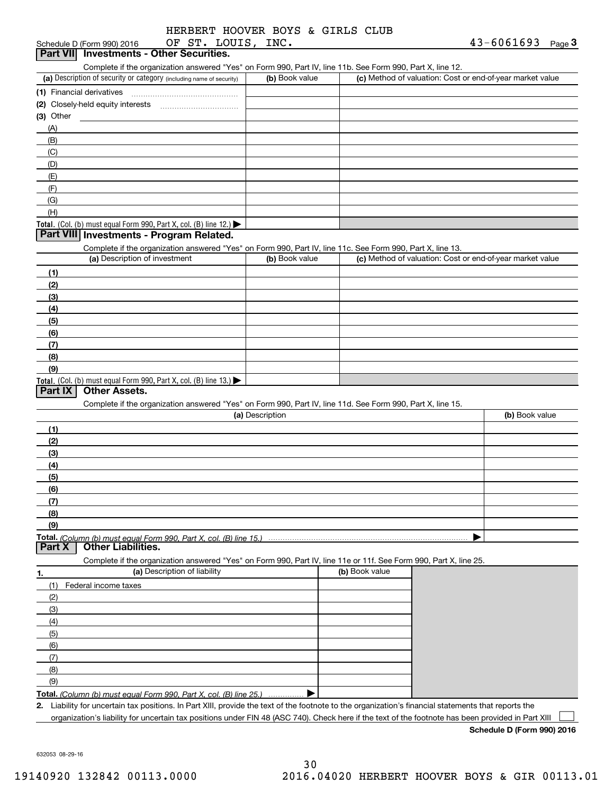| HERBERT HOOVER BOYS & GIRLS CLUB |  |  |  |
|----------------------------------|--|--|--|
|                                  |  |  |  |

| OF ST. LOUIS,<br>Schedule D (Form 990) 2016                                                                                                                                                                                | INC.            |                | $43 - 6061693$<br>Page $3$                                |
|----------------------------------------------------------------------------------------------------------------------------------------------------------------------------------------------------------------------------|-----------------|----------------|-----------------------------------------------------------|
| Part VII Investments - Other Securities.                                                                                                                                                                                   |                 |                |                                                           |
| Complete if the organization answered "Yes" on Form 990, Part IV, line 11b. See Form 990, Part X, line 12.<br>(a) Description of security or category (including name of security)                                         | (b) Book value  |                | (c) Method of valuation: Cost or end-of-year market value |
|                                                                                                                                                                                                                            |                 |                |                                                           |
|                                                                                                                                                                                                                            |                 |                |                                                           |
|                                                                                                                                                                                                                            |                 |                |                                                           |
| $(3)$ Other                                                                                                                                                                                                                |                 |                |                                                           |
| (A)                                                                                                                                                                                                                        |                 |                |                                                           |
| (B)                                                                                                                                                                                                                        |                 |                |                                                           |
| (C)                                                                                                                                                                                                                        |                 |                |                                                           |
| (D)                                                                                                                                                                                                                        |                 |                |                                                           |
| (E)                                                                                                                                                                                                                        |                 |                |                                                           |
| (F)                                                                                                                                                                                                                        |                 |                |                                                           |
| (G)                                                                                                                                                                                                                        |                 |                |                                                           |
| (H)                                                                                                                                                                                                                        |                 |                |                                                           |
| Total. (Col. (b) must equal Form 990, Part X, col. (B) line 12.)                                                                                                                                                           |                 |                |                                                           |
| Part VIII Investments - Program Related.                                                                                                                                                                                   |                 |                |                                                           |
| Complete if the organization answered "Yes" on Form 990, Part IV, line 11c. See Form 990, Part X, line 13.                                                                                                                 |                 |                |                                                           |
| (a) Description of investment                                                                                                                                                                                              | (b) Book value  |                | (c) Method of valuation: Cost or end-of-year market value |
| (1)                                                                                                                                                                                                                        |                 |                |                                                           |
| (2)                                                                                                                                                                                                                        |                 |                |                                                           |
| (3)                                                                                                                                                                                                                        |                 |                |                                                           |
| (4)                                                                                                                                                                                                                        |                 |                |                                                           |
| (5)                                                                                                                                                                                                                        |                 |                |                                                           |
| (6)                                                                                                                                                                                                                        |                 |                |                                                           |
| (7)                                                                                                                                                                                                                        |                 |                |                                                           |
|                                                                                                                                                                                                                            |                 |                |                                                           |
| (8)                                                                                                                                                                                                                        |                 |                |                                                           |
| (9)                                                                                                                                                                                                                        |                 |                |                                                           |
| Total. (Col. (b) must equal Form 990, Part X, col. (B) line 13.)<br><b>Other Assets.</b><br>Part IX                                                                                                                        |                 |                |                                                           |
|                                                                                                                                                                                                                            |                 |                |                                                           |
| Complete if the organization answered "Yes" on Form 990, Part IV, line 11d. See Form 990, Part X, line 15.                                                                                                                 |                 |                |                                                           |
|                                                                                                                                                                                                                            | (a) Description |                | (b) Book value                                            |
| (1)                                                                                                                                                                                                                        |                 |                |                                                           |
| (2)                                                                                                                                                                                                                        |                 |                |                                                           |
| (3)                                                                                                                                                                                                                        |                 |                |                                                           |
| (4)                                                                                                                                                                                                                        |                 |                |                                                           |
| (5)                                                                                                                                                                                                                        |                 |                |                                                           |
| (6)                                                                                                                                                                                                                        |                 |                |                                                           |
| (7)                                                                                                                                                                                                                        |                 |                |                                                           |
| (8)                                                                                                                                                                                                                        |                 |                |                                                           |
| (9)                                                                                                                                                                                                                        |                 |                |                                                           |
| <b>Total.</b> (Column (b) must equal Form 990. Part X. col. (B) line 15.) $\cdots$                                                                                                                                         |                 |                |                                                           |
| <b>Other Liabilities.</b><br>Part X                                                                                                                                                                                        |                 |                |                                                           |
| Complete if the organization answered "Yes" on Form 990, Part IV, line 11e or 11f. See Form 990, Part X, line 25.                                                                                                          |                 |                |                                                           |
| (a) Description of liability                                                                                                                                                                                               |                 | (b) Book value |                                                           |
| 1.                                                                                                                                                                                                                         |                 |                |                                                           |
| Federal income taxes<br>(1)                                                                                                                                                                                                |                 |                |                                                           |
| (2)                                                                                                                                                                                                                        |                 |                |                                                           |
| (3)                                                                                                                                                                                                                        |                 |                |                                                           |
| (4)                                                                                                                                                                                                                        |                 |                |                                                           |
| (5)                                                                                                                                                                                                                        |                 |                |                                                           |
| (6)                                                                                                                                                                                                                        |                 |                |                                                           |
| (7)                                                                                                                                                                                                                        |                 |                |                                                           |
| (8)                                                                                                                                                                                                                        |                 |                |                                                           |
|                                                                                                                                                                                                                            |                 |                |                                                           |
|                                                                                                                                                                                                                            |                 |                |                                                           |
| (9)                                                                                                                                                                                                                        |                 |                |                                                           |
| Total. (Column (b) must equal Form 990, Part X, col. (B) line 25.)<br>2. Liability for uncertain tax positions. In Part XIII, provide the text of the footnote to the organization's financial statements that reports the |                 |                |                                                           |

**Schedule D (Form 990) 2016**

632053 08-29-16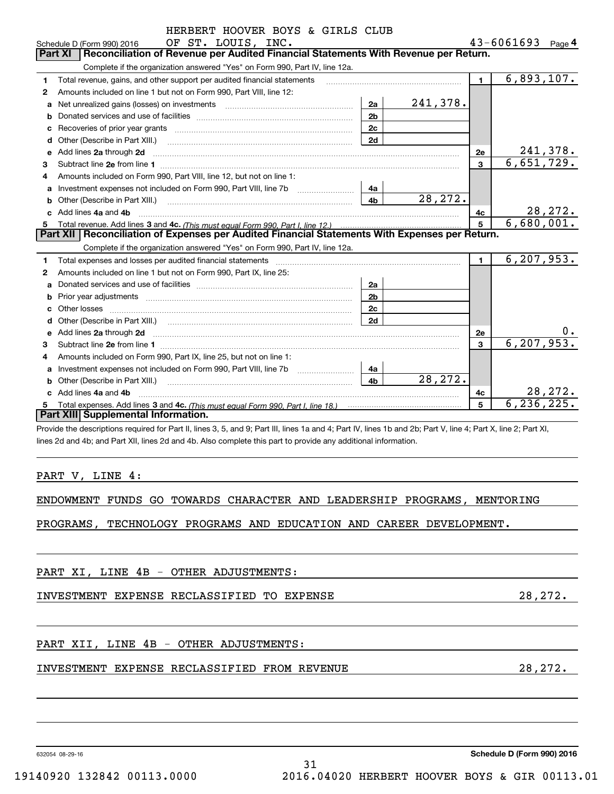|                           | HERBERT HOOVER BOYS & GIRLS CLUB                                                                                                                                                                                                     |                |          |                |                       |
|---------------------------|--------------------------------------------------------------------------------------------------------------------------------------------------------------------------------------------------------------------------------------|----------------|----------|----------------|-----------------------|
|                           | OF ST. LOUIS, INC.<br>Schedule D (Form 990) 2016                                                                                                                                                                                     |                |          |                | $43 - 6061693$ Page 4 |
|                           | Reconciliation of Revenue per Audited Financial Statements With Revenue per Return.<br>Part XI                                                                                                                                       |                |          |                |                       |
|                           | Complete if the organization answered "Yes" on Form 990, Part IV, line 12a.                                                                                                                                                          |                |          |                |                       |
| 1                         | Total revenue, gains, and other support per audited financial statements                                                                                                                                                             |                |          | $\tilde{L}$    | 6,893,107.            |
| 2                         | Amounts included on line 1 but not on Form 990, Part VIII, line 12:                                                                                                                                                                  |                |          |                |                       |
| a                         | Net unrealized gains (losses) on investments [11] matter contracts and the unrealized gains (losses) on investments                                                                                                                  | 2a             | 241,378. |                |                       |
| b                         |                                                                                                                                                                                                                                      | 2 <sub>b</sub> |          |                |                       |
| c                         | Recoveries of prior year grants [11,111] Recoveries of prior year grants [11,111] Recoveries of prior year grants                                                                                                                    | 2c             |          |                |                       |
|                           |                                                                                                                                                                                                                                      | 2d             |          |                |                       |
| е                         | Add lines 2a through 2d <b>contract and contract and contract and contract and contract and contract and contract and contract and contract and contract and contract and contract and contract and contract and contract and co</b> |                |          | <b>2e</b>      | 241,378.              |
| З.                        |                                                                                                                                                                                                                                      |                |          | $\mathbf{R}$   | 6,651,729.            |
| 4                         | Amounts included on Form 990, Part VIII, line 12, but not on line 1:                                                                                                                                                                 |                |          |                |                       |
| a                         |                                                                                                                                                                                                                                      | 4a             |          |                |                       |
| b                         | Other (Describe in Part XIII.) <b>Construction Contract Construction</b> Chemical Construction Chemical Chemical Chemical Chemical Chemical Chemical Chemical Chemical Chemical Chemical Chemical Chemical Chemical Chemical Chemic  | 4 <sub>b</sub> | 28, 272. |                |                       |
| Add lines 4a and 4b<br>C. |                                                                                                                                                                                                                                      |                |          | 4c             | 28,272.               |
|                           |                                                                                                                                                                                                                                      |                |          |                | 6,680,001.            |
|                           | Part XII   Reconciliation of Expenses per Audited Financial Statements With Expenses per Return.                                                                                                                                     |                |          |                |                       |
|                           | Complete if the organization answered "Yes" on Form 990, Part IV, line 12a.                                                                                                                                                          |                |          |                |                       |
| 1                         |                                                                                                                                                                                                                                      |                |          | $\blacksquare$ | 6, 207, 953.          |
| 2                         | Amounts included on line 1 but not on Form 990, Part IX, line 25:                                                                                                                                                                    |                |          |                |                       |
| a                         |                                                                                                                                                                                                                                      | 2a             |          |                |                       |
| b                         |                                                                                                                                                                                                                                      | 2 <sub>b</sub> |          |                |                       |
| c.                        |                                                                                                                                                                                                                                      | 2c             |          |                |                       |
| d                         |                                                                                                                                                                                                                                      | 2d             |          |                |                       |
| е                         | Add lines 2a through 2d <b>contract and all anomalisation</b> and all anomalisation of the state of the state of the state of the state of the state of the state of the state of the state of the state of the state of the state   |                |          | <b>2e</b>      |                       |
| з                         |                                                                                                                                                                                                                                      |                |          | $\mathbf{R}$   | 6, 207, 953.          |
| 4                         | Amounts included on Form 990, Part IX, line 25, but not on line 1:                                                                                                                                                                   |                |          |                |                       |
| a                         |                                                                                                                                                                                                                                      | 4a             |          |                |                       |
| b                         | Other (Describe in Part XIII.)                                                                                                                                                                                                       | 4b             | 28, 272. |                |                       |
| C.                        | Add lines 4a and 4b                                                                                                                                                                                                                  |                |          | 4с             | 28,272.               |
| 5                         |                                                                                                                                                                                                                                      |                |          | 5              | 6, 236, 225.          |
|                           | Part XIII Supplemental Information.                                                                                                                                                                                                  |                |          |                |                       |
|                           | Provide the descriptions required for Part II lines 3, 5, and Q. Part III lines 1a and A. Part IV lines 1b and 2b. Part V line A. Part Y line 2. Part Y line                                                                         |                |          |                |                       |

nd 9; Part III, lines 1a and 4; Part IV, lines 1b and 2b; Part V, line 4; Part X, l lines 2d and 4b; and Part XII, lines 2d and 4b. Also complete this part to provide any additional information.

PART V, LINE 4:

ENDOWMENT FUNDS GO TOWARDS CHARACTER AND LEADERSHIP PROGRAMS, MENTORING

PROGRAMS, TECHNOLOGY PROGRAMS AND EDUCATION AND CAREER DEVELOPMENT.

PART XI, LINE 4B - OTHER ADJUSTMENTS:

INVESTMENT EXPENSE RECLASSIFIED TO EXPENSE 28,272.

PART XII, LINE 4B - OTHER ADJUSTMENTS:

# INVESTMENT EXPENSE RECLASSIFIED FROM REVENUE 28,272.

632054 08-29-16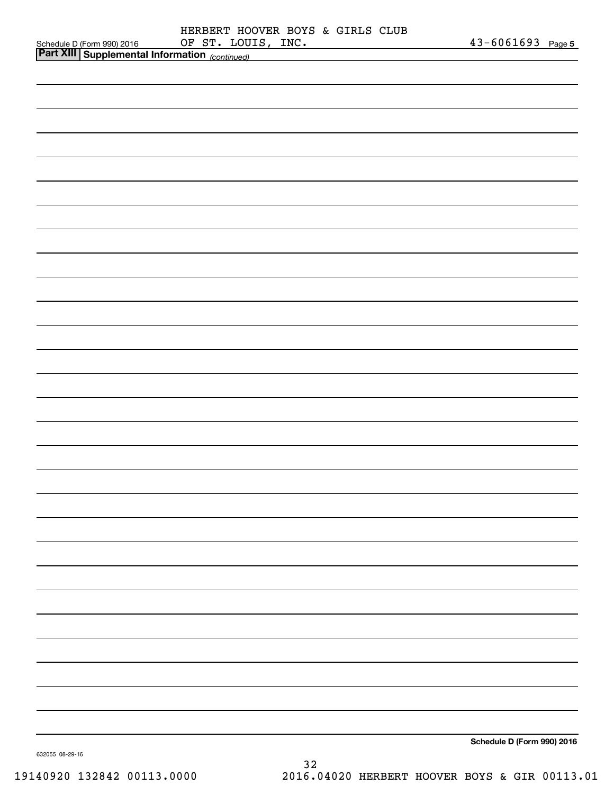|                                                                                                | HERBERT HOOVER BOYS & GIRLS CLUB |  | OF ST. LOUIS, INC. | 43-6061693 Page 5          |  |
|------------------------------------------------------------------------------------------------|----------------------------------|--|--------------------|----------------------------|--|
| Schedule D (Form 990) 2016 OF ST. LOUIS, INC<br>Part XIII Supplemental Information (continued) |                                  |  |                    |                            |  |
|                                                                                                |                                  |  |                    |                            |  |
|                                                                                                |                                  |  |                    |                            |  |
|                                                                                                |                                  |  |                    |                            |  |
|                                                                                                |                                  |  |                    |                            |  |
|                                                                                                |                                  |  |                    |                            |  |
|                                                                                                |                                  |  |                    |                            |  |
|                                                                                                |                                  |  |                    |                            |  |
|                                                                                                |                                  |  |                    |                            |  |
|                                                                                                |                                  |  |                    |                            |  |
|                                                                                                |                                  |  |                    |                            |  |
|                                                                                                |                                  |  |                    |                            |  |
|                                                                                                |                                  |  |                    |                            |  |
|                                                                                                |                                  |  |                    |                            |  |
|                                                                                                |                                  |  |                    |                            |  |
|                                                                                                |                                  |  |                    |                            |  |
|                                                                                                |                                  |  |                    |                            |  |
|                                                                                                |                                  |  |                    |                            |  |
|                                                                                                |                                  |  |                    |                            |  |
|                                                                                                |                                  |  |                    |                            |  |
|                                                                                                |                                  |  |                    |                            |  |
|                                                                                                |                                  |  |                    |                            |  |
|                                                                                                |                                  |  |                    |                            |  |
|                                                                                                |                                  |  |                    |                            |  |
|                                                                                                |                                  |  |                    |                            |  |
|                                                                                                |                                  |  |                    |                            |  |
|                                                                                                |                                  |  |                    |                            |  |
|                                                                                                |                                  |  |                    |                            |  |
|                                                                                                |                                  |  |                    |                            |  |
|                                                                                                |                                  |  |                    |                            |  |
|                                                                                                |                                  |  |                    |                            |  |
|                                                                                                |                                  |  |                    |                            |  |
|                                                                                                |                                  |  |                    |                            |  |
|                                                                                                |                                  |  |                    |                            |  |
|                                                                                                |                                  |  |                    |                            |  |
|                                                                                                |                                  |  |                    |                            |  |
|                                                                                                |                                  |  |                    |                            |  |
|                                                                                                |                                  |  |                    |                            |  |
|                                                                                                |                                  |  |                    |                            |  |
|                                                                                                |                                  |  |                    |                            |  |
|                                                                                                |                                  |  |                    |                            |  |
|                                                                                                |                                  |  |                    |                            |  |
|                                                                                                |                                  |  |                    |                            |  |
|                                                                                                |                                  |  |                    |                            |  |
|                                                                                                |                                  |  |                    |                            |  |
|                                                                                                |                                  |  |                    | Schedule D (Form 990) 2016 |  |
| 632055 08-29-16                                                                                |                                  |  |                    |                            |  |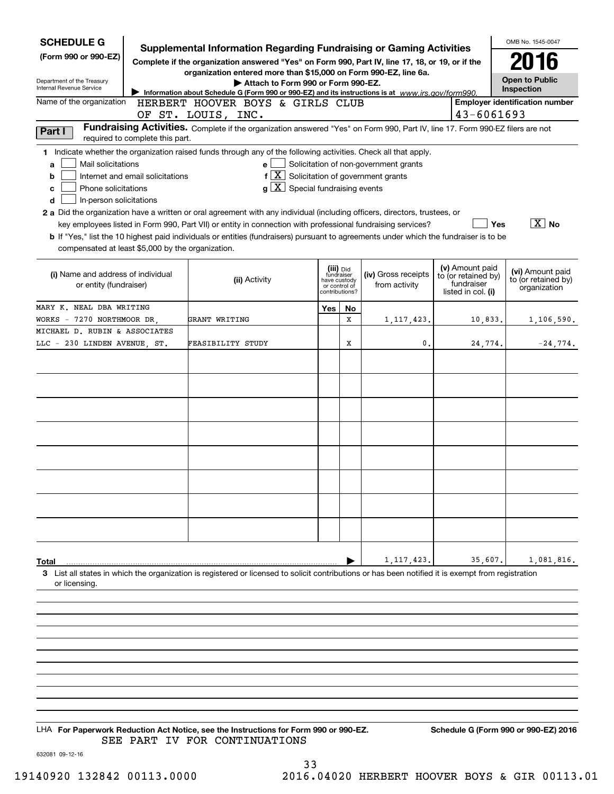| <b>SCHEDULE G</b>                                                                                                                                                                                                                                                                                                                                                                                                                                                                                                                                                                  | <b>Supplemental Information Regarding Fundraising or Gaming Activities</b>                                                                                                                                      |                                                                            |    |                                       |                                                                            | OMB No. 1545-0047                                       |
|------------------------------------------------------------------------------------------------------------------------------------------------------------------------------------------------------------------------------------------------------------------------------------------------------------------------------------------------------------------------------------------------------------------------------------------------------------------------------------------------------------------------------------------------------------------------------------|-----------------------------------------------------------------------------------------------------------------------------------------------------------------------------------------------------------------|----------------------------------------------------------------------------|----|---------------------------------------|----------------------------------------------------------------------------|---------------------------------------------------------|
| (Form 990 or 990-EZ)                                                                                                                                                                                                                                                                                                                                                                                                                                                                                                                                                               | Complete if the organization answered "Yes" on Form 990, Part IV, line 17, 18, or 19, or if the                                                                                                                 |                                                                            |    |                                       |                                                                            | 2016                                                    |
| Department of the Treasury                                                                                                                                                                                                                                                                                                                                                                                                                                                                                                                                                         | organization entered more than \$15,000 on Form 990-EZ, line 6a.<br>Attach to Form 990 or Form 990-EZ.                                                                                                          |                                                                            |    |                                       |                                                                            | <b>Open to Public</b>                                   |
| Internal Revenue Service                                                                                                                                                                                                                                                                                                                                                                                                                                                                                                                                                           | Information about Schedule G (Form 990 or 990-EZ) and its instructions is at www.irs.gov/form990.                                                                                                               |                                                                            |    |                                       |                                                                            | Inspection                                              |
| Name of the organization                                                                                                                                                                                                                                                                                                                                                                                                                                                                                                                                                           | HERBERT HOOVER BOYS & GIRLS CLUB<br>OF ST. LOUIS, INC.                                                                                                                                                          |                                                                            |    |                                       | 43-6061693                                                                 | <b>Employer identification number</b>                   |
| Part I<br>required to complete this part.                                                                                                                                                                                                                                                                                                                                                                                                                                                                                                                                          | Fundraising Activities. Complete if the organization answered "Yes" on Form 990, Part IV, line 17. Form 990-EZ filers are not                                                                                   |                                                                            |    |                                       |                                                                            |                                                         |
| 1 Indicate whether the organization raised funds through any of the following activities. Check all that apply.<br>Mail solicitations<br>a<br>Internet and email solicitations<br>b<br>Phone solicitations<br>c<br>In-person solicitations<br>d<br>2 a Did the organization have a written or oral agreement with any individual (including officers, directors, trustees, or<br><b>b</b> If "Yes," list the 10 highest paid individuals or entities (fundraisers) pursuant to agreements under which the fundraiser is to be<br>compensated at least \$5,000 by the organization. | e<br>$f[\overline{X}]$ Solicitation of government grants<br>$g\mid X$ Special fundraising events<br>key employees listed in Form 990, Part VII) or entity in connection with professional fundraising services? |                                                                            |    | Solicitation of non-government grants |                                                                            | $ \overline{X} $ No<br>Yes                              |
| (i) Name and address of individual<br>or entity (fundraiser)                                                                                                                                                                                                                                                                                                                                                                                                                                                                                                                       | (ii) Activity                                                                                                                                                                                                   | (iii) Did<br>fundraiser<br>have custody<br>or control of<br>contributions? |    | (iv) Gross receipts<br>from activity  | (v) Amount paid<br>to (or retained by)<br>fundraiser<br>listed in col. (i) | (vi) Amount paid<br>to (or retained by)<br>organization |
| MARY K. NEAL DBA WRITING                                                                                                                                                                                                                                                                                                                                                                                                                                                                                                                                                           |                                                                                                                                                                                                                 | Yes                                                                        | No |                                       |                                                                            |                                                         |
| WORKS - 7270 NORTHMOOR DR.<br>MICHAEL D. RUBIN & ASSOCIATES                                                                                                                                                                                                                                                                                                                                                                                                                                                                                                                        | GRANT WRITING                                                                                                                                                                                                   |                                                                            | X  | 1,117,423.                            | 10,833.                                                                    | 1,106,590.                                              |
| LLC - 230 LINDEN AVENUE, ST.                                                                                                                                                                                                                                                                                                                                                                                                                                                                                                                                                       | FEASIBILITY STUDY                                                                                                                                                                                               |                                                                            | X  | 0.                                    | 24,774.                                                                    | $-24,774.$                                              |
|                                                                                                                                                                                                                                                                                                                                                                                                                                                                                                                                                                                    |                                                                                                                                                                                                                 |                                                                            |    |                                       |                                                                            |                                                         |
|                                                                                                                                                                                                                                                                                                                                                                                                                                                                                                                                                                                    |                                                                                                                                                                                                                 |                                                                            |    |                                       |                                                                            |                                                         |
|                                                                                                                                                                                                                                                                                                                                                                                                                                                                                                                                                                                    |                                                                                                                                                                                                                 |                                                                            |    |                                       |                                                                            |                                                         |
| Total<br>3 List all states in which the organization is registered or licensed to solicit contributions or has been notified it is exempt from registration<br>or licensing.                                                                                                                                                                                                                                                                                                                                                                                                       |                                                                                                                                                                                                                 |                                                                            |    | 1, 117, 423.                          | 35,607.                                                                    | 1,081,816.                                              |
|                                                                                                                                                                                                                                                                                                                                                                                                                                                                                                                                                                                    |                                                                                                                                                                                                                 |                                                                            |    |                                       |                                                                            |                                                         |
|                                                                                                                                                                                                                                                                                                                                                                                                                                                                                                                                                                                    |                                                                                                                                                                                                                 |                                                                            |    |                                       |                                                                            |                                                         |
|                                                                                                                                                                                                                                                                                                                                                                                                                                                                                                                                                                                    |                                                                                                                                                                                                                 |                                                                            |    |                                       |                                                                            |                                                         |
|                                                                                                                                                                                                                                                                                                                                                                                                                                                                                                                                                                                    |                                                                                                                                                                                                                 |                                                                            |    |                                       |                                                                            |                                                         |
|                                                                                                                                                                                                                                                                                                                                                                                                                                                                                                                                                                                    |                                                                                                                                                                                                                 |                                                                            |    |                                       |                                                                            |                                                         |
|                                                                                                                                                                                                                                                                                                                                                                                                                                                                                                                                                                                    |                                                                                                                                                                                                                 |                                                                            |    |                                       |                                                                            |                                                         |

LHA For Paperwork Reduction Act Notice, see the Instructions for Form 990 or 990-EZ. Schedule G (Form 990 or 990-EZ) 2016 SEE PART IV FOR CONTINUATIONS

632081 09-12-16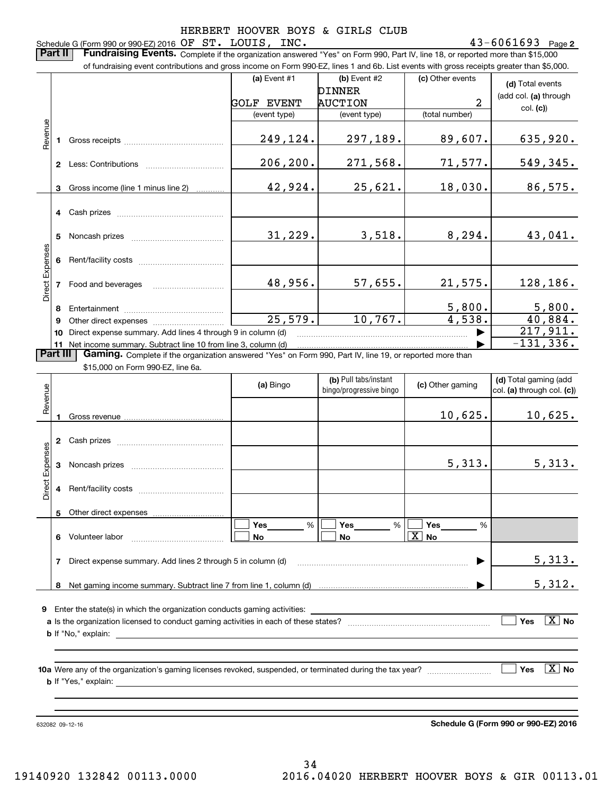#### **2** Schedule G (Form 990 or 990-EZ) 2016 Page OF ST. LOUIS, INC. 43-6061693

**Part II** | Fundraising Events. Complete if the organization answered "Yes" on Form 990, Part IV, line 18, or reported more than \$15,000

|                 |          | of fundraising event contributions and gross income on Form 990-EZ, lines 1 and 6b. List events with gross receipts greater than \$5,000. |                       |                                                  |                                      |                                                     |
|-----------------|----------|-------------------------------------------------------------------------------------------------------------------------------------------|-----------------------|--------------------------------------------------|--------------------------------------|-----------------------------------------------------|
|                 |          |                                                                                                                                           | (a) Event #1          | (b) Event #2                                     | (c) Other events                     | (d) Total events                                    |
|                 |          |                                                                                                                                           |                       | <b>DINNER</b>                                    |                                      | (add col. (a) through                               |
|                 |          |                                                                                                                                           | <b>GOLF EVENT</b>     | <b>AUCTION</b>                                   | $\overline{a}$                       | col. (c)                                            |
|                 |          |                                                                                                                                           | (event type)          | (event type)                                     | (total number)                       |                                                     |
| Revenue         |          |                                                                                                                                           | 249,124.              | 297,189.                                         | 89,607.                              | 635,920.                                            |
|                 |          |                                                                                                                                           | 206, 200.             | 271,568.                                         | 71,577.                              | 549,345.                                            |
|                 |          | 3 Gross income (line 1 minus line 2)                                                                                                      | 42,924.               | 25,621.                                          | 18,030.                              | 86,575.                                             |
|                 |          |                                                                                                                                           |                       |                                                  |                                      |                                                     |
|                 |          |                                                                                                                                           | 31,229.               | 3,518.                                           | 8,294.                               | 43,041.                                             |
| Direct Expenses |          |                                                                                                                                           |                       |                                                  |                                      |                                                     |
|                 |          | 7 Food and beverages                                                                                                                      | 48,956.               | 57,655.                                          | 21,575.                              | 128, 186.                                           |
|                 |          |                                                                                                                                           |                       |                                                  | 5,800.                               | 5,800.                                              |
|                 | 9        |                                                                                                                                           | $\overline{25,579}$ . | 10,767.                                          | 4,538.                               | 40,884.                                             |
|                 |          | 10 Direct expense summary. Add lines 4 through 9 in column (d)                                                                            |                       |                                                  |                                      | 217,911.                                            |
|                 |          | 11 Net income summary. Subtract line 10 from line 3, column (d)                                                                           |                       |                                                  |                                      | $-131,336.$                                         |
|                 | Part III | Gaming. Complete if the organization answered "Yes" on Form 990, Part IV, line 19, or reported more than                                  |                       |                                                  |                                      |                                                     |
|                 |          | \$15,000 on Form 990-EZ, line 6a.                                                                                                         |                       |                                                  |                                      |                                                     |
| Revenue         |          |                                                                                                                                           | (a) Bingo             | (b) Pull tabs/instant<br>bingo/progressive bingo | (c) Other gaming                     | (d) Total gaming (add<br>col. (a) through col. (c)) |
|                 | 1        |                                                                                                                                           |                       |                                                  | 10,625.                              | 10,625.                                             |
|                 |          |                                                                                                                                           |                       |                                                  |                                      |                                                     |
| Direct Expenses |          |                                                                                                                                           |                       |                                                  | 5,313.                               | 5, 313.                                             |
|                 |          | 4 Rent/facility costs                                                                                                                     |                       |                                                  |                                      |                                                     |
|                 | 5.       | Other direct expenses                                                                                                                     |                       |                                                  |                                      |                                                     |
|                 | 6        | Volunteer labor                                                                                                                           | Yes<br>%<br>No        | Yes<br>%<br>No                                   | Yes<br>%<br>$\boxed{\text{X}}$<br>No |                                                     |
|                 | 7        | Direct expense summary. Add lines 2 through 5 in column (d)                                                                               |                       |                                                  |                                      | 5,313.                                              |
|                 | 8        |                                                                                                                                           |                       |                                                  |                                      | 5,312.                                              |
|                 |          |                                                                                                                                           |                       |                                                  |                                      |                                                     |
|                 |          |                                                                                                                                           |                       |                                                  |                                      | $\boxed{\text{X}}$ No<br>Yes                        |
|                 |          |                                                                                                                                           |                       |                                                  |                                      |                                                     |
|                 |          |                                                                                                                                           |                       |                                                  |                                      | $\boxed{\text{X}}$ No<br>Yes                        |
|                 |          |                                                                                                                                           |                       |                                                  |                                      |                                                     |

632082 09-12-16

**Schedule G (Form 990 or 990-EZ) 2016**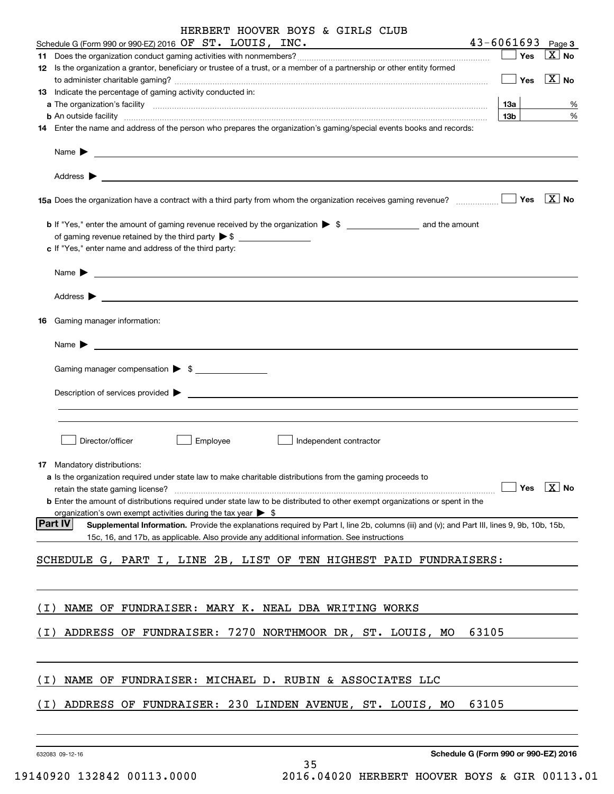| HERBERT HOOVER BOYS & GIRLS CLUB                                                                                                                                                                                                                     |                                      |                           |
|------------------------------------------------------------------------------------------------------------------------------------------------------------------------------------------------------------------------------------------------------|--------------------------------------|---------------------------|
| Schedule G (Form 990 or 990-EZ) 2016 OF ST. LOUIS, INC.                                                                                                                                                                                              | $43 - 6061693$ Page 3<br>$\Box$ Yes  | $ X $ No                  |
| 12 Is the organization a grantor, beneficiary or trustee of a trust, or a member of a partnership or other entity formed                                                                                                                             |                                      |                           |
| 13 Indicate the percentage of gaming activity conducted in:                                                                                                                                                                                          | $\Box$ Yes                           | $ \overline{X} $ No       |
|                                                                                                                                                                                                                                                      | 13а                                  | %                         |
| <b>b</b> An outside facility <b>contained a contained a contained a contained a contained a contained a contained a contained a contact a contact a contact a contact a contact a contact a contact a contact a contact a contact a c</b>            | 13 <sub>b</sub>                      | %                         |
| 14 Enter the name and address of the person who prepares the organization's gaming/special events books and records:                                                                                                                                 |                                      |                           |
| Name $\triangleright$ $\frac{1}{\cdot}$                                                                                                                                                                                                              |                                      |                           |
|                                                                                                                                                                                                                                                      |                                      |                           |
|                                                                                                                                                                                                                                                      |                                      |                           |
| <b>b</b> If "Yes," enter the amount of gaming revenue received by the organization $\triangleright$ \$                                                                                                                                               |                                      |                           |
| of gaming revenue retained by the third party $\triangleright$ \$<br>c If "Yes," enter name and address of the third party:                                                                                                                          |                                      |                           |
| Name $\blacktriangleright$ $\lrcorner$                                                                                                                                                                                                               |                                      |                           |
|                                                                                                                                                                                                                                                      |                                      |                           |
| <b>16</b> Gaming manager information:                                                                                                                                                                                                                |                                      |                           |
| Name $\blacktriangleright$ $\lrcorner$                                                                                                                                                                                                               |                                      |                           |
| Gaming manager compensation > \$                                                                                                                                                                                                                     |                                      |                           |
| $\blacksquare$ Description of services provided $\blacktriangleright$                                                                                                                                                                                |                                      |                           |
|                                                                                                                                                                                                                                                      |                                      |                           |
| Director/officer<br>Employee<br>Independent contractor                                                                                                                                                                                               |                                      |                           |
| 17 Mandatory distributions:<br>a Is the organization required under state law to make charitable distributions from the gaming proceeds to                                                                                                           |                                      |                           |
| retain the state gaming license?<br><b>b</b> Enter the amount of distributions required under state law to be distributed to other exempt organizations or spent in the                                                                              |                                      | Yes $\boxed{\text{X}}$ No |
| organization's own exempt activities during the tax year $\triangleright$ \$                                                                                                                                                                         |                                      |                           |
| Part IV<br>Supplemental Information. Provide the explanations required by Part I, line 2b, columns (iii) and (v); and Part III, lines 9, 9b, 10b, 15b,<br>15c, 16, and 17b, as applicable. Also provide any additional information. See instructions |                                      |                           |
| SCHEDULE G, PART I, LINE 2B, LIST OF TEN HIGHEST PAID FUNDRAISERS:                                                                                                                                                                                   |                                      |                           |
|                                                                                                                                                                                                                                                      |                                      |                           |
| NAME OF FUNDRAISER: MARY K. NEAL DBA WRITING WORKS<br>( I )                                                                                                                                                                                          |                                      |                           |
| ADDRESS OF FUNDRAISER: 7270 NORTHMOOR DR, ST. LOUIS, MO<br>( I )                                                                                                                                                                                     | 63105                                |                           |
|                                                                                                                                                                                                                                                      |                                      |                           |
| NAME OF FUNDRAISER: MICHAEL D. RUBIN & ASSOCIATES LLC<br>(1)                                                                                                                                                                                         |                                      |                           |
| ADDRESS OF FUNDRAISER: 230 LINDEN AVENUE, ST. LOUIS, MO<br>( I )                                                                                                                                                                                     | 63105                                |                           |
|                                                                                                                                                                                                                                                      |                                      |                           |
| 632083 09-12-16                                                                                                                                                                                                                                      | Schedule G (Form 990 or 990-EZ) 2016 |                           |

35

19140920 132842 00113.0000 2016.04020 HERBERT HOOVER BOYS & GIR 00113.01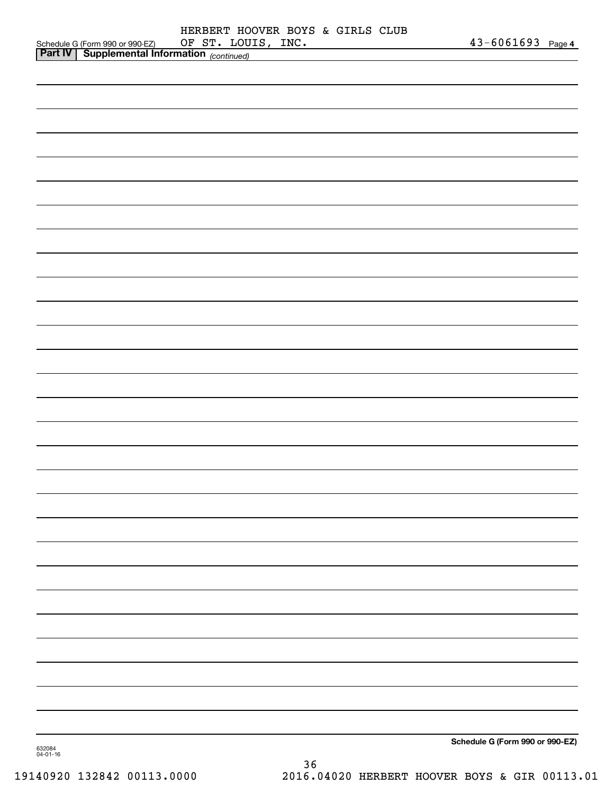|                    | HERBERT HOOVER BOYS & GIRLS CLUB                                                                   | $43 - 6061693$ Page 4           |
|--------------------|----------------------------------------------------------------------------------------------------|---------------------------------|
|                    | Schedule G (Form 990 or 990-EZ) OF ST. LOUIS, INC.<br>Part IV Supplemental Information (continued) |                                 |
|                    |                                                                                                    |                                 |
|                    |                                                                                                    |                                 |
|                    |                                                                                                    |                                 |
|                    |                                                                                                    |                                 |
|                    |                                                                                                    |                                 |
|                    |                                                                                                    |                                 |
|                    |                                                                                                    |                                 |
|                    |                                                                                                    |                                 |
|                    |                                                                                                    |                                 |
|                    |                                                                                                    |                                 |
|                    |                                                                                                    |                                 |
|                    |                                                                                                    |                                 |
|                    |                                                                                                    |                                 |
|                    |                                                                                                    |                                 |
|                    |                                                                                                    |                                 |
|                    |                                                                                                    |                                 |
|                    |                                                                                                    |                                 |
|                    |                                                                                                    |                                 |
|                    |                                                                                                    |                                 |
|                    |                                                                                                    |                                 |
|                    |                                                                                                    |                                 |
|                    |                                                                                                    |                                 |
|                    |                                                                                                    |                                 |
|                    |                                                                                                    |                                 |
|                    |                                                                                                    |                                 |
|                    |                                                                                                    |                                 |
|                    |                                                                                                    |                                 |
|                    |                                                                                                    |                                 |
|                    |                                                                                                    |                                 |
|                    |                                                                                                    |                                 |
|                    |                                                                                                    |                                 |
|                    |                                                                                                    |                                 |
|                    |                                                                                                    |                                 |
|                    |                                                                                                    |                                 |
|                    |                                                                                                    |                                 |
|                    |                                                                                                    |                                 |
|                    |                                                                                                    |                                 |
|                    |                                                                                                    |                                 |
|                    |                                                                                                    |                                 |
|                    |                                                                                                    |                                 |
|                    |                                                                                                    |                                 |
|                    |                                                                                                    |                                 |
|                    |                                                                                                    |                                 |
|                    |                                                                                                    |                                 |
|                    |                                                                                                    |                                 |
|                    |                                                                                                    |                                 |
|                    |                                                                                                    |                                 |
|                    |                                                                                                    |                                 |
|                    |                                                                                                    |                                 |
|                    |                                                                                                    | Schedule G (Form 990 or 990-EZ) |
| 632084<br>04-01-16 |                                                                                                    |                                 |

36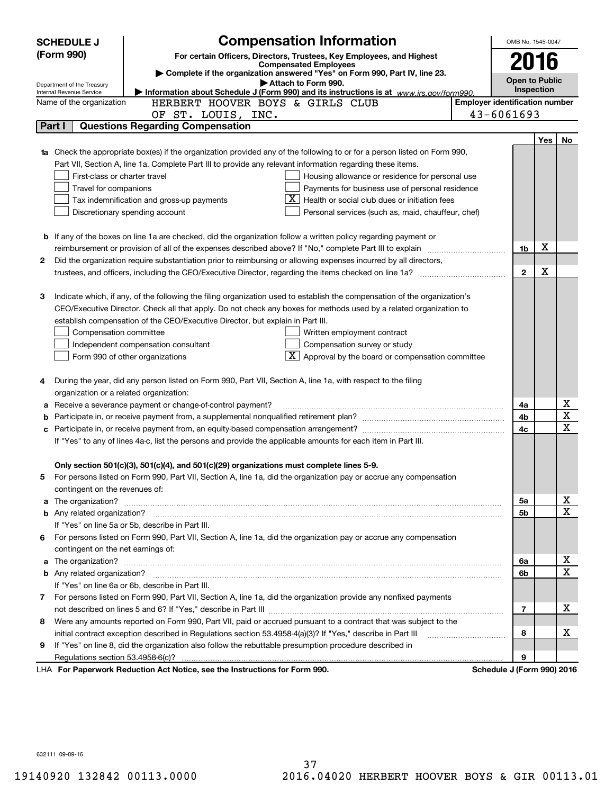|   | <b>SCHEDULE J</b>                       | <b>Compensation Information</b>                                                                                                                                                                                                                 | OMB No. 1545-0047                     |     |             |
|---|-----------------------------------------|-------------------------------------------------------------------------------------------------------------------------------------------------------------------------------------------------------------------------------------------------|---------------------------------------|-----|-------------|
|   | (Form 990)                              | For certain Officers, Directors, Trustees, Key Employees, and Highest                                                                                                                                                                           | 2016                                  |     |             |
|   |                                         | <b>Compensated Employees</b><br>Complete if the organization answered "Yes" on Form 990, Part IV, line 23.                                                                                                                                      |                                       |     |             |
|   | Department of the Treasury              | Attach to Form 990.                                                                                                                                                                                                                             | <b>Open to Public</b>                 |     |             |
|   | Internal Revenue Service                | Information about Schedule J (Form 990) and its instructions is at www.irs.gov/form990.                                                                                                                                                         | Inspection                            |     |             |
|   | Name of the organization                | HERBERT HOOVER BOYS & GIRLS CLUB                                                                                                                                                                                                                | <b>Employer identification number</b> |     |             |
|   |                                         | OF ST. LOUIS, INC.                                                                                                                                                                                                                              | 43-6061693                            |     |             |
|   | Part I                                  | <b>Questions Regarding Compensation</b>                                                                                                                                                                                                         |                                       |     |             |
|   |                                         |                                                                                                                                                                                                                                                 |                                       | Yes | No          |
|   |                                         | Check the appropriate box(es) if the organization provided any of the following to or for a person listed on Form 990,                                                                                                                          |                                       |     |             |
|   |                                         | Part VII, Section A, line 1a. Complete Part III to provide any relevant information regarding these items.                                                                                                                                      |                                       |     |             |
|   | First-class or charter travel           | Housing allowance or residence for personal use                                                                                                                                                                                                 |                                       |     |             |
|   | Travel for companions                   | Payments for business use of personal residence                                                                                                                                                                                                 |                                       |     |             |
|   |                                         | Health or social club dues or initiation fees<br>Tax indemnification and gross-up payments                                                                                                                                                      |                                       |     |             |
|   |                                         | Discretionary spending account<br>Personal services (such as, maid, chauffeur, chef)                                                                                                                                                            |                                       |     |             |
|   |                                         |                                                                                                                                                                                                                                                 |                                       |     |             |
|   |                                         | <b>b</b> If any of the boxes on line 1a are checked, did the organization follow a written policy regarding payment or                                                                                                                          |                                       | х   |             |
|   |                                         |                                                                                                                                                                                                                                                 | 1b                                    |     |             |
| 2 |                                         | Did the organization require substantiation prior to reimbursing or allowing expenses incurred by all directors,                                                                                                                                |                                       | X   |             |
|   |                                         |                                                                                                                                                                                                                                                 | $\mathbf{2}$                          |     |             |
|   |                                         |                                                                                                                                                                                                                                                 |                                       |     |             |
| З |                                         | Indicate which, if any, of the following the filing organization used to establish the compensation of the organization's<br>CEO/Executive Director. Check all that apply. Do not check any boxes for methods used by a related organization to |                                       |     |             |
|   |                                         | establish compensation of the CEO/Executive Director, but explain in Part III.                                                                                                                                                                  |                                       |     |             |
|   |                                         |                                                                                                                                                                                                                                                 |                                       |     |             |
|   | Compensation committee                  | Written employment contract                                                                                                                                                                                                                     |                                       |     |             |
|   |                                         | Compensation survey or study<br>Independent compensation consultant<br>Approval by the board or compensation committee                                                                                                                          |                                       |     |             |
|   |                                         | Form 990 of other organizations                                                                                                                                                                                                                 |                                       |     |             |
| 4 |                                         | During the year, did any person listed on Form 990, Part VII, Section A, line 1a, with respect to the filing                                                                                                                                    |                                       |     |             |
|   | organization or a related organization: |                                                                                                                                                                                                                                                 |                                       |     |             |
|   |                                         | Receive a severance payment or change-of-control payment?                                                                                                                                                                                       | 4a                                    |     | х           |
|   |                                         |                                                                                                                                                                                                                                                 | 4b                                    |     | $\mathbf X$ |
|   |                                         |                                                                                                                                                                                                                                                 | 4c                                    |     | X           |
|   |                                         | If "Yes" to any of lines 4a-c, list the persons and provide the applicable amounts for each item in Part III.                                                                                                                                   |                                       |     |             |
|   |                                         |                                                                                                                                                                                                                                                 |                                       |     |             |
|   |                                         | Only section 501(c)(3), 501(c)(4), and 501(c)(29) organizations must complete lines 5-9.                                                                                                                                                        |                                       |     |             |
|   |                                         | For persons listed on Form 990, Part VII, Section A, line 1a, did the organization pay or accrue any compensation                                                                                                                               |                                       |     |             |
|   | contingent on the revenues of:          |                                                                                                                                                                                                                                                 |                                       |     |             |
| a |                                         |                                                                                                                                                                                                                                                 | 5a                                    |     | х           |
|   |                                         |                                                                                                                                                                                                                                                 | 5b                                    |     | $\mathbf X$ |
|   |                                         | If "Yes" on line 5a or 5b, describe in Part III.                                                                                                                                                                                                |                                       |     |             |
|   |                                         | 6 For persons listed on Form 990, Part VII, Section A, line 1a, did the organization pay or accrue any compensation                                                                                                                             |                                       |     |             |
|   | contingent on the net earnings of:      |                                                                                                                                                                                                                                                 |                                       |     |             |
| a |                                         |                                                                                                                                                                                                                                                 | 6a                                    |     | х           |
|   |                                         |                                                                                                                                                                                                                                                 | 6b                                    |     | $\mathbf X$ |
|   |                                         | If "Yes" on line 6a or 6b, describe in Part III.                                                                                                                                                                                                |                                       |     |             |
|   |                                         | 7 For persons listed on Form 990, Part VII, Section A, line 1a, did the organization provide any nonfixed payments                                                                                                                              |                                       |     |             |
|   |                                         |                                                                                                                                                                                                                                                 | 7                                     |     | х           |
| 8 |                                         | Were any amounts reported on Form 990, Part VII, paid or accrued pursuant to a contract that was subject to the                                                                                                                                 |                                       |     |             |
|   |                                         | initial contract exception described in Regulations section 53.4958-4(a)(3)? If "Yes," describe in Part III                                                                                                                                     | 8                                     |     | х           |
| 9 |                                         | If "Yes" on line 8, did the organization also follow the rebuttable presumption procedure described in                                                                                                                                          |                                       |     |             |
|   |                                         |                                                                                                                                                                                                                                                 | 9                                     |     |             |
|   |                                         | LHA For Paperwork Reduction Act Notice, see the Instructions for Form 990.                                                                                                                                                                      | Schedule J (Form 990) 2016            |     |             |

632111 09-09-16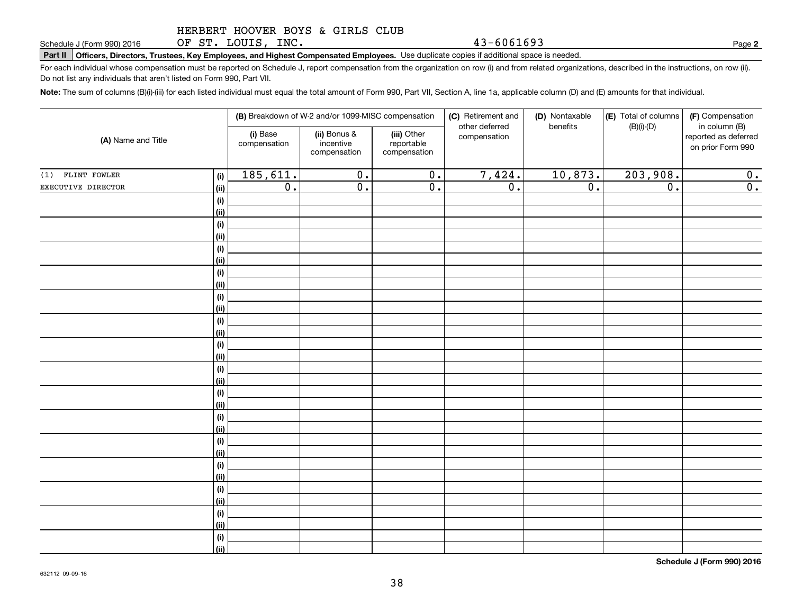OF ST. LOUIS, INC.

**Part II Officers, Directors, Trustees, Key Employees, and Highest Compensated Employees.**  Schedule J (Form 990) 2016 Page Use duplicate copies if additional space is needed.

For each individual whose compensation must be reported on Schedule J, report compensation from the organization on row (i) and from related organizations, described in the instructions, on row (ii). Do not list any individuals that aren't listed on Form 990, Part VII.

**Note:**  The sum of columns (B)(i)-(iii) for each listed individual must equal the total amount of Form 990, Part VII, Section A, line 1a, applicable column (D) and (E) amounts for that individual.

| (A) Name and Title |             |                          | (B) Breakdown of W-2 and/or 1099-MISC compensation |                                           | (C) Retirement and             | (D) Nontaxable<br>benefits | (E) Total of columns | (F) Compensation                                           |
|--------------------|-------------|--------------------------|----------------------------------------------------|-------------------------------------------|--------------------------------|----------------------------|----------------------|------------------------------------------------------------|
|                    |             | (i) Base<br>compensation | (ii) Bonus &<br>incentive<br>compensation          | (iii) Other<br>reportable<br>compensation | other deferred<br>compensation |                            | $(B)(i)-(D)$         | in column (B)<br>reported as deferred<br>on prior Form 990 |
| (1) FLINT FOWLER   | (i)         | 185,611.                 | $\overline{0}$ .                                   | $\overline{0}$ .                          | 7,424.                         | 10,873.                    | 203,908.             | 0.                                                         |
| EXECUTIVE DIRECTOR | (ii)        | $\overline{0}$ .         | $\overline{0}$ .                                   | $\overline{\mathfrak{0}}$ .               | $\overline{0}$ .               | $\overline{0}$ .           | $\overline{0}$ .     | $\overline{0}$ .                                           |
|                    | (i)         |                          |                                                    |                                           |                                |                            |                      |                                                            |
|                    | (ii)        |                          |                                                    |                                           |                                |                            |                      |                                                            |
|                    | (i)         |                          |                                                    |                                           |                                |                            |                      |                                                            |
|                    | (ii)        |                          |                                                    |                                           |                                |                            |                      |                                                            |
|                    | (i)         |                          |                                                    |                                           |                                |                            |                      |                                                            |
|                    | (ii)        |                          |                                                    |                                           |                                |                            |                      |                                                            |
|                    | (i)         |                          |                                                    |                                           |                                |                            |                      |                                                            |
|                    | (ii)        |                          |                                                    |                                           |                                |                            |                      |                                                            |
|                    | (i)         |                          |                                                    |                                           |                                |                            |                      |                                                            |
|                    | (ii)        |                          |                                                    |                                           |                                |                            |                      |                                                            |
|                    | (i)         |                          |                                                    |                                           |                                |                            |                      |                                                            |
|                    | (ii)        |                          |                                                    |                                           |                                |                            |                      |                                                            |
|                    | $(\sf{i})$  |                          |                                                    |                                           |                                |                            |                      |                                                            |
|                    | (ii)        |                          |                                                    |                                           |                                |                            |                      |                                                            |
|                    | (i)<br>(ii) |                          |                                                    |                                           |                                |                            |                      |                                                            |
|                    | (i)         |                          |                                                    |                                           |                                |                            |                      |                                                            |
|                    | (ii)        |                          |                                                    |                                           |                                |                            |                      |                                                            |
|                    | (i)         |                          |                                                    |                                           |                                |                            |                      |                                                            |
|                    | (ii)        |                          |                                                    |                                           |                                |                            |                      |                                                            |
|                    | (i)         |                          |                                                    |                                           |                                |                            |                      |                                                            |
|                    | (ii)        |                          |                                                    |                                           |                                |                            |                      |                                                            |
|                    | (i)         |                          |                                                    |                                           |                                |                            |                      |                                                            |
|                    | (ii)        |                          |                                                    |                                           |                                |                            |                      |                                                            |
|                    | (i)         |                          |                                                    |                                           |                                |                            |                      |                                                            |
|                    | (ii)        |                          |                                                    |                                           |                                |                            |                      |                                                            |
|                    | (i)         |                          |                                                    |                                           |                                |                            |                      |                                                            |
|                    | (ii)        |                          |                                                    |                                           |                                |                            |                      |                                                            |
|                    | (i)         |                          |                                                    |                                           |                                |                            |                      |                                                            |
|                    | (ii)        |                          |                                                    |                                           |                                |                            |                      |                                                            |

**Schedule J (Form 990) 2016**

**2**

43-6061693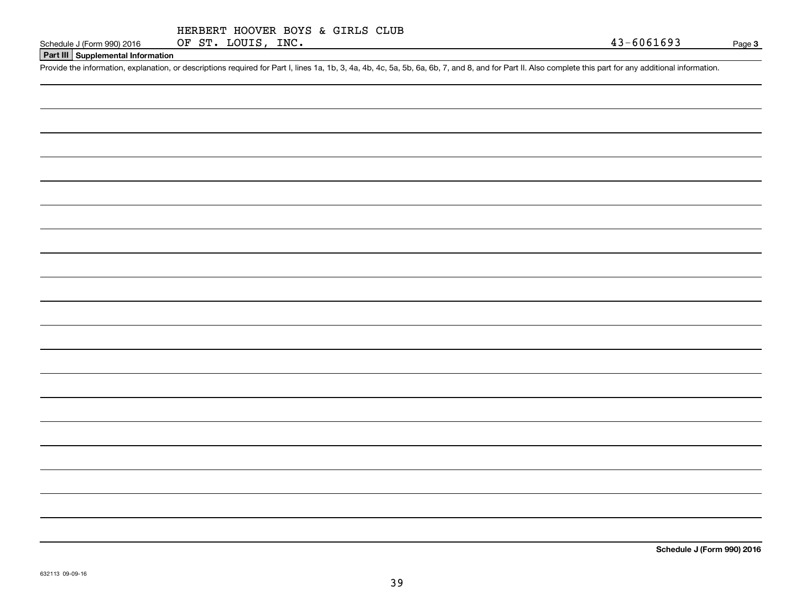| $\sim$ | $\overline{\phantom{a}}$ | $\sim$ $\sim$ $\sim$ $\sim$ $\sim$ |  |
|--------|--------------------------|------------------------------------|--|
|        |                          |                                    |  |
|        |                          |                                    |  |

# **Part III Supplemental Information**

Schedule J (Form 990) 2016 OF ST. LOUIS, INC.<br>Part III Supplemental Information<br>Provide the information, explanation, or descriptions required for Part I, lines 1a, 1b, 3, 4a, 4b, 4c, 5a, 5b, 6a, 6b, 7, and 8, and for Part

**Schedule J (Form 990) 2016**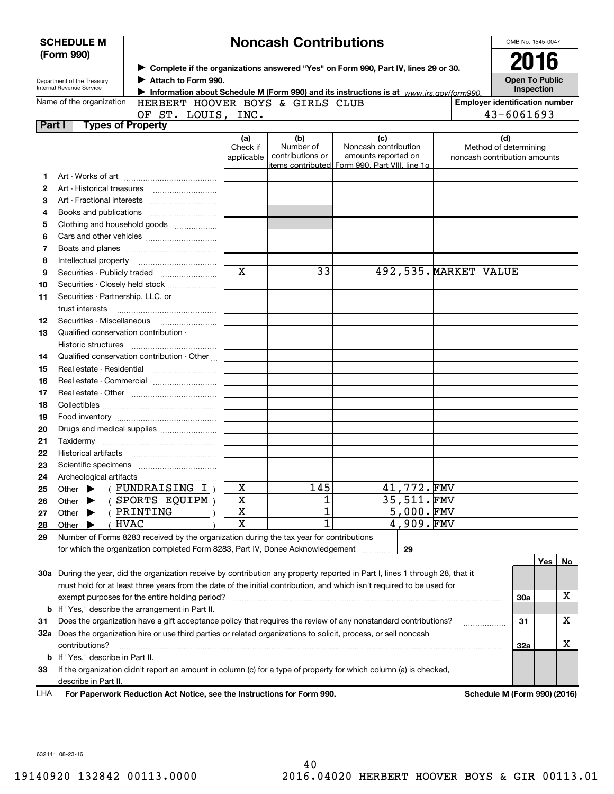|        | <b>SCHEDULE M</b>                                      |                                                                                                                                |                         | <b>Noncash Contributions</b>  |                                                |                       | OMB No. 1545-0047                                     |            |    |
|--------|--------------------------------------------------------|--------------------------------------------------------------------------------------------------------------------------------|-------------------------|-------------------------------|------------------------------------------------|-----------------------|-------------------------------------------------------|------------|----|
|        | (Form 990)                                             |                                                                                                                                |                         |                               |                                                |                       | 2016                                                  |            |    |
|        |                                                        | > Complete if the organizations answered "Yes" on Form 990, Part IV, lines 29 or 30.                                           |                         |                               |                                                |                       |                                                       |            |    |
|        | Department of the Treasury<br>Internal Revenue Service | Attach to Form 990.                                                                                                            |                         |                               |                                                |                       | <b>Open To Public</b>                                 | Inspection |    |
|        | Name of the organization                               | Information about Schedule M (Form 990) and its instructions is at www.irs.gov/form990.<br>HERBERT HOOVER BOYS & GIRLS CLUB    |                         |                               |                                                |                       | <b>Employer identification number</b>                 |            |    |
|        |                                                        | OF ST. LOUIS, INC.                                                                                                             |                         |                               |                                                |                       | 43-6061693                                            |            |    |
| Part I | <b>Types of Property</b>                               |                                                                                                                                |                         |                               |                                                |                       |                                                       |            |    |
|        |                                                        |                                                                                                                                | (a)                     | (b)                           | (c)                                            |                       | (d)                                                   |            |    |
|        |                                                        |                                                                                                                                | Check if<br>applicable  | Number of<br>contributions or | Noncash contribution<br>amounts reported on    |                       | Method of determining<br>noncash contribution amounts |            |    |
|        |                                                        |                                                                                                                                |                         |                               | items contributed Form 990, Part VIII, line 1g |                       |                                                       |            |    |
| 1      |                                                        | Art - Works of art and the state of the state of the state of the state of the state of the state of the state                 |                         |                               |                                                |                       |                                                       |            |    |
| 2      |                                                        |                                                                                                                                |                         |                               |                                                |                       |                                                       |            |    |
| з      |                                                        |                                                                                                                                |                         |                               |                                                |                       |                                                       |            |    |
| 4      |                                                        |                                                                                                                                |                         |                               |                                                |                       |                                                       |            |    |
| 5      |                                                        | Clothing and household goods                                                                                                   |                         |                               |                                                |                       |                                                       |            |    |
| 6      |                                                        |                                                                                                                                |                         |                               |                                                |                       |                                                       |            |    |
| 7      |                                                        |                                                                                                                                |                         |                               |                                                |                       |                                                       |            |    |
| 8      |                                                        |                                                                                                                                |                         |                               |                                                |                       |                                                       |            |    |
| 9      |                                                        |                                                                                                                                | $\overline{\mathbf{x}}$ | $\overline{33}$               |                                                | 492,535. MARKET VALUE |                                                       |            |    |
| 10     |                                                        | Securities - Closely held stock                                                                                                |                         |                               |                                                |                       |                                                       |            |    |
| 11     | Securities - Partnership, LLC, or                      |                                                                                                                                |                         |                               |                                                |                       |                                                       |            |    |
|        | trust interests                                        |                                                                                                                                |                         |                               |                                                |                       |                                                       |            |    |
| 12     | Securities - Miscellaneous                             |                                                                                                                                |                         |                               |                                                |                       |                                                       |            |    |
| 13     | Qualified conservation contribution -                  |                                                                                                                                |                         |                               |                                                |                       |                                                       |            |    |
|        | Historic structures                                    |                                                                                                                                |                         |                               |                                                |                       |                                                       |            |    |
| 14     |                                                        | Qualified conservation contribution - Other                                                                                    |                         |                               |                                                |                       |                                                       |            |    |
| 15     | Real estate - Residential                              |                                                                                                                                |                         |                               |                                                |                       |                                                       |            |    |
| 16     |                                                        |                                                                                                                                |                         |                               |                                                |                       |                                                       |            |    |
| 17     |                                                        |                                                                                                                                |                         |                               |                                                |                       |                                                       |            |    |
| 18     |                                                        |                                                                                                                                |                         |                               |                                                |                       |                                                       |            |    |
| 19     |                                                        |                                                                                                                                |                         |                               |                                                |                       |                                                       |            |    |
| 20     |                                                        | Drugs and medical supplies                                                                                                     |                         |                               |                                                |                       |                                                       |            |    |
| 21     |                                                        |                                                                                                                                |                         |                               |                                                |                       |                                                       |            |    |
| 22     |                                                        |                                                                                                                                |                         |                               |                                                |                       |                                                       |            |    |
| 23     |                                                        |                                                                                                                                |                         |                               |                                                |                       |                                                       |            |    |
| 24     | Archeological artifacts                                |                                                                                                                                |                         |                               |                                                |                       |                                                       |            |    |
| 25     | Other                                                  | FUNDRAISING I)                                                                                                                 | х                       | 145                           |                                                | 41,772.FMV            |                                                       |            |    |
| 26     | Other                                                  | SPORTS EQUIPM                                                                                                                  | X                       | 1                             |                                                | 35,511.FMV            |                                                       |            |    |
| 27     | Other                                                  | PRINTING                                                                                                                       | X                       | 1                             |                                                | $5,000.\mathrm{FMV}$  |                                                       |            |    |
| 28     | Other                                                  | <b>HVAC</b>                                                                                                                    | X                       | 1                             |                                                | 4,909.FMV             |                                                       |            |    |
| 29     |                                                        | Number of Forms 8283 received by the organization during the tax year for contributions                                        |                         |                               |                                                |                       |                                                       |            |    |
|        |                                                        | for which the organization completed Form 8283, Part IV, Donee Acknowledgement                                                 |                         |                               | 29                                             |                       |                                                       |            |    |
|        |                                                        |                                                                                                                                |                         |                               |                                                |                       |                                                       | Yes        | No |
|        |                                                        | 30a During the year, did the organization receive by contribution any property reported in Part I, lines 1 through 28, that it |                         |                               |                                                |                       |                                                       |            |    |
|        |                                                        | must hold for at least three years from the date of the initial contribution, and which isn't required to be used for          |                         |                               |                                                |                       |                                                       |            |    |
|        |                                                        | exempt purposes for the entire holding period?                                                                                 |                         |                               |                                                |                       | 30a                                                   |            | х  |
|        |                                                        | <b>b</b> If "Yes," describe the arrangement in Part II.                                                                        |                         |                               |                                                |                       |                                                       |            |    |
| 31     |                                                        | Does the organization have a gift acceptance policy that requires the review of any nonstandard contributions?                 |                         |                               |                                                |                       | 31                                                    |            | х  |
| 32a    |                                                        | Does the organization hire or use third parties or related organizations to solicit, process, or sell noncash                  |                         |                               |                                                |                       |                                                       |            |    |
|        | contributions?                                         |                                                                                                                                |                         |                               |                                                |                       | 32a                                                   |            | x  |
|        | <b>b</b> If "Yes," describe in Part II.                |                                                                                                                                |                         |                               |                                                |                       |                                                       |            |    |
| 33     |                                                        | If the organization didn't report an amount in column (c) for a type of property for which column (a) is checked,              |                         |                               |                                                |                       |                                                       |            |    |
|        | describe in Part II.                                   |                                                                                                                                |                         |                               |                                                |                       |                                                       |            |    |
| LHA    |                                                        | For Paperwork Reduction Act Notice, see the Instructions for Form 990.                                                         |                         |                               |                                                |                       | Schedule M (Form 990) (2016)                          |            |    |

632141 08-23-16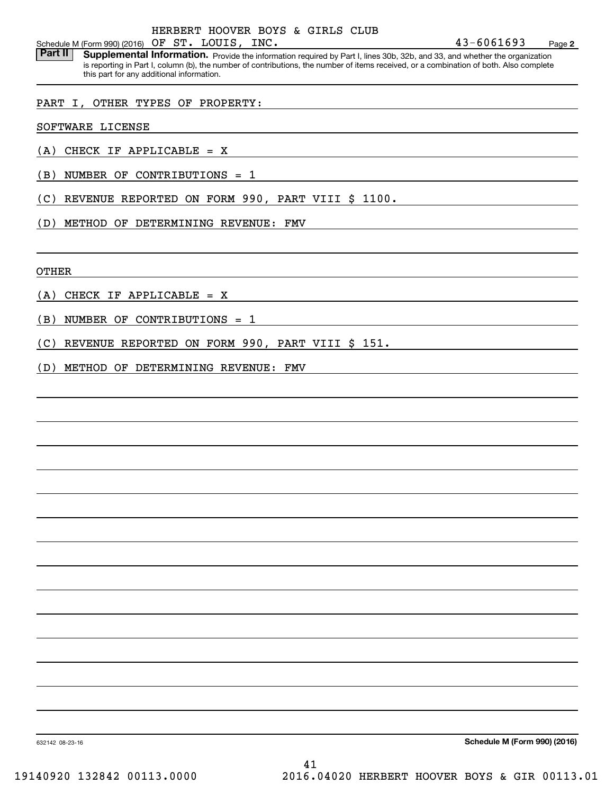Schedule M (Form 990) (2016)  $OF$   $ST$ . LOUIS, INC.

Part II | Supplemental Information. Provide the information required by Part I, lines 30b, 32b, and 33, and whether the organization is reporting in Part I, column (b), the number of contributions, the number of items received, or a combination of both. Also complete this part for any additional information.

# PART I, OTHER TYPES OF PROPERTY:

SOFTWARE LICENSE

(A) CHECK IF APPLICABLE = X

(B) NUMBER OF CONTRIBUTIONS = 1

(C) REVENUE REPORTED ON FORM 990, PART VIII \$ 1100.

(D) METHOD OF DETERMINING REVENUE: FMV

OTHER

(A) CHECK IF APPLICABLE = X

(B) NUMBER OF CONTRIBUTIONS = 1

(C) REVENUE REPORTED ON FORM 990, PART VIII \$ 151.

(D) METHOD OF DETERMINING REVENUE: FMV

**Schedule M (Form 990) (2016)**

632142 08-23-16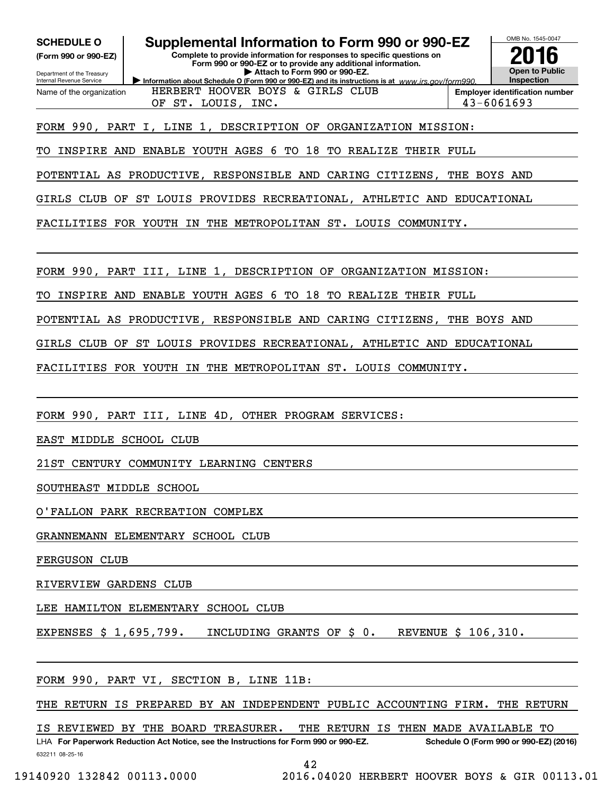| <b>SCHEDULE O</b><br>Supplemental Information to Form 990 or 990-EZ<br>Complete to provide information for responses to specific questions on<br>(Form 990 or 990-EZ) | OMB No. 1545-0047                     |  |  |  |  |  |
|-----------------------------------------------------------------------------------------------------------------------------------------------------------------------|---------------------------------------|--|--|--|--|--|
| Form 990 or 990-EZ or to provide any additional information.<br>Attach to Form 990 or 990-EZ.                                                                         | <b>Open to Public</b>                 |  |  |  |  |  |
| Department of the Treasury<br>Information about Schedule O (Form 990 or 990-EZ) and its instructions is at www.jrs.gov/form990.<br>Internal Revenue Service           | <b>Inspection</b>                     |  |  |  |  |  |
| HERBERT HOOVER BOYS & GIRLS CLUB<br>Name of the organization                                                                                                          | <b>Employer identification number</b> |  |  |  |  |  |
| 43-6061693<br>OF ST. LOUIS, INC.                                                                                                                                      |                                       |  |  |  |  |  |
| FORM 990, PART I, LINE 1, DESCRIPTION OF ORGANIZATION MISSION:                                                                                                        |                                       |  |  |  |  |  |
| 18<br>ENABLE YOUTH AGES 6<br>TO.<br>TO REALIZE THEIR FULL<br>INSPIRE AND<br>TО                                                                                        |                                       |  |  |  |  |  |
| POTENTIAL AS PRODUCTIVE, RESPONSIBLE AND CARING CITIZENS, THE BOYS AND                                                                                                |                                       |  |  |  |  |  |
| GIRLS CLUB OF ST LOUIS PROVIDES RECREATIONAL, ATHLETIC AND EDUCATIONAL                                                                                                |                                       |  |  |  |  |  |
|                                                                                                                                                                       |                                       |  |  |  |  |  |
| FACILITIES FOR YOUTH IN THE METROPOLITAN ST. LOUIS COMMUNITY.                                                                                                         |                                       |  |  |  |  |  |
|                                                                                                                                                                       |                                       |  |  |  |  |  |
|                                                                                                                                                                       |                                       |  |  |  |  |  |
| FORM 990, PART III, LINE 1, DESCRIPTION OF ORGANIZATION MISSION:                                                                                                      |                                       |  |  |  |  |  |
|                                                                                                                                                                       |                                       |  |  |  |  |  |
| INSPIRE AND<br>ENABLE YOUTH AGES 6<br>TO.<br>18<br>TO REALIZE THEIR FULL<br>ТO                                                                                        |                                       |  |  |  |  |  |
| POTENTIAL AS PRODUCTIVE, RESPONSIBLE AND CARING CITIZENS, THE BOYS AND                                                                                                |                                       |  |  |  |  |  |
| GIRLS CLUB OF ST LOUIS PROVIDES RECREATIONAL, ATHLETIC AND EDUCATIONAL                                                                                                |                                       |  |  |  |  |  |
|                                                                                                                                                                       |                                       |  |  |  |  |  |
| FACILITIES FOR YOUTH IN THE METROPOLITAN ST. LOUIS COMMUNITY.                                                                                                         |                                       |  |  |  |  |  |
|                                                                                                                                                                       |                                       |  |  |  |  |  |
| FORM 990, PART III, LINE 4D, OTHER PROGRAM SERVICES:                                                                                                                  |                                       |  |  |  |  |  |
|                                                                                                                                                                       |                                       |  |  |  |  |  |
| EAST MIDDLE SCHOOL CLUB                                                                                                                                               |                                       |  |  |  |  |  |
| 21ST CENTURY COMMUNITY LEARNING CENTERS                                                                                                                               |                                       |  |  |  |  |  |
| SOUTHEAST MIDDLE SCHOOL                                                                                                                                               |                                       |  |  |  |  |  |
|                                                                                                                                                                       |                                       |  |  |  |  |  |
| O'FALLON PARK RECREATION COMPLEX                                                                                                                                      |                                       |  |  |  |  |  |
| GRANNEMANN ELEMENTARY SCHOOL CLUB                                                                                                                                     |                                       |  |  |  |  |  |
| <b>FERGUSON CLUB</b>                                                                                                                                                  |                                       |  |  |  |  |  |
| RIVERVIEW GARDENS CLUB                                                                                                                                                |                                       |  |  |  |  |  |

LEE HAMILTON ELEMENTARY SCHOOL CLUB

EXPENSES \$ 1,695,799. INCLUDING GRANTS OF \$ 0. REVENUE \$ 106,310.

FORM 990, PART VI, SECTION B, LINE 11B:

THE RETURN IS PREPARED BY AN INDEPENDENT PUBLIC ACCOUNTING FIRM. THE RETURN

IS REVIEWED BY THE BOARD TREASURER. THE RETURN IS THEN MADE AVAILABLE TO

632211 08-25-16 LHA For Paperwork Reduction Act Notice, see the Instructions for Form 990 or 990-EZ. Schedule O (Form 990 or 990-EZ) (2016)

42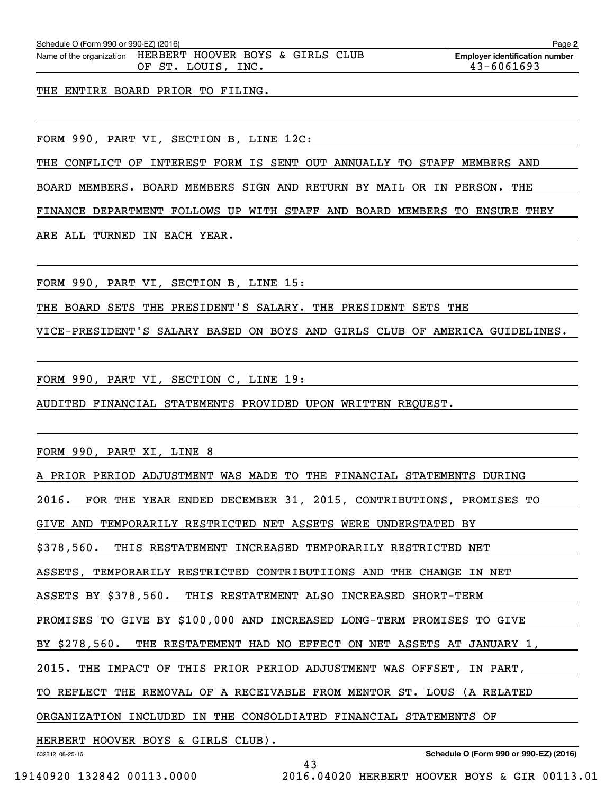| Schedule O (Form 990 or 990-EZ) (2016) |                                                                                      | Page 2                                              |
|----------------------------------------|--------------------------------------------------------------------------------------|-----------------------------------------------------|
|                                        | Name of the organization HERBERT HOOVER BOYS & GIRLS CLUB<br>LOUIS, INC.<br>OF ST. . | <b>Employer identification number</b><br>43-6061693 |
|                                        |                                                                                      |                                                     |

THE ENTIRE BOARD PRIOR TO FILING.

FORM 990, PART VI, SECTION B, LINE 12C:

THE CONFLICT OF INTEREST FORM IS SENT OUT ANNUALLY TO STAFF MEMBERS AND

BOARD MEMBERS. BOARD MEMBERS SIGN AND RETURN BY MAIL OR IN PERSON. THE

FINANCE DEPARTMENT FOLLOWS UP WITH STAFF AND BOARD MEMBERS TO ENSURE THEY

ARE ALL TURNED IN EACH YEAR.

FORM 990, PART VI, SECTION B, LINE 15:

THE BOARD SETS THE PRESIDENT'S SALARY. THE PRESIDENT SETS THE

VICE-PRESIDENT'S SALARY BASED ON BOYS AND GIRLS CLUB OF AMERICA GUIDELINES.

FORM 990, PART VI, SECTION C, LINE 19:

AUDITED FINANCIAL STATEMENTS PROVIDED UPON WRITTEN REQUEST.

FORM 990, PART XI, LINE 8

A PRIOR PERIOD ADJUSTMENT WAS MADE TO THE FINANCIAL STATEMENTS DURING

2016. FOR THE YEAR ENDED DECEMBER 31, 2015, CONTRIBUTIONS, PROMISES TO

GIVE AND TEMPORARILY RESTRICTED NET ASSETS WERE UNDERSTATED BY

\$378,560. THIS RESTATEMENT INCREASED TEMPORARILY RESTRICTED NET

ASSETS, TEMPORARILY RESTRICTED CONTRIBUTIIONS AND THE CHANGE IN NET

ASSETS BY \$378,560. THIS RESTATEMENT ALSO INCREASED SHORT-TERM

PROMISES TO GIVE BY \$100,000 AND INCREASED LONG-TERM PROMISES TO GIVE

BY \$278,560. THE RESTATEMENT HAD NO EFFECT ON NET ASSETS AT JANUARY 1,

43

2015. THE IMPACT OF THIS PRIOR PERIOD ADJUSTMENT WAS OFFSET, IN PART,

TO REFLECT THE REMOVAL OF A RECEIVABLE FROM MENTOR ST. LOUS (A RELATED

ORGANIZATION INCLUDED IN THE CONSOLDIATED FINANCIAL STATEMENTS OF

HERBERT HOOVER BOYS & GIRLS CLUB).

632212 08-25-16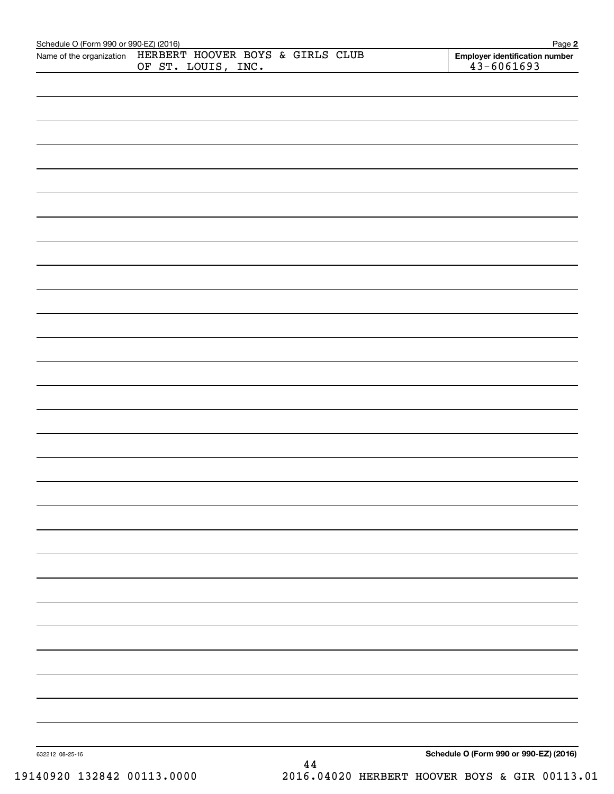| Schedule O (Form 990 or 990-EZ) (2016)<br>Name of the organization | HERBERT HOOVER BOYS & GIRLS CLUB |                 | Page 2<br><b>Employer identification number</b> |
|--------------------------------------------------------------------|----------------------------------|-----------------|-------------------------------------------------|
|                                                                    | OF ST. LOUIS, INC.               |                 | $43 - 6061693$                                  |
|                                                                    |                                  |                 |                                                 |
|                                                                    |                                  |                 |                                                 |
|                                                                    |                                  |                 |                                                 |
|                                                                    |                                  |                 |                                                 |
|                                                                    |                                  |                 |                                                 |
|                                                                    |                                  |                 |                                                 |
|                                                                    |                                  |                 |                                                 |
|                                                                    |                                  |                 |                                                 |
|                                                                    |                                  |                 |                                                 |
|                                                                    |                                  |                 |                                                 |
|                                                                    |                                  |                 |                                                 |
|                                                                    |                                  |                 |                                                 |
|                                                                    |                                  |                 |                                                 |
|                                                                    |                                  |                 |                                                 |
|                                                                    |                                  |                 |                                                 |
|                                                                    |                                  |                 |                                                 |
|                                                                    |                                  |                 |                                                 |
|                                                                    |                                  |                 |                                                 |
|                                                                    |                                  |                 |                                                 |
|                                                                    |                                  |                 |                                                 |
|                                                                    |                                  |                 |                                                 |
|                                                                    |                                  |                 |                                                 |
|                                                                    |                                  |                 |                                                 |
|                                                                    |                                  |                 |                                                 |
|                                                                    |                                  |                 |                                                 |
|                                                                    |                                  |                 |                                                 |
|                                                                    |                                  |                 |                                                 |
|                                                                    |                                  |                 |                                                 |
|                                                                    |                                  |                 |                                                 |
|                                                                    |                                  |                 |                                                 |
|                                                                    |                                  |                 |                                                 |
|                                                                    |                                  |                 |                                                 |
|                                                                    |                                  |                 |                                                 |
|                                                                    |                                  |                 |                                                 |
|                                                                    |                                  |                 |                                                 |
|                                                                    |                                  |                 |                                                 |
|                                                                    |                                  |                 |                                                 |
|                                                                    |                                  |                 |                                                 |
|                                                                    |                                  |                 |                                                 |
|                                                                    |                                  |                 |                                                 |
| 632212 08-25-16                                                    |                                  | $\Delta \Delta$ | Schedule O (Form 990 or 990-EZ) (2016)          |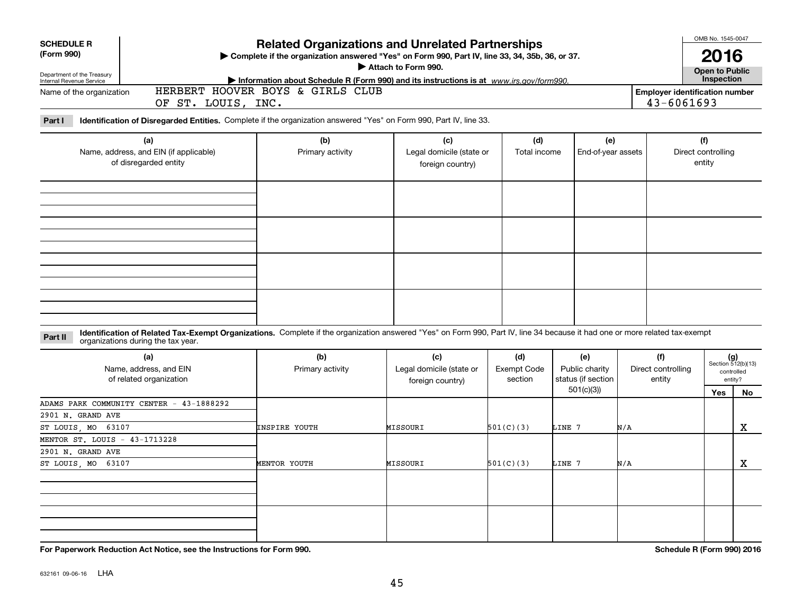| <b>Related Organizations and Unrelated Partnerships</b><br><b>SCHEDULE R</b><br>(Form 990)<br>> Complete if the organization answered "Yes" on Form 990, Part IV, line 33, 34, 35b, 36, or 37.<br>Attach to Form 990.        | 2016<br><b>Open to Public</b> |                                           |
|------------------------------------------------------------------------------------------------------------------------------------------------------------------------------------------------------------------------------|-------------------------------|-------------------------------------------|
|                                                                                                                                                                                                                              |                               |                                           |
|                                                                                                                                                                                                                              |                               |                                           |
| Department of the Treasury<br>Information about Schedule R (Form 990) and its instructions is at www.irs.gov/form990.<br>Internal Revenue Service                                                                            | Inspection                    |                                           |
| HERBERT HOOVER BOYS & GIRLS CLUB<br><b>Employer identification number</b><br>Name of the organization<br>43-6061693<br>OF ST. LOUIS, INC.                                                                                    |                               |                                           |
| Identification of Disregarded Entities. Complete if the organization answered "Yes" on Form 990, Part IV, line 33.<br>Part I                                                                                                 |                               |                                           |
| (a)<br>(b)<br>(c)<br>(d)<br>(e)                                                                                                                                                                                              | (f)                           |                                           |
| Name, address, and EIN (if applicable)<br>Primary activity<br>Legal domicile (state or<br>Total income<br>End-of-year assets<br>of disregarded entity<br>foreign country)                                                    | Direct controlling<br>entity  |                                           |
|                                                                                                                                                                                                                              |                               |                                           |
|                                                                                                                                                                                                                              |                               |                                           |
|                                                                                                                                                                                                                              |                               |                                           |
|                                                                                                                                                                                                                              |                               |                                           |
| Identification of Related Tax-Exempt Organizations. Complete if the organization answered "Yes" on Form 990, Part IV, line 34 because it had one or more related tax-exempt<br>Part II<br>organizations during the tax year. |                               |                                           |
| (a)<br>(b)<br>(f)<br>(c)<br>(d)<br>(e)<br>Legal domicile (state or<br><b>Exempt Code</b><br>Public charity<br>Direct controlling<br>Name, address, and EIN<br>Primary activity                                               |                               | $(g)$<br>Section 512(b)(13)<br>controlled |
| status (if section<br>of related organization<br>section<br>entity<br>foreign country)<br>501(c)(3)                                                                                                                          |                               | entity?                                   |
| ADAMS PARK COMMUNITY CENTER - 43-1888292                                                                                                                                                                                     | Yes                           | No                                        |
| 2901 N. GRAND AVE                                                                                                                                                                                                            |                               |                                           |
| ST LOUIS, MO 63107<br>MISSOURI<br>501(C)(3)<br><b>INSPIRE YOUTH</b><br>LINE 7<br>N/A                                                                                                                                         |                               | X                                         |
| MENTOR ST. LOUIS - 43-1713228                                                                                                                                                                                                |                               |                                           |
| 2901 N. GRAND AVE                                                                                                                                                                                                            |                               |                                           |
| ST LOUIS, MO 63107<br>MENTOR YOUTH<br>MISSOURI<br>501(C)(3)<br>LINE 7<br>N/A                                                                                                                                                 |                               | X                                         |
|                                                                                                                                                                                                                              |                               |                                           |
|                                                                                                                                                                                                                              |                               |                                           |
|                                                                                                                                                                                                                              |                               |                                           |
|                                                                                                                                                                                                                              |                               |                                           |
|                                                                                                                                                                                                                              |                               |                                           |

**For Paperwork Reduction Act Notice, see the Instructions for Form 990. Schedule R (Form 990) 2016**

OMB No. 1545-0047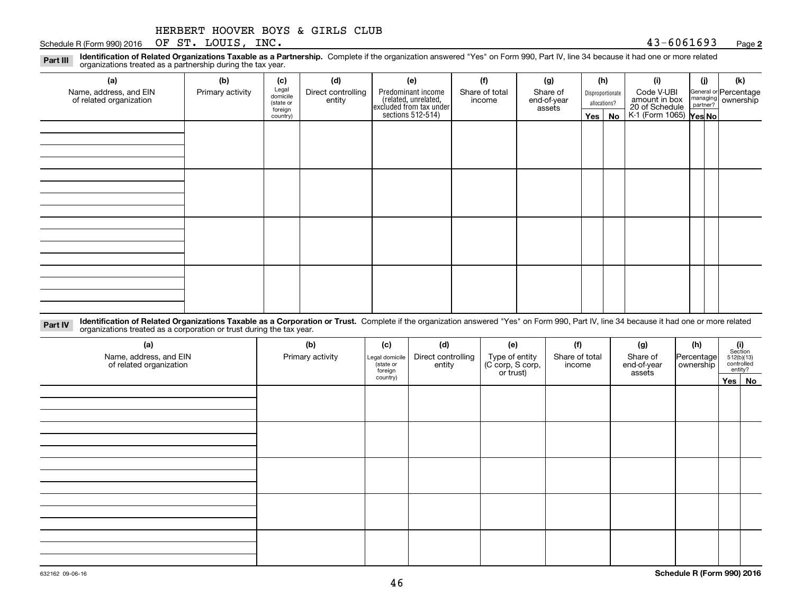|  | HERBERT HOOVER BOYS & GIRLS CLUB |  |  |  |  |  |
|--|----------------------------------|--|--|--|--|--|
|--|----------------------------------|--|--|--|--|--|

Schedule R (Form 990) 2016 Page OF ST. LOUIS, INC. 43-6061693

**2**

**Identification of Related Organizations Taxable as a Partnership.** Complete if the organization answered "Yes" on Form 990, Part IV, line 34 because it had one or more related **Part III** organizations treated as a partnership during the tax year.

| (a)                                               | (b)              | (c)                  | (d)                | (e)                                                                 | (f)            | (g)                   |         | (h)              | (i)                                                       | (i) | (k)                                                       |
|---------------------------------------------------|------------------|----------------------|--------------------|---------------------------------------------------------------------|----------------|-----------------------|---------|------------------|-----------------------------------------------------------|-----|-----------------------------------------------------------|
| Name, address, and EIN<br>of related organization | Primary activity | Legal<br>domicile    | Direct controlling | Predominant income                                                  | Share of total | Share of              |         | Disproportionate | Code V-UBI                                                |     | General or Percentage<br>managing<br>partner?<br>partner? |
|                                                   |                  | (state or<br>foreign | entity             | related, unrelated,<br>excluded from tax under<br>sections 512-514) | income         | end-of-year<br>assets |         | allocations?     | amount in box<br>20 of Schedule<br>K-1 (Form 1065) Yes No |     |                                                           |
|                                                   |                  | country)             |                    |                                                                     |                |                       | Yes $ $ | No               |                                                           |     |                                                           |
|                                                   |                  |                      |                    |                                                                     |                |                       |         |                  |                                                           |     |                                                           |
|                                                   |                  |                      |                    |                                                                     |                |                       |         |                  |                                                           |     |                                                           |
|                                                   |                  |                      |                    |                                                                     |                |                       |         |                  |                                                           |     |                                                           |
|                                                   |                  |                      |                    |                                                                     |                |                       |         |                  |                                                           |     |                                                           |
|                                                   |                  |                      |                    |                                                                     |                |                       |         |                  |                                                           |     |                                                           |
|                                                   |                  |                      |                    |                                                                     |                |                       |         |                  |                                                           |     |                                                           |
|                                                   |                  |                      |                    |                                                                     |                |                       |         |                  |                                                           |     |                                                           |
|                                                   |                  |                      |                    |                                                                     |                |                       |         |                  |                                                           |     |                                                           |
|                                                   |                  |                      |                    |                                                                     |                |                       |         |                  |                                                           |     |                                                           |
|                                                   |                  |                      |                    |                                                                     |                |                       |         |                  |                                                           |     |                                                           |
|                                                   |                  |                      |                    |                                                                     |                |                       |         |                  |                                                           |     |                                                           |
|                                                   |                  |                      |                    |                                                                     |                |                       |         |                  |                                                           |     |                                                           |
|                                                   |                  |                      |                    |                                                                     |                |                       |         |                  |                                                           |     |                                                           |
|                                                   |                  |                      |                    |                                                                     |                |                       |         |                  |                                                           |     |                                                           |
|                                                   |                  |                      |                    |                                                                     |                |                       |         |                  |                                                           |     |                                                           |
|                                                   |                  |                      |                    |                                                                     |                |                       |         |                  |                                                           |     |                                                           |
|                                                   |                  |                      |                    |                                                                     |                |                       |         |                  |                                                           |     |                                                           |

**Identification of Related Organizations Taxable as a Corporation or Trust.** Complete if the organization answered "Yes" on Form 990, Part IV, line 34 because it had one or more related **Part IV** organizations treated as a corporation or trust during the tax year.

| (a)<br>Name, address, and EIN<br>of related organization | (b)<br>Primary activity | (c)<br>Legal domicile<br>(state or<br>foreign | (d)<br>Direct controlling<br>entity | (e)<br>Type of entity<br>(C corp, S corp,<br>or trust) | (f)<br>Share of total<br>income | (g)<br>Share of<br>end-of-year<br>assets | (h)<br>Percentage<br>ownership | (i)<br>Section<br>512(b)(13)<br>controlled | entity? |
|----------------------------------------------------------|-------------------------|-----------------------------------------------|-------------------------------------|--------------------------------------------------------|---------------------------------|------------------------------------------|--------------------------------|--------------------------------------------|---------|
|                                                          |                         | country)                                      |                                     |                                                        |                                 |                                          |                                |                                            | Yes No  |
|                                                          |                         |                                               |                                     |                                                        |                                 |                                          |                                |                                            |         |
|                                                          |                         |                                               |                                     |                                                        |                                 |                                          |                                |                                            |         |
|                                                          |                         |                                               |                                     |                                                        |                                 |                                          |                                |                                            |         |
|                                                          |                         |                                               |                                     |                                                        |                                 |                                          |                                |                                            |         |
|                                                          |                         |                                               |                                     |                                                        |                                 |                                          |                                |                                            |         |
|                                                          |                         |                                               |                                     |                                                        |                                 |                                          |                                |                                            |         |
|                                                          |                         |                                               |                                     |                                                        |                                 |                                          |                                |                                            |         |
|                                                          |                         |                                               |                                     |                                                        |                                 |                                          |                                |                                            |         |
|                                                          |                         |                                               |                                     |                                                        |                                 |                                          |                                |                                            |         |
|                                                          |                         |                                               |                                     |                                                        |                                 |                                          |                                |                                            |         |
|                                                          |                         |                                               |                                     |                                                        |                                 |                                          |                                |                                            |         |
|                                                          |                         |                                               |                                     |                                                        |                                 |                                          |                                |                                            |         |
|                                                          |                         |                                               |                                     |                                                        |                                 |                                          |                                |                                            |         |
|                                                          |                         |                                               |                                     |                                                        |                                 |                                          |                                |                                            |         |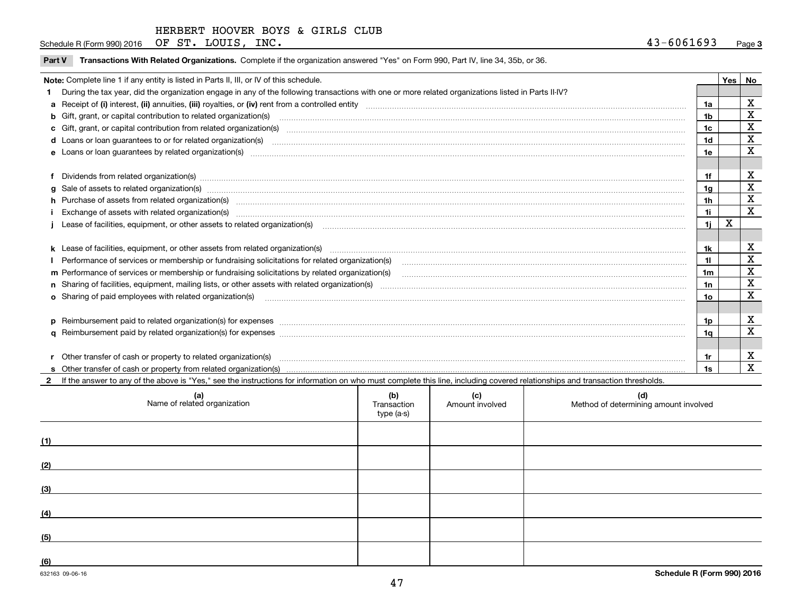Schedule R (Form 990) 2016 Page OF ST. LOUIS, INC. 43-6061693

| <b>Part V</b> | Transactions With Related Organizations. Complete if the organization answered "Yes" on Form 990, Part IV, line 34, 35b, or 36.                                                                                                |                |          |             |
|---------------|--------------------------------------------------------------------------------------------------------------------------------------------------------------------------------------------------------------------------------|----------------|----------|-------------|
|               | Note: Complete line 1 if any entity is listed in Parts II, III, or IV of this schedule.                                                                                                                                        |                | Yes   No |             |
|               | During the tax year, did the organization engage in any of the following transactions with one or more related organizations listed in Parts II-IV?                                                                            |                |          |             |
|               |                                                                                                                                                                                                                                | 1a             |          | X           |
|               | b Gift, grant, or capital contribution to related organization(s) manufaction contracts and contribution to related organization(s)                                                                                            | 1 <sub>b</sub> |          | X           |
|               | c Gift, grant, or capital contribution from related organization(s) manufaction(s) and contribution from related organization(s) manufaction contribution from related organization(s) manufaction contribution from related o | 1 <sub>c</sub> |          | X           |
|               | d Loans or loan guarantees to or for related organization(s) committion contracts are constructed as a control or contract or contract or contract or contract or contract or contract or contract or contract or contract or  | 1d             |          | X           |
|               |                                                                                                                                                                                                                                | 1e             |          | X           |
|               |                                                                                                                                                                                                                                |                |          |             |
|               | Dividends from related organization(s) Entertainment and the contract of the contract of the contract of the contract of the contract of the contract of the contract of the contract of the contract of the contract of the c | 1f             |          | X           |
|               | g Sale of assets to related organization(s) www.assettion.com/www.assettion.com/www.assettion.com/www.assettion.com/www.assettion.com/www.assettion.com/www.assettion.com/www.assettion.com/www.assettion.com/www.assettion.co | 1g             |          | X           |
|               | h Purchase of assets from related organization(s) material contents and content to content the content of the content of the content of the content of the content of the content of the content of the content of the content | 1 <sub>h</sub> |          | X           |
|               | Exchange of assets with related organization(s) www.communically.communically contract the contract of assets with related organization(s) www.communically.communically contract the contract of assets with related organiza | 11             |          | $\mathbf x$ |
|               |                                                                                                                                                                                                                                | 1j             | X        |             |
|               |                                                                                                                                                                                                                                |                |          |             |
|               |                                                                                                                                                                                                                                | 1k             |          | X           |
|               |                                                                                                                                                                                                                                | 11             |          | X           |
|               |                                                                                                                                                                                                                                | 1m             |          | $\mathbf X$ |
|               |                                                                                                                                                                                                                                | 1n             |          | X           |
|               | <b>o</b> Sharing of paid employees with related organization(s)                                                                                                                                                                | 1o             |          | X           |
|               |                                                                                                                                                                                                                                |                |          |             |
|               | p Reimbursement paid to related organization(s) for expenses [111] resummand content to content the set of the set of the set of the set of the set of the set of the set of the set of the set of the set of the set of the s | 1p             |          | x           |
|               |                                                                                                                                                                                                                                | 1q             |          | X           |
|               |                                                                                                                                                                                                                                |                |          |             |
|               | r Other transfer of cash or property to related organization(s)                                                                                                                                                                | 1r             |          | х           |
|               |                                                                                                                                                                                                                                | 1s             |          | X           |

**2**If the answer to any of the above is "Yes," see the instructions for information on who must complete this line, including covered relationships and transaction thresholds.

|     | (a)<br>Name of related organization | (b)<br>Transaction<br>type (a-s) | (c)<br>Amount involved | (d)<br>Method of determining amount involved |
|-----|-------------------------------------|----------------------------------|------------------------|----------------------------------------------|
| (1) |                                     |                                  |                        |                                              |
| (2) |                                     |                                  |                        |                                              |
| (3) |                                     |                                  |                        |                                              |
| (4) |                                     |                                  |                        |                                              |
| (5) |                                     |                                  |                        |                                              |
| (6) |                                     |                                  |                        |                                              |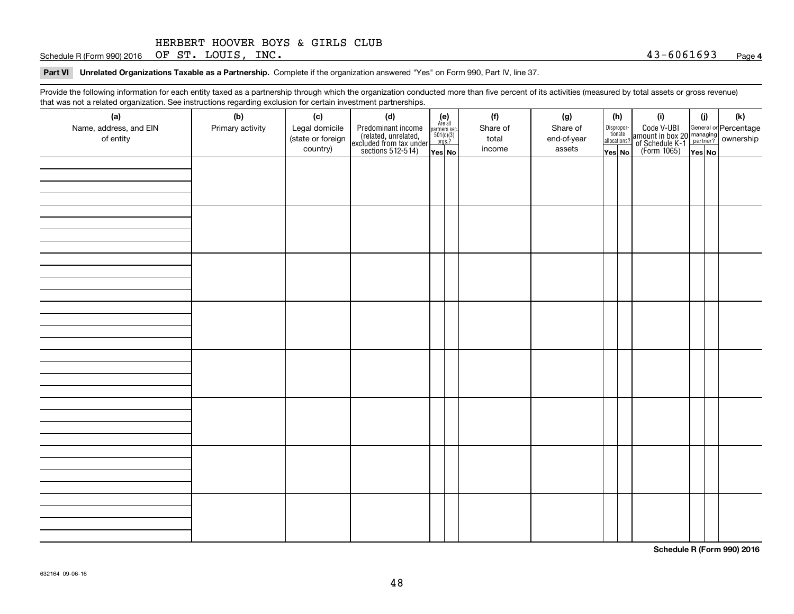Schedule R (Form 990) 2016 Page OF ST. LOUIS, INC. 43-6061693

**Part VI Unrelated Organizations Taxable as a Partnership. Complete if the organization answered "Yes" on Form 990, Part IV, line 37.** 

Provide the following information for each entity taxed as a partnership through which the organization conducted more than five percent of its activities (measured by total assets or gross revenue) that was not a related organization. See instructions regarding exclusion for certain investment partnerships.

| (a)<br>Name, address, and EIN<br>of entity | (b)<br>Primary activity | (c)<br>Legal domicile<br>(state or foreign<br>country) | (d)<br>Predominant income<br>(related, unrelated,<br>excluded from tax under<br>sections 512-514) | $\begin{array}{c} \textbf{(e)}\\ \text{Are all} \\ \text{partners sec.}\\ 501(c)(3)\\ \text{orgs.?} \end{array}$<br>Yes No | (f)<br>Share of<br>total<br>income | (g)<br>Share of<br>end-of-year<br>assets | (h)<br>Dispropor-<br>tionate<br>allocations?<br>Yes No | (i)<br>Code V-UBI<br>amount in box 20 managing<br>of Schedule K-1 partner? ownership<br>(Form 1065)<br>ves No | (i)<br>Yes No | (k) |
|--------------------------------------------|-------------------------|--------------------------------------------------------|---------------------------------------------------------------------------------------------------|----------------------------------------------------------------------------------------------------------------------------|------------------------------------|------------------------------------------|--------------------------------------------------------|---------------------------------------------------------------------------------------------------------------|---------------|-----|
|                                            |                         |                                                        |                                                                                                   |                                                                                                                            |                                    |                                          |                                                        |                                                                                                               |               |     |
|                                            |                         |                                                        |                                                                                                   |                                                                                                                            |                                    |                                          |                                                        |                                                                                                               |               |     |
|                                            |                         |                                                        |                                                                                                   |                                                                                                                            |                                    |                                          |                                                        |                                                                                                               |               |     |
|                                            |                         |                                                        |                                                                                                   |                                                                                                                            |                                    |                                          |                                                        |                                                                                                               |               |     |
|                                            |                         |                                                        |                                                                                                   |                                                                                                                            |                                    |                                          |                                                        |                                                                                                               |               |     |
|                                            |                         |                                                        |                                                                                                   |                                                                                                                            |                                    |                                          |                                                        |                                                                                                               |               |     |
|                                            |                         |                                                        |                                                                                                   |                                                                                                                            |                                    |                                          |                                                        |                                                                                                               |               |     |
|                                            |                         |                                                        |                                                                                                   |                                                                                                                            |                                    |                                          |                                                        |                                                                                                               |               |     |

**Schedule R (Form 990) 2016**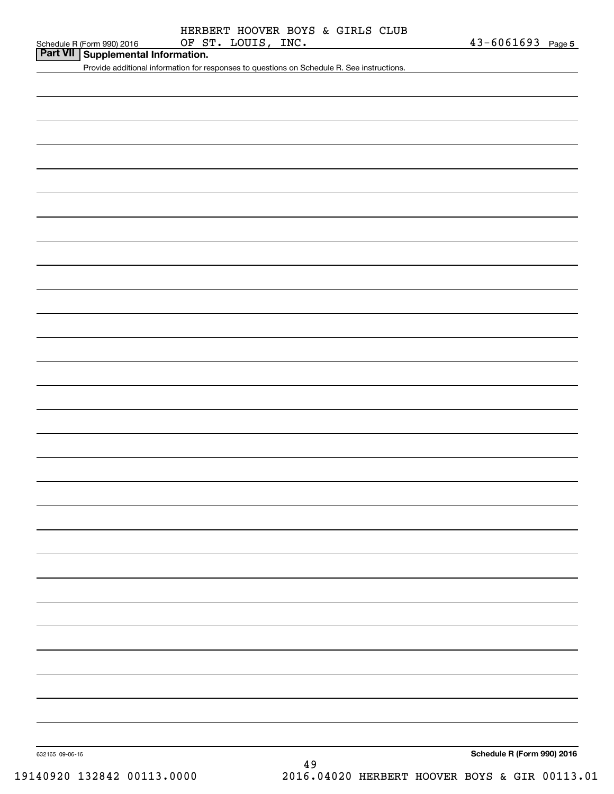**Part VII Supplemental Information.**

Provide additional information for responses to questions on Schedule R. See instructions.

**Schedule R (Form 990) 2016**

632165 09-06-16